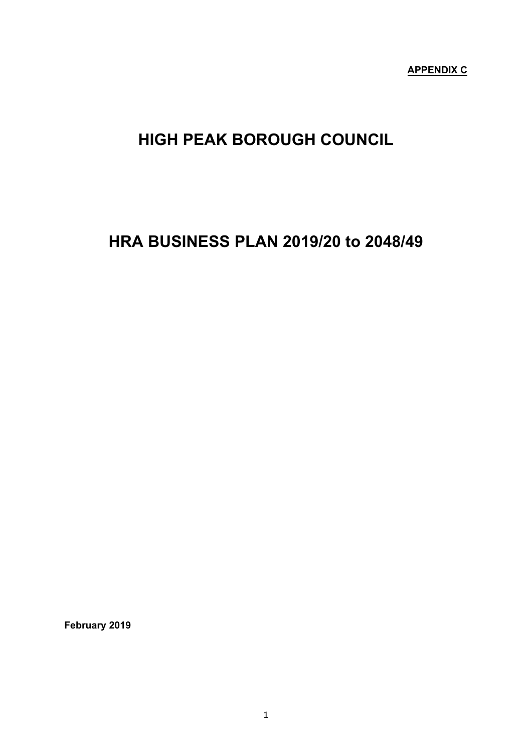**APPENDIX C**

# **HIGH PEAK BOROUGH COUNCIL**

## **HRA BUSINESS PLAN 2019/20 to 2048/49**

**February 2019**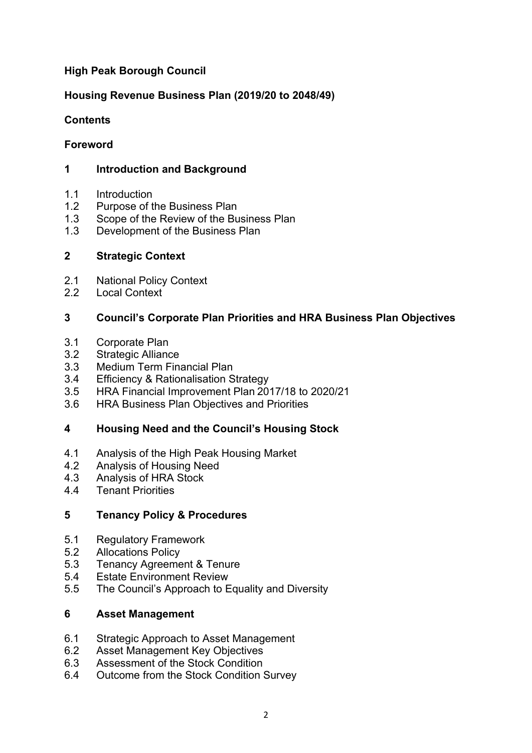## **High Peak Borough Council**

## **Housing Revenue Business Plan (2019/20 to 2048/49)**

## **Contents**

## **Foreword**

## **1 Introduction and Background**

- 1.1 Introduction
- 1.2 Purpose of the Business Plan
- 1.3 Scope of the Review of the Business Plan
- 1.3 Development of the Business Plan

## **2 Strategic Context**

- 2.1 National Policy Context
- 2.2 Local Context

## **3 Council's Corporate Plan Priorities and HRA Business Plan Objectives**

- 3.1 Corporate Plan
- 3.2 Strategic Alliance
- 3.3 Medium Term Financial Plan
- 3.4 Efficiency & Rationalisation Strategy
- 3.5 HRA Financial Improvement Plan 2017/18 to 2020/21
- 3.6 HRA Business Plan Objectives and Priorities

## **4 Housing Need and the Council's Housing Stock**

- 4.1 Analysis of the High Peak Housing Market
- 4.2 Analysis of Housing Need
- 4.3 Analysis of HRA Stock
- 4.4 Tenant Priorities

#### **5 Tenancy Policy & Procedures**

- 5.1 Regulatory Framework
- 5.2 Allocations Policy
- 5.3 Tenancy Agreement & Tenure
- 5.4 Estate Environment Review
- 5.5 The Council's Approach to Equality and Diversity

#### **6 Asset Management**

- 6.1 Strategic Approach to Asset Management
- 6.2 Asset Management Key Objectives
- 6.3 Assessment of the Stock Condition
- 6.4 Outcome from the Stock Condition Survey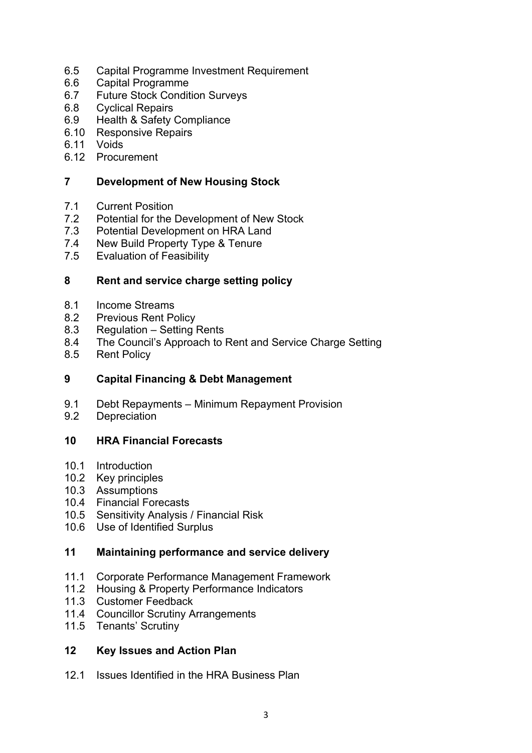- 6.5 Capital Programme Investment Requirement
- 6.6 Capital Programme
- 6.7 Future Stock Condition Surveys
- 6.8 Cyclical Repairs
- 6.9 Health & Safety Compliance
- 6.10 Responsive Repairs
- 6.11 Voids
- 6.12 Procurement

## **7 Development of New Housing Stock**

- 7.1 Current Position
- 7.2 Potential for the Development of New Stock
- 7.3 Potential Development on HRA Land
- 7.4 New Build Property Type & Tenure
- 7.5 Evaluation of Feasibility

#### **8 Rent and service charge setting policy**

- 8.1 Income Streams
- 8.2 Previous Rent Policy
- 8.3 Regulation Setting Rents
- 8.4 The Council's Approach to Rent and Service Charge Setting
- 8.5 Rent Policy

#### **9 Capital Financing & Debt Management**

- 9.1 Debt Repayments Minimum Repayment Provision<br>9.2 Depreciation
- **Depreciation**

#### **10 HRA Financial Forecasts**

- 10.1 Introduction
- 10.2 Key principles
- 10.3 Assumptions
- 10.4 Financial Forecasts
- 10.5 Sensitivity Analysis / Financial Risk
- 10.6 Use of Identified Surplus

#### **11 Maintaining performance and service delivery**

- 11.1 Corporate Performance Management Framework
- 11.2 Housing & Property Performance Indicators
- 11.3 Customer Feedback
- 11.4 Councillor Scrutiny Arrangements
- 11.5 Tenants' Scrutiny

#### **12 Key Issues and Action Plan**

12.1 Issues Identified in the HRA Business Plan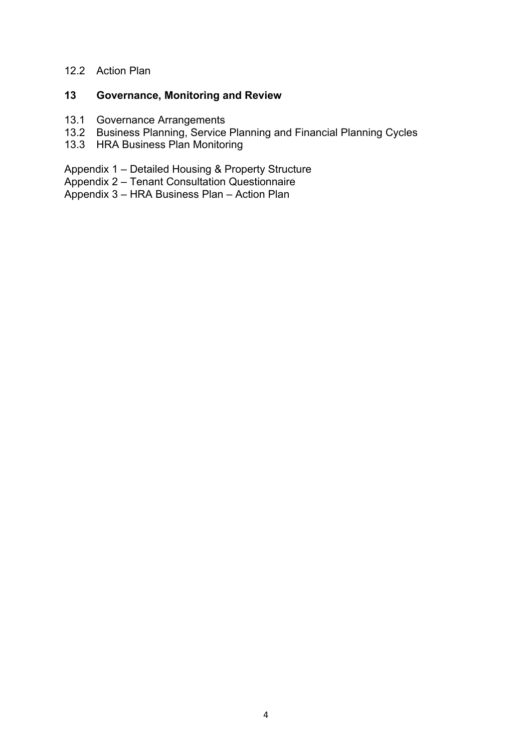## 12.2 Action Plan

## **13 Governance, Monitoring and Review**

- 13.1 Governance Arrangements
- 13.2 Business Planning, Service Planning and Financial Planning Cycles
- 13.3 HRA Business Plan Monitoring

Appendix 1 – Detailed Housing & Property Structure

Appendix 2 – Tenant Consultation Questionnaire

Appendix 3 – HRA Business Plan – Action Plan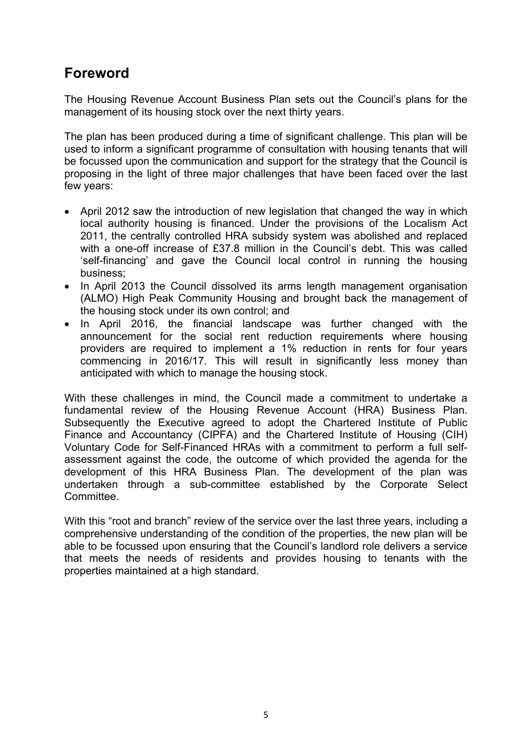## **Foreword**

The Housing Revenue Account Business Plan sets out the Council's plans for the management of its housing stock over the next thirty years.

The plan has been produced during a time of significant challenge. This plan will be used to inform a significant programme of consultation with housing tenants that will be focussed upon the communication and support for the strategy that the Council is proposing in the light of three major challenges that have been faced over the last few years:

- April 2012 saw the introduction of new legislation that changed the way in which local authority housing is financed. Under the provisions of the Localism Act 2011, the centrally controlled HRA subsidy system was abolished and replaced with a one-off increase of £37.8 million in the Council's debt. This was called 'self-financing' and gave the Council local control in running the housing business;
- In April 2013 the Council dissolved its arms length management organisation (ALMO) High Peak Community Housing and brought back the management of the housing stock under its own control; and
- In April 2016, the financial landscape was further changed with the announcement for the social rent reduction requirements where housing providers are required to implement a 1% reduction in rents for four years commencing in 2016/17. This will result in significantly less money than anticipated with which to manage the housing stock.

With these challenges in mind, the Council made a commitment to undertake a fundamental review of the Housing Revenue Account (HRA) Business Plan. Subsequently the Executive agreed to adopt the Chartered Institute of Public Finance and Accountancy (CIPFA) and the Chartered Institute of Housing (CIH) Voluntary Code for Self-Financed HRAs with a commitment to perform a full selfassessment against the code, the outcome of which provided the agenda for the development of this HRA Business Plan. The development of the plan was undertaken through a sub-committee established by the Corporate Select Committee.

With this "root and branch" review of the service over the last three years, including a comprehensive understanding of the condition of the properties, the new plan will be able to be focussed upon ensuring that the Council's landlord role delivers a service that meets the needs of residents and provides housing to tenants with the properties maintained at a high standard.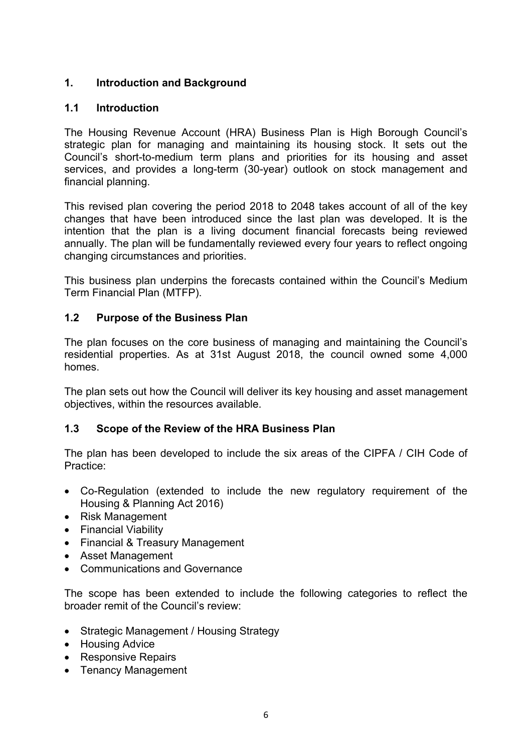## **1. Introduction and Background**

## **1.1 Introduction**

The Housing Revenue Account (HRA) Business Plan is High Borough Council's strategic plan for managing and maintaining its housing stock. It sets out the Council's short-to-medium term plans and priorities for its housing and asset services, and provides a long-term (30-year) outlook on stock management and financial planning.

This revised plan covering the period 2018 to 2048 takes account of all of the key changes that have been introduced since the last plan was developed. It is the intention that the plan is a living document financial forecasts being reviewed annually. The plan will be fundamentally reviewed every four years to reflect ongoing changing circumstances and priorities.

This business plan underpins the forecasts contained within the Council's Medium Term Financial Plan (MTFP).

## **1.2 Purpose of the Business Plan**

The plan focuses on the core business of managing and maintaining the Council's residential properties. As at 31st August 2018, the council owned some 4,000 homes.

The plan sets out how the Council will deliver its key housing and asset management objectives, within the resources available.

## **1.3 Scope of the Review of the HRA Business Plan**

The plan has been developed to include the six areas of the CIPFA / CIH Code of Practice:

- Co-Regulation (extended to include the new regulatory requirement of the Housing & Planning Act 2016)
- Risk Management
- Financial Viability
- Financial & Treasury Management
- Asset Management
- Communications and Governance

The scope has been extended to include the following categories to reflect the broader remit of the Council's review:

- Strategic Management / Housing Strategy
- Housing Advice
- Responsive Repairs
- Tenancy Management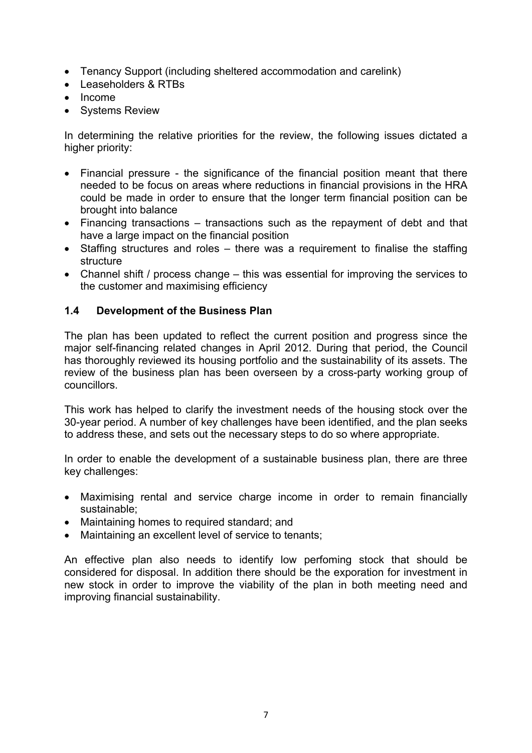- Tenancy Support (including sheltered accommodation and carelink)
- Leaseholders & RTBs
- Income
- Systems Review

In determining the relative priorities for the review, the following issues dictated a higher priority:

- Financial pressure the significance of the financial position meant that there needed to be focus on areas where reductions in financial provisions in the HRA could be made in order to ensure that the longer term financial position can be brought into balance
- Financing transactions transactions such as the repayment of debt and that have a large impact on the financial position
- Staffing structures and roles there was a requirement to finalise the staffing structure
- Channel shift / process change this was essential for improving the services to the customer and maximising efficiency

## **1.4 Development of the Business Plan**

The plan has been updated to reflect the current position and progress since the major self-financing related changes in April 2012. During that period, the Council has thoroughly reviewed its housing portfolio and the sustainability of its assets. The review of the business plan has been overseen by a cross-party working group of councillors.

This work has helped to clarify the investment needs of the housing stock over the 30-year period. A number of key challenges have been identified, and the plan seeks to address these, and sets out the necessary steps to do so where appropriate.

In order to enable the development of a sustainable business plan, there are three key challenges:

- Maximising rental and service charge income in order to remain financially sustainable;
- Maintaining homes to required standard; and
- Maintaining an excellent level of service to tenants;

An effective plan also needs to identify low perfoming stock that should be considered for disposal. In addition there should be the exporation for investment in new stock in order to improve the viability of the plan in both meeting need and improving financial sustainability.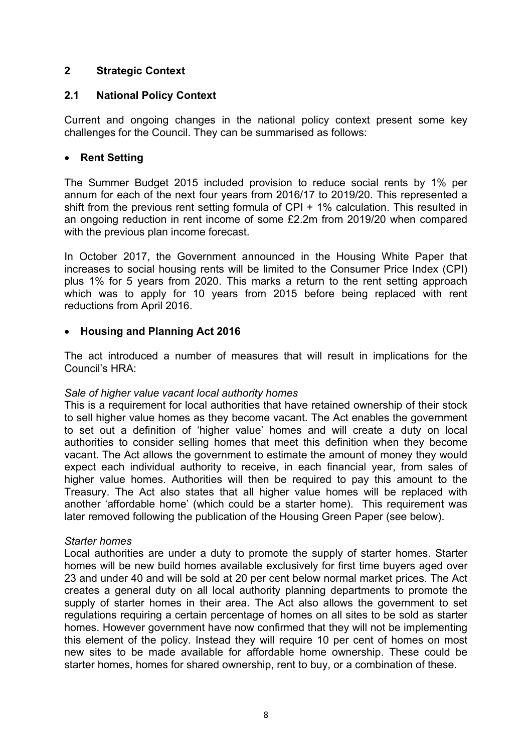## **2 Strategic Context**

#### **2.1 National Policy Context**

Current and ongoing changes in the national policy context present some key challenges for the Council. They can be summarised as follows:

#### **Rent Setting**

The Summer Budget 2015 included provision to reduce social rents by 1% per annum for each of the next four years from 2016/17 to 2019/20. This represented a shift from the previous rent setting formula of CPI + 1% calculation. This resulted in an ongoing reduction in rent income of some £2.2m from 2019/20 when compared with the previous plan income forecast.

In October 2017, the Government announced in the Housing White Paper that increases to social housing rents will be limited to the Consumer Price Index (CPI) plus 1% for 5 years from 2020. This marks a return to the rent setting approach which was to apply for 10 years from 2015 before being replaced with rent reductions from April 2016.

## **Housing and Planning Act 2016**

The act introduced a number of measures that will result in implications for the Council's HRA:

#### *Sale of higher value vacant local authority homes*

This is a requirement for local authorities that have retained ownership of their stock to sell higher value homes as they become vacant. The Act enables the government to set out a definition of 'higher value' homes and will create a duty on local authorities to consider selling homes that meet this definition when they become vacant. The Act allows the government to estimate the amount of money they would expect each individual authority to receive, in each financial year, from sales of higher value homes. Authorities will then be required to pay this amount to the Treasury. The Act also states that all higher value homes will be replaced with another 'affordable home' (which could be a starter home). This requirement was later removed following the publication of the Housing Green Paper (see below).

#### *Starter homes*

Local authorities are under a duty to promote the supply of starter homes. Starter homes will be new build homes available exclusively for first time buyers aged over 23 and under 40 and will be sold at 20 per cent below normal market prices. The Act creates a general duty on all local authority planning departments to promote the supply of starter homes in their area. The Act also allows the government to set regulations requiring a certain percentage of homes on all sites to be sold as starter homes. However government have now confirmed that they will not be implementing this element of the policy. Instead they will require 10 per cent of homes on most new sites to be made available for affordable home ownership. These could be starter homes, homes for shared ownership, rent to buy, or a combination of these.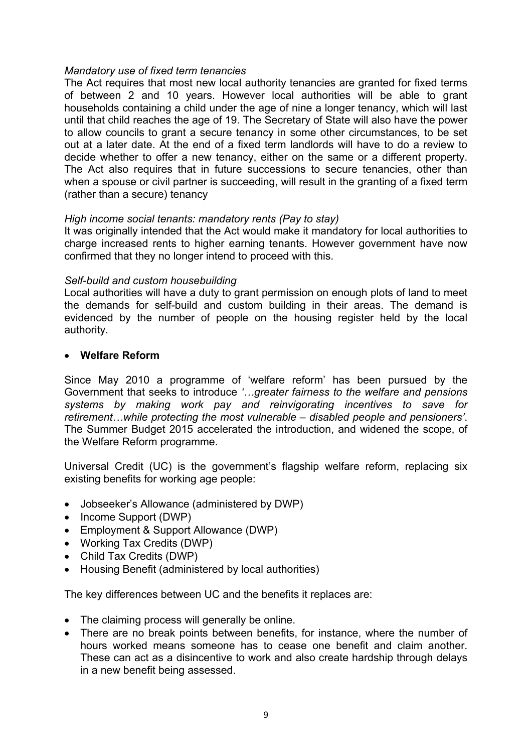#### *Mandatory use of fixed term tenancies*

The Act requires that most new local authority tenancies are granted for fixed terms of between 2 and 10 years. However local authorities will be able to grant households containing a child under the age of nine a longer tenancy, which will last until that child reaches the age of 19. The Secretary of State will also have the power to allow councils to grant a secure tenancy in some other circumstances, to be set out at a later date. At the end of a fixed term landlords will have to do a review to decide whether to offer a new tenancy, either on the same or a different property. The Act also requires that in future successions to secure tenancies, other than when a spouse or civil partner is succeeding, will result in the granting of a fixed term (rather than a secure) tenancy

#### *High income social tenants: mandatory rents (Pay to stay)*

It was originally intended that the Act would make it mandatory for local authorities to charge increased rents to higher earning tenants. However government have now confirmed that they no longer intend to proceed with this.

#### *Self-build and custom housebuilding*

Local authorities will have a duty to grant permission on enough plots of land to meet the demands for self-build and custom building in their areas. The demand is evidenced by the number of people on the housing register held by the local authority.

#### **Welfare Reform**

Since May 2010 a programme of 'welfare reform' has been pursued by the Government that seeks to introduce *'…greater fairness to the welfare and pensions systems by making work pay and reinvigorating incentives to save for retirement…while protecting the most vulnerable – disabled people and pensioners'*. The Summer Budget 2015 accelerated the introduction, and widened the scope, of the Welfare Reform programme.

Universal Credit (UC) is the government's flagship welfare reform, replacing six existing benefits for working age people:

- Jobseeker's Allowance (administered by DWP)
- Income Support (DWP)
- Employment & Support Allowance (DWP)
- Working Tax Credits (DWP)
- Child Tax Credits (DWP)
- Housing Benefit (administered by local authorities)

The key differences between UC and the benefits it replaces are:

- The claiming process will generally be online.
- There are no break points between benefits, for instance, where the number of hours worked means someone has to cease one benefit and claim another. These can act as a disincentive to work and also create hardship through delays in a new benefit being assessed.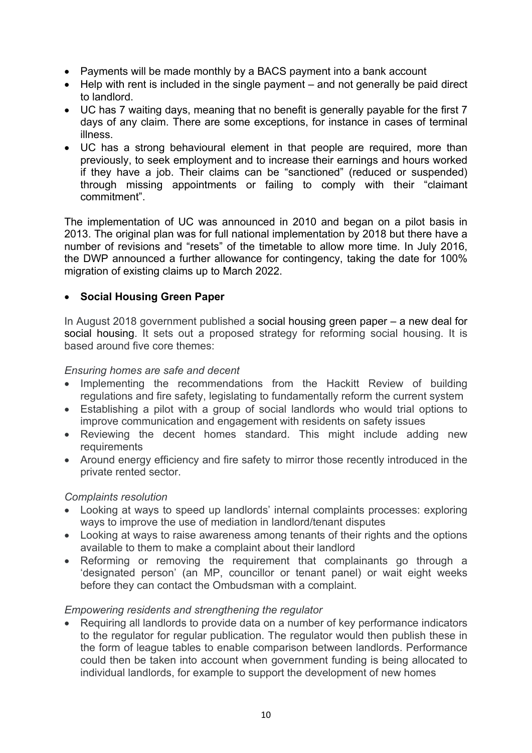- Payments will be made monthly by a BACS payment into a bank account
- Help with rent is included in the single payment and not generally be paid direct to landlord.
- UC has 7 waiting days, meaning that no benefit is generally payable for the first 7 days of any claim. There are some exceptions, for instance in cases of terminal illness.
- UC has a strong behavioural element in that people are required, more than previously, to seek employment and to increase their earnings and hours worked if they have a job. Their claims can be "sanctioned" (reduced or suspended) through missing appointments or failing to comply with their "claimant commitment".

The implementation of UC was announced in 2010 and began on a pilot basis in 2013. The original plan was for full national implementation by 2018 but there have a number of revisions and "resets" of the timetable to allow more time. In July 2016, the DWP announced a further allowance for contingency, taking the date for 100% migration of existing claims up to March 2022.

## **Social Housing Green Paper**

In August 2018 government published a social housing green paper – a new deal for social housing. It sets out a proposed strategy for reforming social housing. It is based around five core themes:

## *Ensuring homes are safe and decent*

- Implementing the recommendations from the Hackitt Review of building regulations and fire safety, legislating to fundamentally reform the current system
- Establishing a pilot with a group of social landlords who would trial options to improve communication and engagement with residents on safety issues
- Reviewing the decent homes standard. This might include adding new **requirements**
- Around energy efficiency and fire safety to mirror those recently introduced in the private rented sector.

## *Complaints resolution*

- Looking at ways to speed up landlords' internal complaints processes: exploring ways to improve the use of mediation in landlord/tenant disputes
- Looking at ways to raise awareness among tenants of their rights and the options available to them to make a complaint about their landlord
- Reforming or removing the requirement that complainants go through a 'designated person' (an MP, councillor or tenant panel) or wait eight weeks before they can contact the Ombudsman with a complaint.

#### *Empowering residents and strengthening the regulator*

 Requiring all landlords to provide data on a number of key performance indicators to the regulator for regular publication. The regulator would then publish these in the form of league tables to enable comparison between landlords. Performance could then be taken into account when government funding is being allocated to individual landlords, for example to support the development of new homes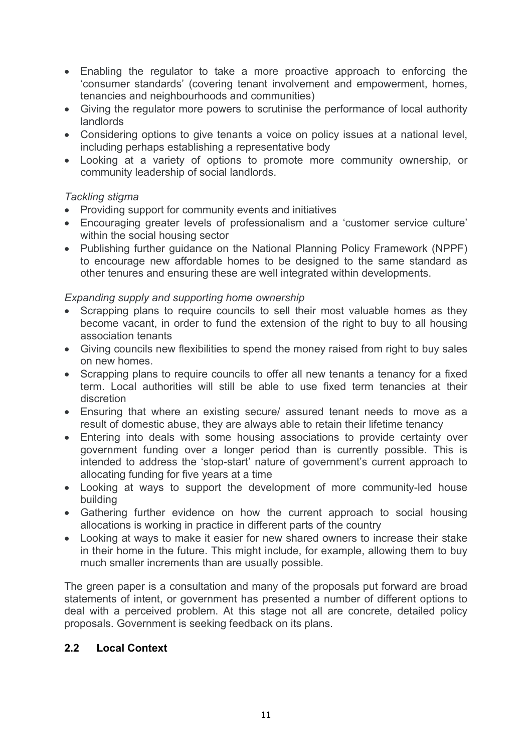- Enabling the regulator to take a more proactive approach to enforcing the 'consumer standards' (covering tenant involvement and empowerment, homes, tenancies and neighbourhoods and communities)
- Giving the regulator more powers to scrutinise the performance of local authority landlords
- Considering options to give tenants a voice on policy issues at a national level, including perhaps establishing a representative body
- Looking at a variety of options to promote more community ownership, or community leadership of social landlords.

## *Tackling stigma*

- Providing support for community events and initiatives
- Encouraging greater levels of professionalism and a 'customer service culture' within the social housing sector
- Publishing further guidance on the National Planning Policy Framework (NPPF) to encourage new affordable homes to be designed to the same standard as other tenures and ensuring these are well integrated within developments.

## *Expanding supply and supporting home ownership*

- Scrapping plans to require councils to sell their most valuable homes as they become vacant, in order to fund the extension of the right to buy to all housing association tenants
- Giving councils new flexibilities to spend the money raised from right to buy sales on new homes.
- Scrapping plans to require councils to offer all new tenants a tenancy for a fixed term. Local authorities will still be able to use fixed term tenancies at their discretion
- Ensuring that where an existing secure/ assured tenant needs to move as a result of domestic abuse, they are always able to retain their lifetime tenancy
- Entering into deals with some housing associations to provide certainty over government funding over a longer period than is currently possible. This is intended to address the 'stop-start' nature of government's current approach to allocating funding for five years at a time
- Looking at ways to support the development of more community-led house building
- Gathering further evidence on how the current approach to social housing allocations is working in practice in different parts of the country
- Looking at ways to make it easier for new shared owners to increase their stake in their home in the future. This might include, for example, allowing them to buy much smaller increments than are usually possible.

The green paper is a consultation and many of the proposals put forward are broad statements of intent, or government has presented a number of different options to deal with a perceived problem. At this stage not all are concrete, detailed policy proposals. Government is seeking feedback on its plans.

## **2.2 Local Context**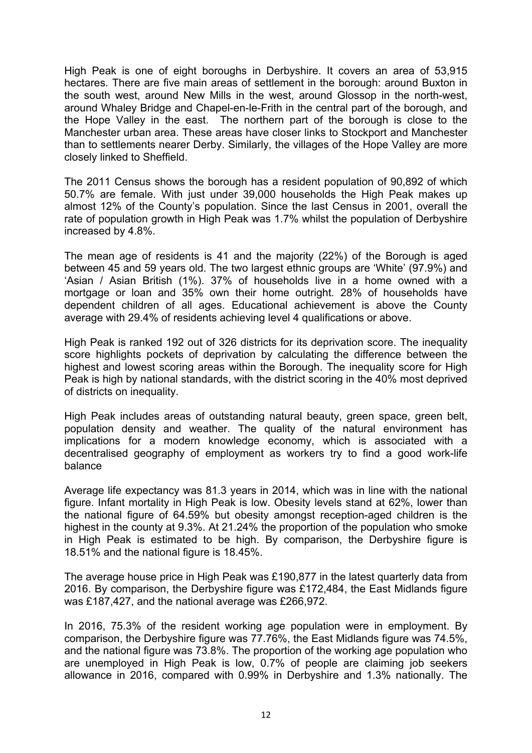High Peak is one of eight boroughs in Derbyshire. It covers an area of 53,915 hectares. There are five main areas of settlement in the borough: around Buxton in the south west, around New Mills in the west, around Glossop in the north-west, around Whaley Bridge and Chapel-en-le-Frith in the central part of the borough, and the Hope Valley in the east. The northern part of the borough is close to the Manchester urban area. These areas have closer links to Stockport and Manchester than to settlements nearer Derby. Similarly, the villages of the Hope Valley are more closely linked to Sheffield.

The 2011 Census shows the borough has a resident population of 90,892 of which 50.7% are female. With just under 39,000 households the High Peak makes up almost 12% of the County's population. Since the last Census in 2001, overall the rate of population growth in High Peak was 1.7% whilst the population of Derbyshire increased by 4.8%.

The mean age of residents is 41 and the majority (22%) of the Borough is aged between 45 and 59 years old. The two largest ethnic groups are 'White' (97.9%) and 'Asian / Asian British (1%). 37% of households live in a home owned with a mortgage or loan and 35% own their home outright. 28% of households have dependent children of all ages. Educational achievement is above the County average with 29.4% of residents achieving level 4 qualifications or above.

High Peak is ranked 192 out of 326 districts for its deprivation score. The inequality score highlights pockets of deprivation by calculating the difference between the highest and lowest scoring areas within the Borough. The inequality score for High Peak is high by national standards, with the district scoring in the 40% most deprived of districts on inequality.

High Peak includes areas of outstanding natural beauty, green space, green belt, population density and weather. The quality of the natural environment has implications for a modern knowledge economy, which is associated with a decentralised geography of employment as workers try to find a good work-life balance

Average life expectancy was 81.3 years in 2014, which was in line with the national figure. Infant mortality in High Peak is low. Obesity levels stand at 62%, lower than the national figure of 64.59% but obesity amongst reception-aged children is the highest in the county at 9.3%. At 21.24% the proportion of the population who smoke in High Peak is estimated to be high. By comparison, the Derbyshire figure is 18.51% and the national figure is 18.45%.

The average house price in High Peak was £190,877 in the latest quarterly data from 2016. By comparison, the Derbyshire figure was £172,484, the East Midlands figure was £187,427, and the national average was £266,972.

In 2016, 75.3% of the resident working age population were in employment. By comparison, the Derbyshire figure was 77.76%, the East Midlands figure was 74.5%, and the national figure was 73.8%. The proportion of the working age population who are unemployed in High Peak is low, 0.7% of people are claiming job seekers allowance in 2016, compared with 0.99% in Derbyshire and 1.3% nationally. The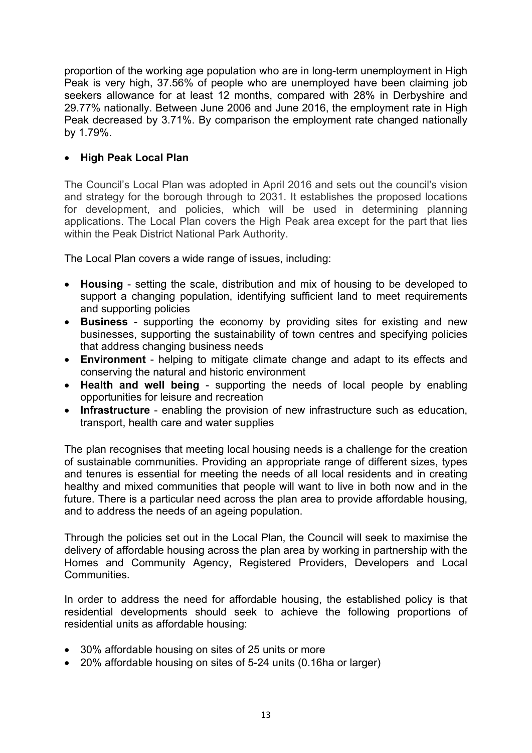proportion of the working age population who are in long-term unemployment in High Peak is very high, 37.56% of people who are unemployed have been claiming job seekers allowance for at least 12 months, compared with 28% in Derbyshire and 29.77% nationally. Between June 2006 and June 2016, the employment rate in High Peak decreased by 3.71%. By comparison the employment rate changed nationally by 1.79%.

## **High Peak Local Plan**

The Council's Local Plan was adopted in April 2016 and sets out the council's vision and strategy for the borough through to 2031. It establishes the proposed locations for development, and policies, which will be used in determining planning applications. The Local Plan covers the High Peak area except for the part that lies within the Peak District National Park Authority.

The Local Plan covers a wide range of issues, including:

- **Housing** setting the scale, distribution and mix of housing to be developed to support a changing population, identifying sufficient land to meet requirements and supporting policies
- **Business** supporting the economy by providing sites for existing and new businesses, supporting the sustainability of town centres and specifying policies that address changing business needs
- **Environment** helping to mitigate climate change and adapt to its effects and conserving the natural and historic environment
- **Health and well being** supporting the needs of local people by enabling opportunities for leisure and recreation
- **Infrastructure** enabling the provision of new infrastructure such as education, transport, health care and water supplies

The plan recognises that meeting local housing needs is a challenge for the creation of sustainable communities. Providing an appropriate range of different sizes, types and tenures is essential for meeting the needs of all local residents and in creating healthy and mixed communities that people will want to live in both now and in the future. There is a particular need across the plan area to provide affordable housing, and to address the needs of an ageing population.

Through the policies set out in the Local Plan, the Council will seek to maximise the delivery of affordable housing across the plan area by working in partnership with the Homes and Community Agency, Registered Providers, Developers and Local **Communities** 

In order to address the need for affordable housing, the established policy is that residential developments should seek to achieve the following proportions of residential units as affordable housing:

- 30% affordable housing on sites of 25 units or more
- 20% affordable housing on sites of 5-24 units (0.16ha or larger)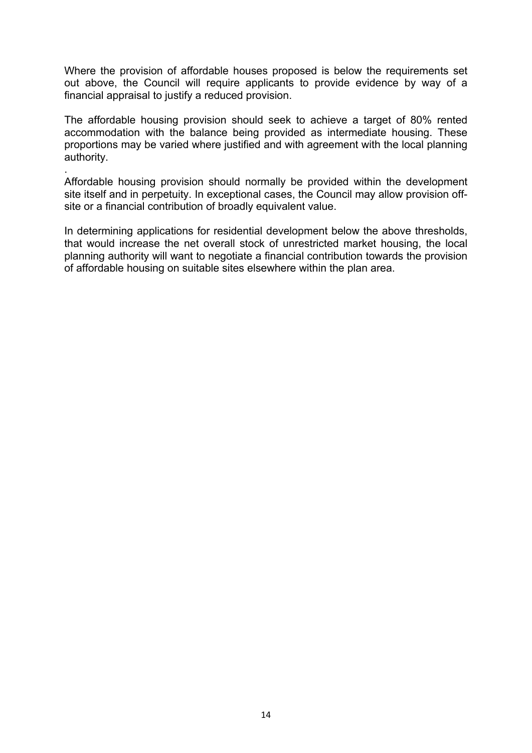Where the provision of affordable houses proposed is below the requirements set out above, the Council will require applicants to provide evidence by way of a financial appraisal to justify a reduced provision.

The affordable housing provision should seek to achieve a target of 80% rented accommodation with the balance being provided as intermediate housing. These proportions may be varied where justified and with agreement with the local planning authority.

Affordable housing provision should normally be provided within the development site itself and in perpetuity. In exceptional cases, the Council may allow provision offsite or a financial contribution of broadly equivalent value.

.

In determining applications for residential development below the above thresholds, that would increase the net overall stock of unrestricted market housing, the local planning authority will want to negotiate a financial contribution towards the provision of affordable housing on suitable sites elsewhere within the plan area.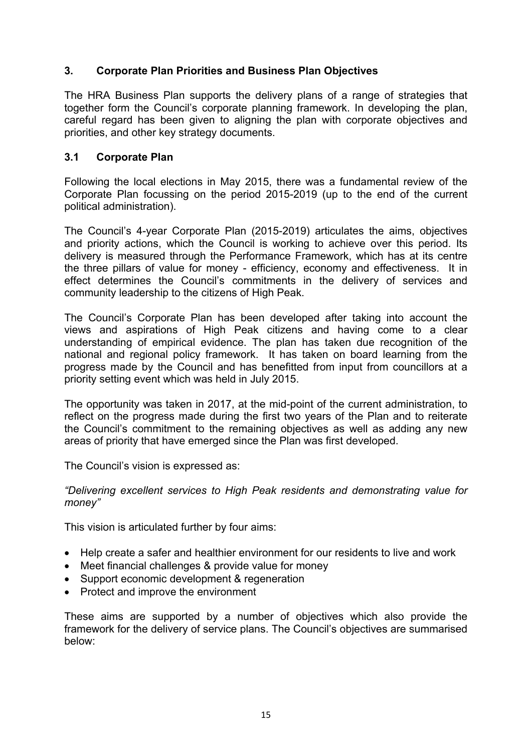## **3. Corporate Plan Priorities and Business Plan Objectives**

The HRA Business Plan supports the delivery plans of a range of strategies that together form the Council's corporate planning framework. In developing the plan, careful regard has been given to aligning the plan with corporate objectives and priorities, and other key strategy documents.

## **3.1 Corporate Plan**

Following the local elections in May 2015, there was a fundamental review of the Corporate Plan focussing on the period 2015-2019 (up to the end of the current political administration).

The Council's 4-year Corporate Plan (2015-2019) articulates the aims, objectives and priority actions, which the Council is working to achieve over this period. Its delivery is measured through the Performance Framework, which has at its centre the three pillars of value for money - efficiency, economy and effectiveness. It in effect determines the Council's commitments in the delivery of services and community leadership to the citizens of High Peak.

The Council's Corporate Plan has been developed after taking into account the views and aspirations of High Peak citizens and having come to a clear understanding of empirical evidence. The plan has taken due recognition of the national and regional policy framework. It has taken on board learning from the progress made by the Council and has benefitted from input from councillors at a priority setting event which was held in July 2015.

The opportunity was taken in 2017, at the mid-point of the current administration, to reflect on the progress made during the first two years of the Plan and to reiterate the Council's commitment to the remaining objectives as well as adding any new areas of priority that have emerged since the Plan was first developed.

The Council's vision is expressed as:

#### *"Delivering excellent services to High Peak residents and demonstrating value for money"*

This vision is articulated further by four aims:

- Help create a safer and healthier environment for our residents to live and work
- Meet financial challenges & provide value for money
- Support economic development & regeneration
- Protect and improve the environment

These aims are supported by a number of objectives which also provide the framework for the delivery of service plans. The Council's objectives are summarised below: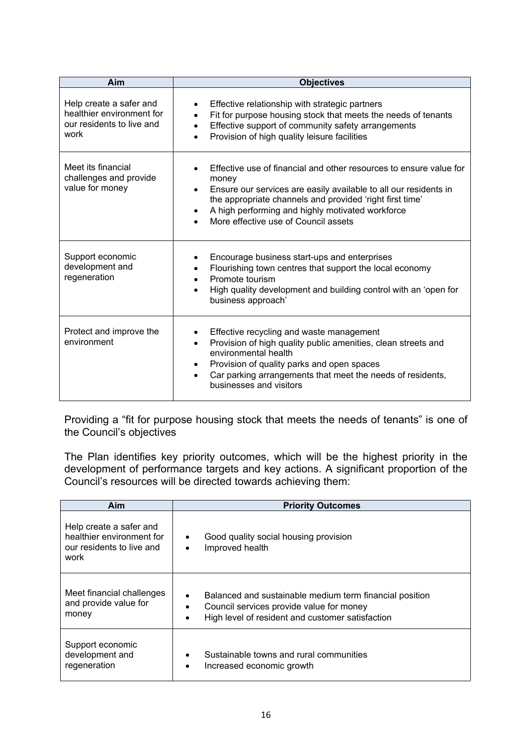| Aim                                                                                       | <b>Objectives</b>                                                                                                                                                                                                                                                                                                    |
|-------------------------------------------------------------------------------------------|----------------------------------------------------------------------------------------------------------------------------------------------------------------------------------------------------------------------------------------------------------------------------------------------------------------------|
| Help create a safer and<br>healthier environment for<br>our residents to live and<br>work | Effective relationship with strategic partners<br>$\bullet$<br>Fit for purpose housing stock that meets the needs of tenants<br>Effective support of community safety arrangements<br>Provision of high quality leisure facilities<br>$\bullet$                                                                      |
| Meet its financial<br>challenges and provide<br>value for money                           | Effective use of financial and other resources to ensure value for<br>money<br>Ensure our services are easily available to all our residents in<br>$\bullet$<br>the appropriate channels and provided 'right first time'<br>A high performing and highly motivated workforce<br>More effective use of Council assets |
| Support economic<br>development and<br>regeneration                                       | Encourage business start-ups and enterprises<br>Flourishing town centres that support the local economy<br>Promote tourism<br>High quality development and building control with an 'open for<br>business approach'                                                                                                  |
| Protect and improve the<br>environment                                                    | Effective recycling and waste management<br>Provision of high quality public amenities, clean streets and<br>$\bullet$<br>environmental health<br>Provision of quality parks and open spaces<br>Car parking arrangements that meet the needs of residents,<br>businesses and visitors                                |

Providing a "fit for purpose housing stock that meets the needs of tenants" is one of the Council's objectives

The Plan identifies key priority outcomes, which will be the highest priority in the development of performance targets and key actions. A significant proportion of the Council's resources will be directed towards achieving them:

| Aim                                                                                       | <b>Priority Outcomes</b>                                                                                                                                                          |
|-------------------------------------------------------------------------------------------|-----------------------------------------------------------------------------------------------------------------------------------------------------------------------------------|
| Help create a safer and<br>healthier environment for<br>our residents to live and<br>work | Good quality social housing provision<br>٠<br>Improved health<br>$\bullet$                                                                                                        |
| Meet financial challenges<br>and provide value for<br>money                               | Balanced and sustainable medium term financial position<br>$\bullet$<br>Council services provide value for money<br>$\bullet$<br>High level of resident and customer satisfaction |
| Support economic<br>development and<br>regeneration                                       | Sustainable towns and rural communities<br>$\bullet$<br>Increased economic growth<br>٠                                                                                            |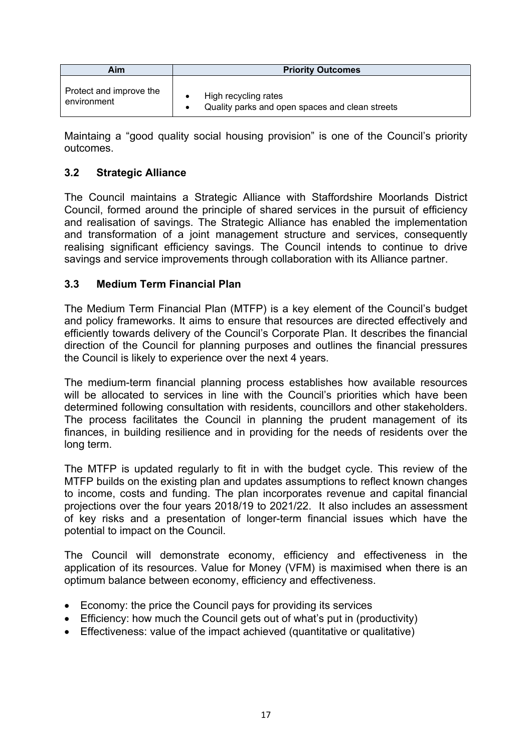| Aim                     | <b>Priority Outcomes</b>                        |  |  |  |  |
|-------------------------|-------------------------------------------------|--|--|--|--|
| Protect and improve the | High recycling rates                            |  |  |  |  |
| environment             | Quality parks and open spaces and clean streets |  |  |  |  |

Maintaing a "good quality social housing provision" is one of the Council's priority outcomes.

## **3.2 Strategic Alliance**

The Council maintains a Strategic Alliance with Staffordshire Moorlands District Council, formed around the principle of shared services in the pursuit of efficiency and realisation of savings. The Strategic Alliance has enabled the implementation and transformation of a joint management structure and services, consequently realising significant efficiency savings. The Council intends to continue to drive savings and service improvements through collaboration with its Alliance partner.

## **3.3 Medium Term Financial Plan**

The Medium Term Financial Plan (MTFP) is a key element of the Council's budget and policy frameworks. It aims to ensure that resources are directed effectively and efficiently towards delivery of the Council's Corporate Plan. It describes the financial direction of the Council for planning purposes and outlines the financial pressures the Council is likely to experience over the next 4 years.

The medium-term financial planning process establishes how available resources will be allocated to services in line with the Council's priorities which have been determined following consultation with residents, councillors and other stakeholders. The process facilitates the Council in planning the prudent management of its finances, in building resilience and in providing for the needs of residents over the long term.

The MTFP is updated regularly to fit in with the budget cycle. This review of the MTFP builds on the existing plan and updates assumptions to reflect known changes to income, costs and funding. The plan incorporates revenue and capital financial projections over the four years 2018/19 to 2021/22. It also includes an assessment of key risks and a presentation of longer-term financial issues which have the potential to impact on the Council.

The Council will demonstrate economy, efficiency and effectiveness in the application of its resources. Value for Money (VFM) is maximised when there is an optimum balance between economy, efficiency and effectiveness.

- Economy: the price the Council pays for providing its services
- Efficiency: how much the Council gets out of what's put in (productivity)
- Effectiveness: value of the impact achieved (quantitative or qualitative)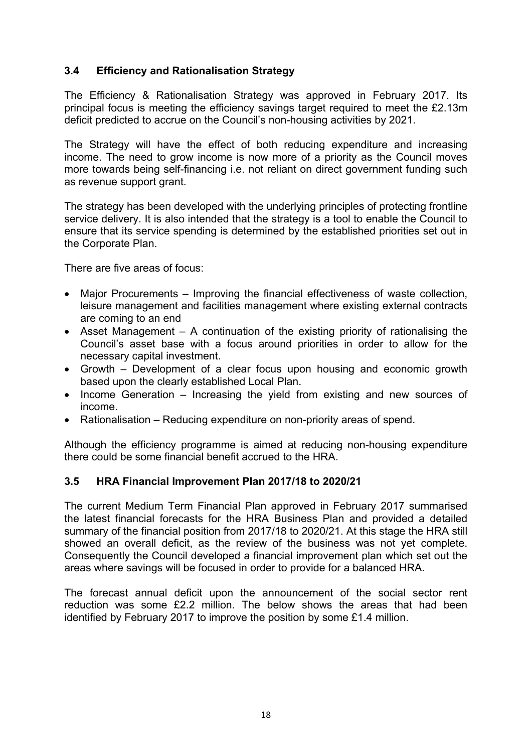## **3.4 Efficiency and Rationalisation Strategy**

The Efficiency & Rationalisation Strategy was approved in February 2017. Its principal focus is meeting the efficiency savings target required to meet the £2.13m deficit predicted to accrue on the Council's non-housing activities by 2021.

The Strategy will have the effect of both reducing expenditure and increasing income. The need to grow income is now more of a priority as the Council moves more towards being self-financing i.e. not reliant on direct government funding such as revenue support grant.

The strategy has been developed with the underlying principles of protecting frontline service delivery. It is also intended that the strategy is a tool to enable the Council to ensure that its service spending is determined by the established priorities set out in the Corporate Plan.

There are five areas of focus:

- Major Procurements Improving the financial effectiveness of waste collection, leisure management and facilities management where existing external contracts are coming to an end
- Asset Management A continuation of the existing priority of rationalising the Council's asset base with a focus around priorities in order to allow for the necessary capital investment.
- Growth Development of a clear focus upon housing and economic growth based upon the clearly established Local Plan.
- Income Generation Increasing the yield from existing and new sources of income.
- Rationalisation Reducing expenditure on non-priority areas of spend.

Although the efficiency programme is aimed at reducing non-housing expenditure there could be some financial benefit accrued to the HRA.

## **3.5 HRA Financial Improvement Plan 2017/18 to 2020/21**

The current Medium Term Financial Plan approved in February 2017 summarised the latest financial forecasts for the HRA Business Plan and provided a detailed summary of the financial position from 2017/18 to 2020/21. At this stage the HRA still showed an overall deficit, as the review of the business was not yet complete. Consequently the Council developed a financial improvement plan which set out the areas where savings will be focused in order to provide for a balanced HRA.

The forecast annual deficit upon the announcement of the social sector rent reduction was some £2.2 million. The below shows the areas that had been identified by February 2017 to improve the position by some £1.4 million.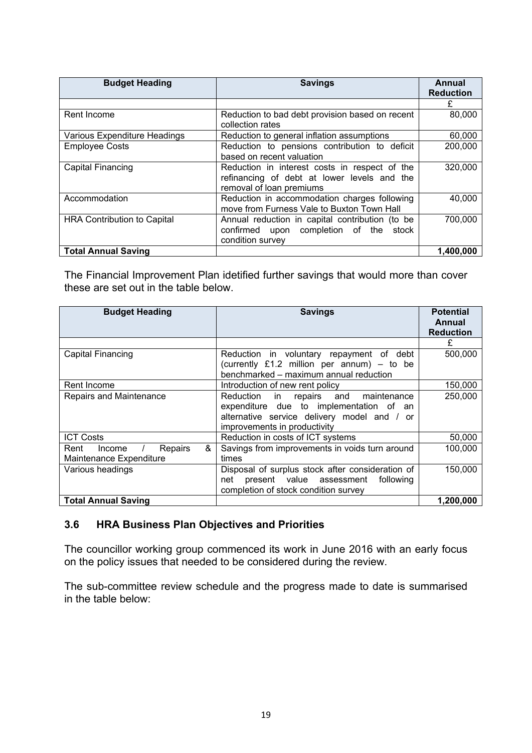| <b>Budget Heading</b>              | <b>Savings</b>                                                                                                           | Annual<br><b>Reduction</b> |
|------------------------------------|--------------------------------------------------------------------------------------------------------------------------|----------------------------|
|                                    |                                                                                                                          | £                          |
| Rent Income                        | Reduction to bad debt provision based on recent<br>collection rates                                                      | 80,000                     |
| Various Expenditure Headings       | Reduction to general inflation assumptions                                                                               | 60,000                     |
| <b>Employee Costs</b>              | Reduction to pensions contribution to deficit<br>based on recent valuation                                               | 200,000                    |
| Capital Financing                  | Reduction in interest costs in respect of the<br>refinancing of debt at lower levels and the<br>removal of loan premiums | 320,000                    |
| Accommodation                      | Reduction in accommodation charges following<br>move from Furness Vale to Buxton Town Hall                               | 40,000                     |
| <b>HRA Contribution to Capital</b> | Annual reduction in capital contribution (to be<br>confirmed upon completion of the stock<br>condition survey            | 700,000                    |
| <b>Total Annual Saving</b>         |                                                                                                                          | 1,400,000                  |

The Financial Improvement Plan idetified further savings that would more than cover these are set out in the table below.

| <b>Budget Heading</b>          | <b>Savings</b>                                   | <b>Potential</b><br>Annual<br><b>Reduction</b> |
|--------------------------------|--------------------------------------------------|------------------------------------------------|
|                                |                                                  | £                                              |
| Capital Financing              | Reduction in voluntary repayment of debt         | 500,000                                        |
|                                | (currently £1.2 million per annum) $-$ to be     |                                                |
|                                | benchmarked - maximum annual reduction           |                                                |
| Rent Income                    | Introduction of new rent policy                  | 150,000                                        |
| Repairs and Maintenance        | Reduction in repairs and<br>maintenance          | 250,000                                        |
|                                | expenditure due to implementation of an          |                                                |
|                                | alternative service delivery model and / or      |                                                |
|                                | improvements in productivity                     |                                                |
| <b>ICT Costs</b>               | Reduction in costs of ICT systems                | 50,000                                         |
| &<br>Repairs<br>Rent<br>Income | Savings from improvements in voids turn around   | 100,000                                        |
| Maintenance Expenditure        | times                                            |                                                |
| Various headings               | Disposal of surplus stock after consideration of | 150,000                                        |
|                                | present value assessment<br>following<br>net     |                                                |
|                                | completion of stock condition survey             |                                                |
| <b>Total Annual Saving</b>     |                                                  | 1,200,000                                      |

## **3.6 HRA Business Plan Objectives and Priorities**

The councillor working group commenced its work in June 2016 with an early focus on the policy issues that needed to be considered during the review.

The sub-committee review schedule and the progress made to date is summarised in the table below: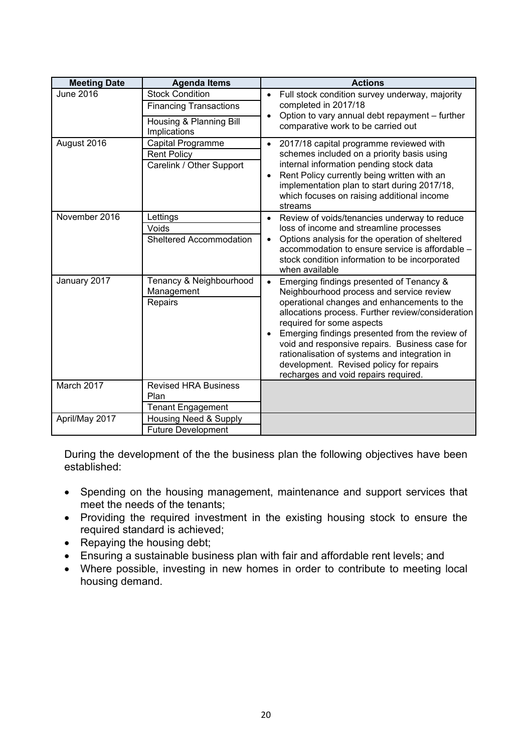| <b>Meeting Date</b> | <b>Agenda Items</b>                                                                                | <b>Actions</b>                                                                                                                                                                                                                                                                                                                                                                                                                                                                          |
|---------------------|----------------------------------------------------------------------------------------------------|-----------------------------------------------------------------------------------------------------------------------------------------------------------------------------------------------------------------------------------------------------------------------------------------------------------------------------------------------------------------------------------------------------------------------------------------------------------------------------------------|
| June 2016           | <b>Stock Condition</b><br><b>Financing Transactions</b><br>Housing & Planning Bill<br>Implications | Full stock condition survey underway, majority<br>$\bullet$<br>completed in 2017/18<br>Option to vary annual debt repayment - further<br>$\bullet$<br>comparative work to be carried out                                                                                                                                                                                                                                                                                                |
| August 2016         | Capital Programme<br><b>Rent Policy</b><br>Carelink / Other Support                                | 2017/18 capital programme reviewed with<br>$\bullet$<br>schemes included on a priority basis using<br>internal information pending stock data<br>Rent Policy currently being written with an<br>implementation plan to start during 2017/18,<br>which focuses on raising additional income<br>streams                                                                                                                                                                                   |
| November 2016       | Lettings<br>Voids<br>Sheltered Accommodation                                                       | Review of voids/tenancies underway to reduce<br>$\bullet$<br>loss of income and streamline processes<br>Options analysis for the operation of sheltered<br>$\bullet$<br>accommodation to ensure service is affordable -<br>stock condition information to be incorporated<br>when available                                                                                                                                                                                             |
| January 2017        | Tenancy & Neighbourhood<br>Management<br>Repairs                                                   | Emerging findings presented of Tenancy &<br>$\bullet$<br>Neighbourhood process and service review<br>operational changes and enhancements to the<br>allocations process. Further review/consideration<br>required for some aspects<br>Emerging findings presented from the review of<br>$\bullet$<br>void and responsive repairs. Business case for<br>rationalisation of systems and integration in<br>development. Revised policy for repairs<br>recharges and void repairs required. |
| March 2017          | <b>Revised HRA Business</b><br>Plan<br><b>Tenant Engagement</b>                                    |                                                                                                                                                                                                                                                                                                                                                                                                                                                                                         |
| April/May 2017      | Housing Need & Supply<br><b>Future Development</b>                                                 |                                                                                                                                                                                                                                                                                                                                                                                                                                                                                         |

During the development of the the business plan the following objectives have been established:

- Spending on the housing management, maintenance and support services that meet the needs of the tenants;
- Providing the required investment in the existing housing stock to ensure the required standard is achieved;
- Repaying the housing debt;
- Ensuring a sustainable business plan with fair and affordable rent levels; and
- Where possible, investing in new homes in order to contribute to meeting local housing demand.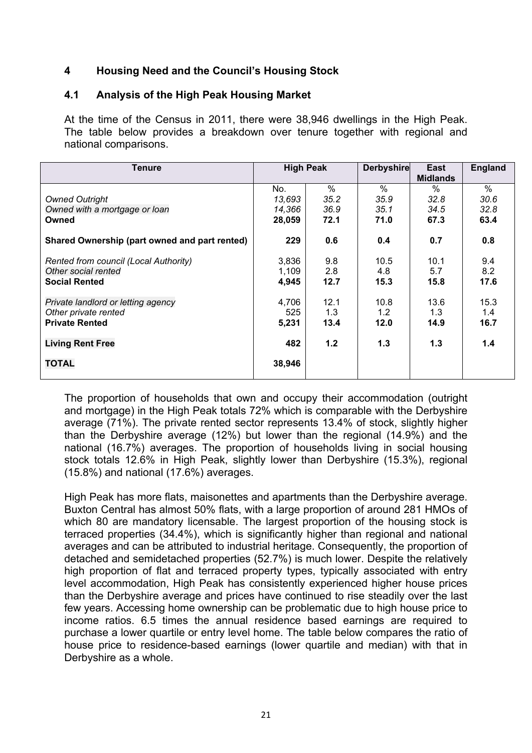## **4 Housing Need and the Council's Housing Stock**

#### **4.1 Analysis of the High Peak Housing Market**

At the time of the Census in 2011, there were 38,946 dwellings in the High Peak. The table below provides a breakdown over tenure together with regional and national comparisons.

| <b>Tenure</b>                                 |        | <b>High Peak</b> | <b>Derbyshire</b> | East<br><b>Midlands</b> | <b>England</b> |
|-----------------------------------------------|--------|------------------|-------------------|-------------------------|----------------|
|                                               | No.    | $\%$             | $\%$              | $\%$                    | $\%$           |
| <b>Owned Outright</b>                         | 13,693 | 35.2             | 35.9              | 32.8                    | 30.6           |
| Owned with a mortgage or loan                 | 14,366 | 36.9             | 35.1              | 34.5                    | 32.8           |
| Owned                                         | 28,059 | 72.1             | 71.0              | 67.3                    | 63.4           |
| Shared Ownership (part owned and part rented) | 229    | 0.6              | 0.4               | 0.7                     | 0.8            |
| Rented from council (Local Authority)         | 3,836  | 9.8              | 10.5              | 10.1                    | 9.4            |
| Other social rented                           | 1,109  | 2.8              | 4.8               | 5.7                     | 8.2            |
| <b>Social Rented</b>                          | 4,945  | 12.7             | 15.3              | 15.8                    | 17.6           |
| Private landlord or letting agency            | 4,706  | 12.1             | 10.8              | 13.6                    | 15.3           |
| Other private rented                          | 525    | 1.3              | 1.2               | 1.3                     | 1.4            |
| <b>Private Rented</b>                         | 5,231  | 13.4             | 12.0              | 14.9                    | 16.7           |
| <b>Living Rent Free</b>                       | 482    | 1.2              | 1.3               | 1.3                     | 1.4            |
| <b>TOTAL</b>                                  | 38,946 |                  |                   |                         |                |

The proportion of households that own and occupy their accommodation (outright and mortgage) in the High Peak totals 72% which is comparable with the Derbyshire average (71%). The private rented sector represents 13.4% of stock, slightly higher than the Derbyshire average (12%) but lower than the regional (14.9%) and the national (16.7%) averages. The proportion of households living in social housing stock totals 12.6% in High Peak, slightly lower than Derbyshire (15.3%), regional (15.8%) and national (17.6%) averages.

High Peak has more flats, maisonettes and apartments than the Derbyshire average. Buxton Central has almost 50% flats, with a large proportion of around 281 HMOs of which 80 are mandatory licensable. The largest proportion of the housing stock is terraced properties (34.4%), which is significantly higher than regional and national averages and can be attributed to industrial heritage. Consequently, the proportion of detached and semidetached properties (52.7%) is much lower. Despite the relatively high proportion of flat and terraced property types, typically associated with entry level accommodation, High Peak has consistently experienced higher house prices than the Derbyshire average and prices have continued to rise steadily over the last few years. Accessing home ownership can be problematic due to high house price to income ratios. 6.5 times the annual residence based earnings are required to purchase a lower quartile or entry level home. The table below compares the ratio of house price to residence-based earnings (lower quartile and median) with that in Derbyshire as a whole.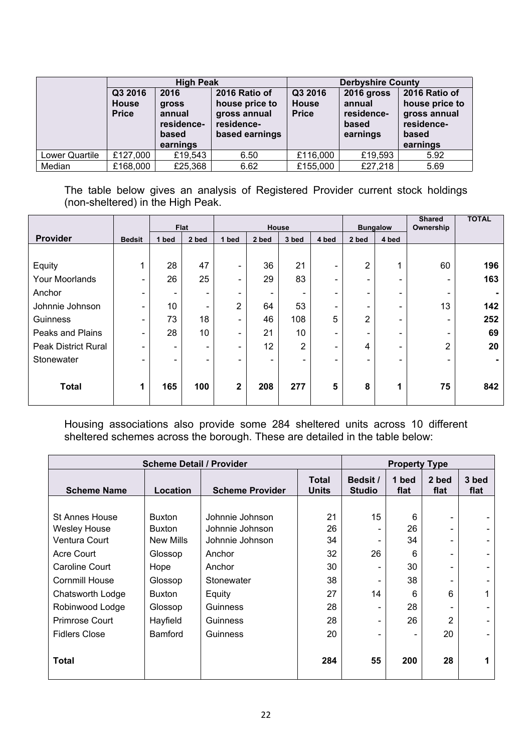|                |                                         |                                                                   |                                                                                                                                | <b>Derbyshire County</b> |                                                         |                                                                                    |  |
|----------------|-----------------------------------------|-------------------------------------------------------------------|--------------------------------------------------------------------------------------------------------------------------------|--------------------------|---------------------------------------------------------|------------------------------------------------------------------------------------|--|
|                | Q3 2016<br><b>House</b><br><b>Price</b> | 2016<br><b>gross</b><br>annual<br>residence-<br>based<br>earnings | <b>High Peak</b><br>Q3 2016<br>2016 Ratio of<br><b>House</b><br>house price to<br>gross annual<br>residence-<br>based earnings |                          | 2016 gross<br>annual<br>residence-<br>based<br>earnings | 2016 Ratio of<br>house price to<br>gross annual<br>residence-<br>based<br>earnings |  |
| Lower Quartile | £127,000                                | £19,543                                                           | 6.50                                                                                                                           | £116,000                 | £19,593                                                 | 5.92                                                                               |  |
| Median         | £168,000                                | £25,368                                                           | 6.62                                                                                                                           | £155,000                 | £27,218                                                 | 5.69                                                                               |  |

The table below gives an analysis of Registered Provider current stock holdings (non-sheltered) in the High Peak.

|                            |                          |                          | <b>Flat</b>              |                          |                          | House |                          |                | <b>Bungalow</b>          | <b>Shared</b><br>Ownership | <b>TOTAL</b> |
|----------------------------|--------------------------|--------------------------|--------------------------|--------------------------|--------------------------|-------|--------------------------|----------------|--------------------------|----------------------------|--------------|
| Provider                   | <b>Bedsit</b>            | bed                      | 2 bed                    | 1 bed                    | 2 bed                    | 3 bed | 4 bed                    | 2 bed          | 4 bed                    |                            |              |
|                            |                          |                          |                          |                          |                          |       |                          |                |                          |                            |              |
| Equity                     |                          | 28                       | 47                       | $\overline{\phantom{0}}$ | 36                       | 21    | $\blacksquare$           | $\overline{2}$ |                          | 60                         | 196          |
| Your Moorlands             | $\overline{\phantom{a}}$ | 26                       | 25                       | $\overline{\phantom{0}}$ | 29                       | 83    | $\blacksquare$           | Ξ.             | $\overline{\phantom{a}}$ | $\overline{\phantom{a}}$   | 163          |
| Anchor                     | $\overline{\phantom{a}}$ | $\overline{\phantom{0}}$ | $\overline{\phantom{0}}$ | $\overline{\phantom{0}}$ | $\overline{\phantom{0}}$ | ۰     | $\overline{\phantom{a}}$ | -              | -                        | $\overline{\phantom{a}}$   |              |
| Johnnie Johnson            | $\overline{\phantom{a}}$ | 10                       | $\overline{\phantom{0}}$ | $\overline{2}$           | 64                       | 53    | $\overline{\phantom{0}}$ | -              | $\overline{\phantom{0}}$ | 13                         | 142          |
| Guinness                   | $\overline{\phantom{a}}$ | 73                       | 18                       | $\overline{\phantom{0}}$ | 46                       | 108   | 5                        | 2              | $\overline{\phantom{a}}$ | $\overline{\phantom{a}}$   | 252          |
| Peaks and Plains           | $\overline{\phantom{0}}$ | 28                       | 10                       | $\overline{\phantom{0}}$ | 21                       | 10    | $\blacksquare$           | -              | -                        | -                          | 69           |
| <b>Peak District Rural</b> | $\overline{\phantom{a}}$ | $\overline{\phantom{0}}$ | -                        | -                        | 12                       | 2     | -                        | 4              | -                        | $\overline{2}$             | 20           |
| Stonewater                 | -                        | -                        | -                        |                          | -                        |       | -                        | -              | -                        | $\overline{\phantom{0}}$   |              |
|                            |                          |                          |                          |                          |                          |       |                          |                |                          |                            |              |
| <b>Total</b>               | $\mathbf 1$              | 165                      | 100                      | $\mathbf{2}$             | 208                      | 277   | 5                        | 8              | 1                        | 75                         | 842          |
|                            |                          |                          |                          |                          |                          |       |                          |                |                          |                            |              |

Housing associations also provide some 284 sheltered units across 10 different sheltered schemes across the borough. These are detailed in the table below:

| <b>Scheme Detail / Provider</b> |                  |                        |                              |                           | <b>Property Type</b> |               |               |
|---------------------------------|------------------|------------------------|------------------------------|---------------------------|----------------------|---------------|---------------|
| <b>Scheme Name</b>              | Location         | <b>Scheme Provider</b> | <b>Total</b><br><b>Units</b> | Bedsit /<br><b>Studio</b> | 1 bed<br>flat        | 2 bed<br>flat | 3 bed<br>flat |
|                                 |                  |                        |                              |                           |                      |               |               |
| <b>St Annes House</b>           | <b>Buxton</b>    | Johnnie Johnson        | 21                           | 15                        | 6                    |               |               |
| <b>Wesley House</b>             | Buxton           | Johnnie Johnson        | 26                           |                           | 26                   |               |               |
| Ventura Court                   | <b>New Mills</b> | Johnnie Johnson        | 34                           |                           | 34                   |               |               |
| Acre Court                      | Glossop          | Anchor                 | 32                           | 26                        | 6                    |               |               |
| Caroline Court                  | Hope             | Anchor                 | 30                           |                           | 30                   |               |               |
| <b>Cornmill House</b>           | Glossop          | Stonewater             | 38                           |                           | 38                   |               |               |
| Chatsworth Lodge                | Buxton           | Equity                 | 27                           | 14                        | 6                    | 6             |               |
| Robinwood Lodge                 | Glossop          | Guinness               | 28                           |                           | 28                   |               |               |
| Primrose Court                  | Hayfield         | Guinness               | 28                           |                           | 26                   | 2             |               |
| <b>Fidlers Close</b>            | <b>Bamford</b>   | Guinness               | 20                           |                           |                      | 20            |               |
| Total                           |                  |                        | 284                          | 55                        | 200                  | 28            |               |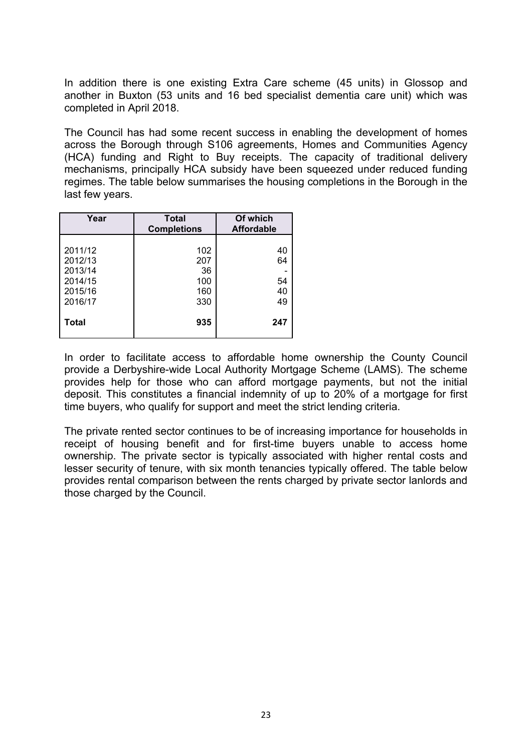In addition there is one existing Extra Care scheme (45 units) in Glossop and another in Buxton (53 units and 16 bed specialist dementia care unit) which was completed in April 2018.

The Council has had some recent success in enabling the development of homes across the Borough through S106 agreements, Homes and Communities Agency (HCA) funding and Right to Buy receipts. The capacity of traditional delivery mechanisms, principally HCA subsidy have been squeezed under reduced funding regimes. The table below summarises the housing completions in the Borough in the last few years.

| Year                                                           | <b>Total</b><br><b>Completions</b>    | Of which<br><b>Affordable</b> |
|----------------------------------------------------------------|---------------------------------------|-------------------------------|
| 2011/12<br>2012/13<br>2013/14<br>2014/15<br>2015/16<br>2016/17 | 102<br>207<br>36<br>100<br>160<br>330 | 40<br>64<br>54<br>40<br>49    |
| <b>Total</b>                                                   | 935                                   | 247                           |

In order to facilitate access to affordable home ownership the County Council provide a Derbyshire-wide Local Authority Mortgage Scheme (LAMS). The scheme provides help for those who can afford mortgage payments, but not the initial deposit. This constitutes a financial indemnity of up to 20% of a mortgage for first time buyers, who qualify for support and meet the strict lending criteria.

The private rented sector continues to be of increasing importance for households in receipt of housing benefit and for first-time buyers unable to access home ownership. The private sector is typically associated with higher rental costs and lesser security of tenure, with six month tenancies typically offered. The table below provides rental comparison between the rents charged by private sector lanlords and those charged by the Council.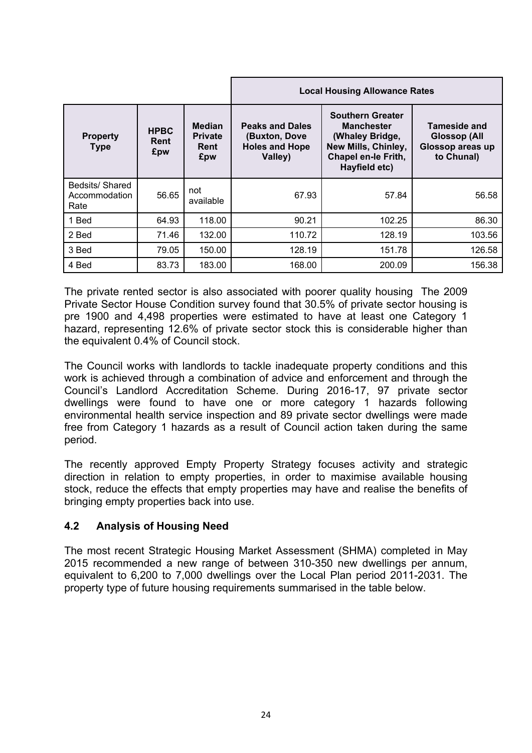|                                         |                            |                                                |                                                                             | <b>Local Housing Allowance Rates</b>                                                                                                  |                                                                              |
|-----------------------------------------|----------------------------|------------------------------------------------|-----------------------------------------------------------------------------|---------------------------------------------------------------------------------------------------------------------------------------|------------------------------------------------------------------------------|
| <b>Property</b><br><b>Type</b>          | <b>HPBC</b><br>Rent<br>£pw | <b>Median</b><br><b>Private</b><br>Rent<br>£pw | <b>Peaks and Dales</b><br>(Buxton, Dove<br><b>Holes and Hope</b><br>Valley) | <b>Southern Greater</b><br><b>Manchester</b><br>(Whaley Bridge,<br>New Mills, Chinley,<br><b>Chapel en-le Frith,</b><br>Hayfield etc) | <b>Tameside and</b><br><b>Glossop (All</b><br>Glossop areas up<br>to Chunal) |
| Bedsits/Shared<br>Accommodation<br>Rate | 56.65                      | not<br>available                               | 67.93                                                                       | 57.84                                                                                                                                 | 56.58                                                                        |
| 1 Bed                                   | 64.93                      | 118.00                                         | 90.21                                                                       | 102.25                                                                                                                                | 86.30                                                                        |
| 2 Bed                                   | 71.46                      | 132.00                                         | 110.72                                                                      | 128.19                                                                                                                                | 103.56                                                                       |
| 3 Bed                                   | 79.05                      | 150.00                                         | 128.19                                                                      | 151.78                                                                                                                                | 126.58                                                                       |
| 4 Bed                                   | 83.73                      | 183.00                                         | 168.00                                                                      | 200.09                                                                                                                                | 156.38                                                                       |

The private rented sector is also associated with poorer quality housing The 2009 Private Sector House Condition survey found that 30.5% of private sector housing is pre 1900 and 4,498 properties were estimated to have at least one Category 1 hazard, representing 12.6% of private sector stock this is considerable higher than the equivalent 0.4% of Council stock.

The Council works with landlords to tackle inadequate property conditions and this work is achieved through a combination of advice and enforcement and through the Council's Landlord Accreditation Scheme. During 2016-17, 97 private sector dwellings were found to have one or more category 1 hazards following environmental health service inspection and 89 private sector dwellings were made free from Category 1 hazards as a result of Council action taken during the same period.

The recently approved Empty Property Strategy focuses activity and strategic direction in relation to empty properties, in order to maximise available housing stock, reduce the effects that empty properties may have and realise the benefits of bringing empty properties back into use.

## **4.2 Analysis of Housing Need**

The most recent Strategic Housing Market Assessment (SHMA) completed in May 2015 recommended a new range of between 310-350 new dwellings per annum, equivalent to 6,200 to 7,000 dwellings over the Local Plan period 2011-2031. The property type of future housing requirements summarised in the table below.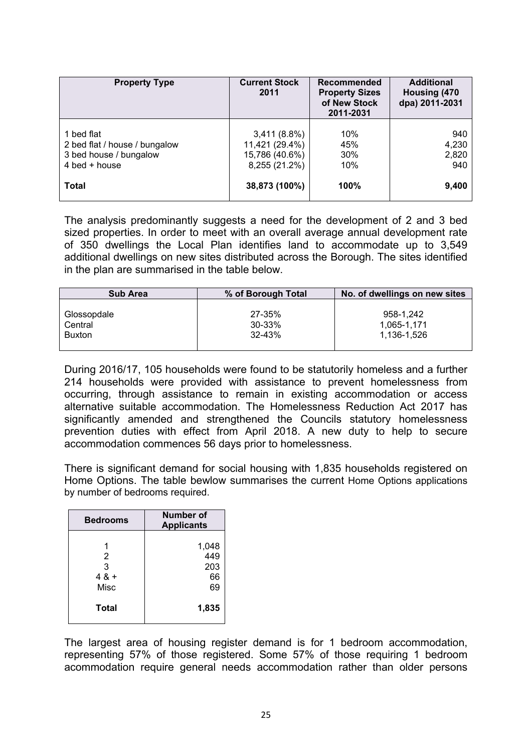| <b>Property Type</b>                                                                     | <b>Current Stock</b><br>2011                                        | Recommended<br><b>Property Sizes</b><br>of New Stock<br>2011-2031 | <b>Additional</b><br>Housing (470<br>dpa) 2011-2031 |  |  |
|------------------------------------------------------------------------------------------|---------------------------------------------------------------------|-------------------------------------------------------------------|-----------------------------------------------------|--|--|
| 1 bed flat<br>2 bed flat / house / bungalow<br>3 bed house / bungalow<br>$4$ bed + house | $3,411(8.8\%)$<br>11,421 (29.4%)<br>15,786 (40.6%)<br>8,255 (21.2%) | 10%<br>45%<br>30%<br>10%                                          | 940<br>4,230<br>2,820<br>940                        |  |  |
| Total                                                                                    | 38,873 (100%)                                                       | 100%                                                              | 9,400                                               |  |  |

The analysis predominantly suggests a need for the development of 2 and 3 bed sized properties. In order to meet with an overall average annual development rate of 350 dwellings the Local Plan identifies land to accommodate up to 3,549 additional dwellings on new sites distributed across the Borough. The sites identified in the plan are summarised in the table below.

| <b>Sub Area</b> | % of Borough Total | No. of dwellings on new sites |
|-----------------|--------------------|-------------------------------|
| Glossopdale     | $27 - 35%$         | 958-1.242                     |
| Central         | $30 - 33%$         | 1.065-1.171                   |
| Buxton          | 32-43%             | 1.136-1.526                   |

During 2016/17, 105 households were found to be statutorily homeless and a further 214 households were provided with assistance to prevent homelessness from occurring, through assistance to remain in existing accommodation or access alternative suitable accommodation. The Homelessness Reduction Act 2017 has significantly amended and strengthened the Councils statutory homelessness prevention duties with effect from April 2018. A new duty to help to secure accommodation commences 56 days prior to homelessness.

There is significant demand for social housing with 1,835 households registered on Home Options. The table bewlow summarises the current Home Options applications by number of bedrooms required.

| <b>Bedrooms</b>          | Number of<br><b>Applicants</b>  |
|--------------------------|---------------------------------|
| 2<br>3<br>$48 +$<br>Misc | 1,048<br>449<br>203<br>66<br>69 |
| Total                    | 1,835                           |

The largest area of housing register demand is for 1 bedroom accommodation, representing 57% of those registered. Some 57% of those requiring 1 bedroom acommodation require general needs accommodation rather than older persons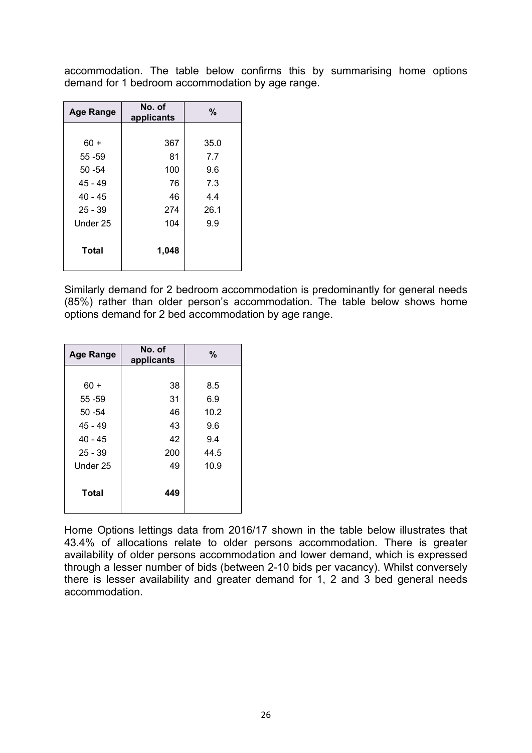accommodation. The table below confirms this by summarising home options demand for 1 bedroom accommodation by age range.

| <b>Age Range</b> | No. of<br>applicants | $\frac{0}{0}$ |
|------------------|----------------------|---------------|
|                  |                      |               |
| $60 +$           | 367                  | 35.0          |
| 55 - 59          | 81                   | 7.7           |
| $50 - 54$        | 100                  | 9.6           |
| $45 - 49$        | 76                   | 7.3           |
| $40 - 45$        | 46                   | 4.4           |
| $25 - 39$        | 274                  | 26.1          |
| Under 25         | 104                  | 9.9           |
| <b>Total</b>     | 1,048                |               |

Similarly demand for 2 bedroom accommodation is predominantly for general needs (85%) rather than older person's accommodation. The table below shows home options demand for 2 bed accommodation by age range.

| <b>Age Range</b> | No. of<br>applicants | %    |
|------------------|----------------------|------|
|                  |                      |      |
| $60 +$           | 38                   | 8.5  |
| 55 - 59          | 31                   | 6.9  |
| $50 - 54$        | 46                   | 10.2 |
| $45 - 49$        | 43                   | 9.6  |
| $40 - 45$        | 42                   | 9.4  |
| $25 - 39$        | 200                  | 44.5 |
| Under 25         | 49                   | 10.9 |
| <b>Total</b>     | 449                  |      |

Home Options lettings data from 2016/17 shown in the table below illustrates that 43.4% of allocations relate to older persons accommodation. There is greater availability of older persons accommodation and lower demand, which is expressed through a lesser number of bids (between 2-10 bids per vacancy). Whilst conversely there is lesser availability and greater demand for 1, 2 and 3 bed general needs accommodation.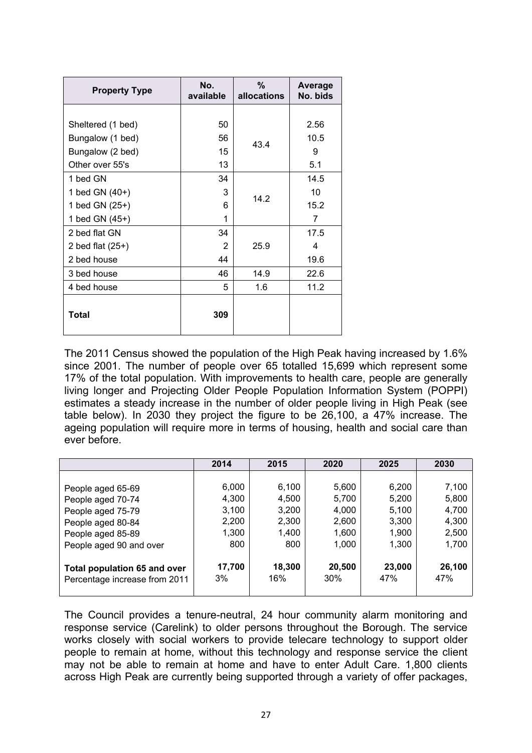| <b>Property Type</b> | No.<br>available | %<br>allocations | <b>Average</b><br>No. bids |
|----------------------|------------------|------------------|----------------------------|
|                      |                  |                  |                            |
| Sheltered (1 bed)    | 50               |                  | 2.56                       |
| Bungalow (1 bed)     | 56               | 43.4             | 10.5                       |
| Bungalow (2 bed)     | 15               |                  | 9                          |
| Other over 55's      | 13               |                  | 5.1                        |
| 1 bed GN             | 34               |                  | 14.5                       |
| 1 bed GN (40+)       | 3                | 14.2             | 10                         |
| 1 bed GN (25+)       | 6                | 15.2             |                            |
| 1 bed GN (45+)       | 1                |                  | 7                          |
| 2 bed flat GN        | 34               |                  | 17.5                       |
| 2 bed flat $(25+)$   | $\mathcal{P}$    | 25.9             | 4                          |
| 2 bed house          | 44               |                  | 19.6                       |
| 3 bed house          | 46               | 14.9             | 22.6                       |
| 4 bed house          | 5                | 1.6              | 11.2                       |
| Total                | 309              |                  |                            |

The 2011 Census showed the population of the High Peak having increased by 1.6% since 2001. The number of people over 65 totalled 15,699 which represent some 17% of the total population. With improvements to health care, people are generally living longer and Projecting Older People Population Information System (POPPI) estimates a steady increase in the number of older people living in High Peak (see table below). In 2030 they project the figure to be 26,100, a 47% increase. The ageing population will require more in terms of housing, health and social care than ever before.

|                                                                      | 2014         | 2015          | 2020          | 2025          | 2030          |
|----------------------------------------------------------------------|--------------|---------------|---------------|---------------|---------------|
|                                                                      |              |               |               |               |               |
| People aged 65-69                                                    | 6,000        | 6,100         | 5,600         | 6,200         | 7,100         |
| People aged 70-74                                                    | 4,300        | 4,500         | 5,700         | 5,200         | 5,800         |
| People aged 75-79                                                    | 3,100        | 3,200         | 4,000         | 5,100         | 4,700         |
| People aged 80-84                                                    | 2,200        | 2,300         | 2,600         | 3,300         | 4,300         |
| People aged 85-89                                                    | 1,300        | 1,400         | 1,600         | 1,900         | 2,500         |
| People aged 90 and over                                              | 800          | 800           | 1,000         | 1,300         | 1,700         |
| <b>Total population 65 and over</b><br>Percentage increase from 2011 | 17,700<br>3% | 18,300<br>16% | 20,500<br>30% | 23,000<br>47% | 26,100<br>47% |

The Council provides a tenure-neutral, 24 hour community alarm monitoring and response service (Carelink) to older persons throughout the Borough. The service works closely with social workers to provide telecare technology to support older people to remain at home, without this technology and response service the client may not be able to remain at home and have to enter Adult Care. 1,800 clients across High Peak are currently being supported through a variety of offer packages,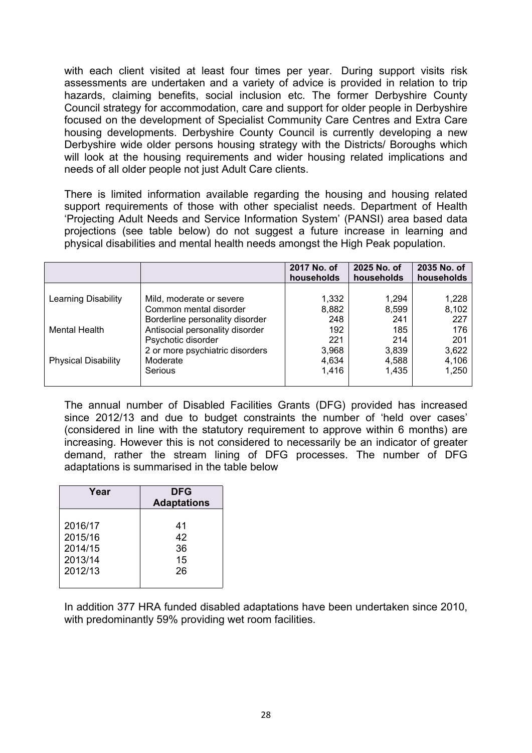with each client visited at least four times per year. During support visits risk assessments are undertaken and a variety of advice is provided in relation to trip hazards, claiming benefits, social inclusion etc. The former Derbyshire County Council strategy for accommodation, care and support for older people in Derbyshire focused on the development of Specialist Community Care Centres and Extra Care housing developments. Derbyshire County Council is currently developing a new Derbyshire wide older persons housing strategy with the Districts/ Boroughs which will look at the housing requirements and wider housing related implications and needs of all older people not just Adult Care clients.

There is limited information available regarding the housing and housing related support requirements of those with other specialist needs. Department of Health 'Projecting Adult Needs and Service Information System' (PANSI) area based data projections (see table below) do not suggest a future increase in learning and physical disabilities and mental health needs amongst the High Peak population.

|                            |                                 | 2017 No. of<br>households | 2025 No. of<br>households | 2035 No. of<br>households |
|----------------------------|---------------------------------|---------------------------|---------------------------|---------------------------|
|                            |                                 |                           |                           |                           |
| Learning Disability        | Mild, moderate or severe        | 1,332                     | 1,294                     | 1,228                     |
|                            | Common mental disorder          | 8,882                     | 8,599                     | 8,102                     |
|                            | Borderline personality disorder | 248                       | 241                       | 227                       |
| Mental Health              | Antisocial personality disorder | 192                       | 185                       | 176                       |
|                            | Psychotic disorder              | 221                       | 214                       | 201                       |
|                            | 2 or more psychiatric disorders | 3,968                     | 3,839                     | 3,622                     |
| <b>Physical Disability</b> | Moderate                        | 4,634                     | 4,588                     | 4,106                     |
|                            | Serious                         | 1,416                     | 1,435                     | 1,250                     |
|                            |                                 |                           |                           |                           |

The annual number of Disabled Facilities Grants (DFG) provided has increased since 2012/13 and due to budget constraints the number of 'held over cases' (considered in line with the statutory requirement to approve within 6 months) are increasing. However this is not considered to necessarily be an indicator of greater demand, rather the stream lining of DFG processes. The number of DFG adaptations is summarised in the table below

| Year    | <b>DFG</b><br><b>Adaptations</b> |  |  |  |  |  |  |
|---------|----------------------------------|--|--|--|--|--|--|
| 2016/17 | 41                               |  |  |  |  |  |  |
| 2015/16 | 42                               |  |  |  |  |  |  |
| 2014/15 | 36                               |  |  |  |  |  |  |
| 2013/14 | 15                               |  |  |  |  |  |  |
| 2012/13 | 26                               |  |  |  |  |  |  |

In addition 377 HRA funded disabled adaptations have been undertaken since 2010, with predominantly 59% providing wet room facilities.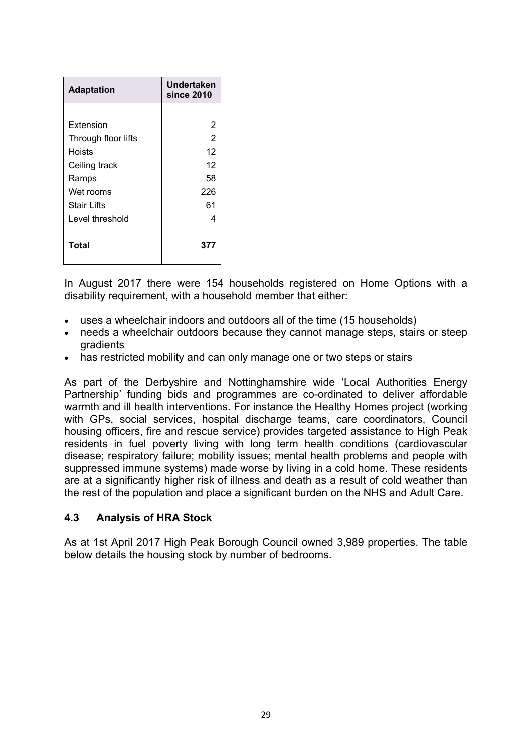| <b>Adaptation</b>   | Undertaken<br>since 2010 |
|---------------------|--------------------------|
|                     |                          |
| Extension           | 2                        |
| Through floor lifts | $\overline{2}$           |
| Hoists              | 12                       |
| Ceiling track       | 12                       |
| Ramps               | 58                       |
| Wet rooms           | 226                      |
| <b>Stair Lifts</b>  | 61                       |
| Level threshold     | 4                        |
| Total               | 377                      |

In August 2017 there were 154 households registered on Home Options with a disability requirement, with a household member that either:

- uses a wheelchair indoors and outdoors all of the time (15 households)
- needs a wheelchair outdoors because they cannot manage steps, stairs or steep gradients
- has restricted mobility and can only manage one or two steps or stairs

As part of the Derbyshire and Nottinghamshire wide 'Local Authorities Energy Partnership' funding bids and programmes are co-ordinated to deliver affordable warmth and ill health interventions. For instance the Healthy Homes project (working with GPs, social services, hospital discharge teams, care coordinators, Council housing officers, fire and rescue service) provides targeted assistance to High Peak residents in fuel poverty living with long term health conditions (cardiovascular disease; respiratory failure; mobility issues; mental health problems and people with suppressed immune systems) made worse by living in a cold home. These residents are at a significantly higher risk of illness and death as a result of cold weather than the rest of the population and place a significant burden on the NHS and Adult Care.

#### **4.3 Analysis of HRA Stock**

As at 1st April 2017 High Peak Borough Council owned 3,989 properties. The table below details the housing stock by number of bedrooms.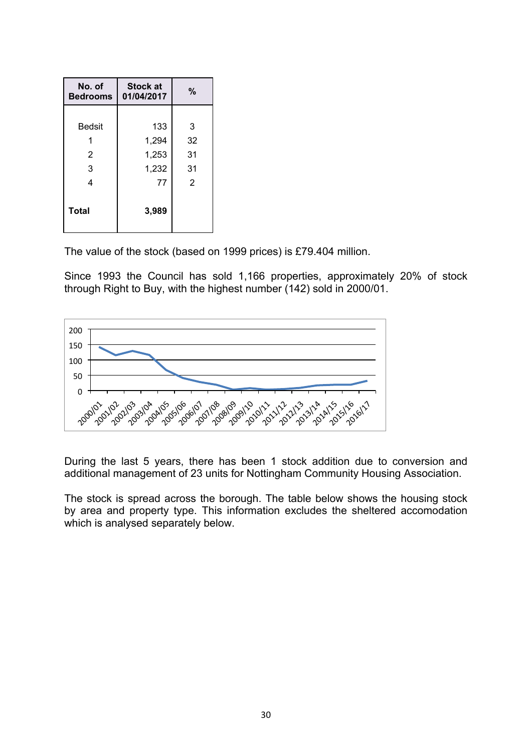| No. of<br><b>Bedrooms</b> | <b>Stock at</b><br>01/04/2017 | %  |
|---------------------------|-------------------------------|----|
|                           |                               |    |
| <b>Bedsit</b>             | 133                           | 3  |
|                           | 1,294                         | 32 |
| 2                         | 1,253                         | 31 |
| 3                         | 1,232                         | 31 |
| 4                         | 77                            | 2  |
| <b>Total</b>              | 3,989                         |    |

The value of the stock (based on 1999 prices) is £79.404 million.

Since 1993 the Council has sold 1,166 properties, approximately 20% of stock through Right to Buy, with the highest number (142) sold in 2000/01.



During the last 5 years, there has been 1 stock addition due to conversion and additional management of 23 units for Nottingham Community Housing Association.

The stock is spread across the borough. The table below shows the housing stock by area and property type. This information excludes the sheltered accomodation which is analysed separately below.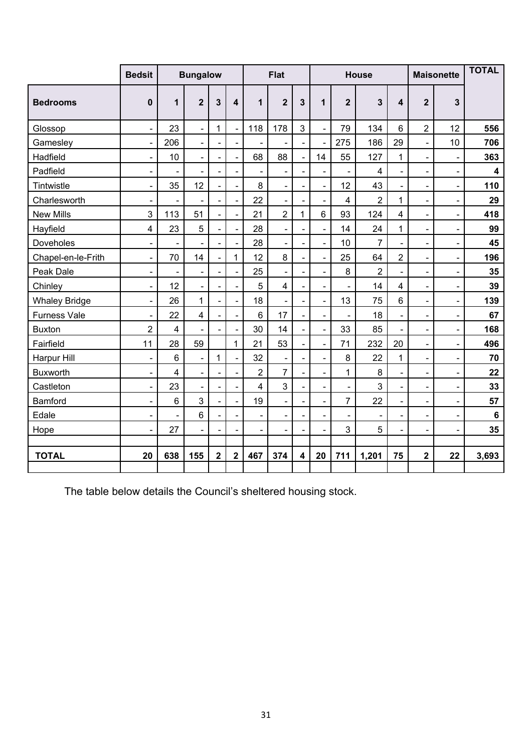|                      | <b>Bedsit</b>                |                         | <b>Bungalow</b> |                          |                          |                          | <b>Flat</b>                  |                          |                              |                              | <b>House</b>             |                              |                              | <b>Maisonette</b>        | <b>TOTAL</b>            |
|----------------------|------------------------------|-------------------------|-----------------|--------------------------|--------------------------|--------------------------|------------------------------|--------------------------|------------------------------|------------------------------|--------------------------|------------------------------|------------------------------|--------------------------|-------------------------|
| <b>Bedrooms</b>      | $\mathbf 0$                  | 1                       | $\overline{2}$  | 3                        | 4                        | 1                        | $\overline{2}$               | 3                        | $\mathbf{1}$                 | $\overline{2}$               | $\overline{3}$           | 4                            | $\overline{2}$               | $\overline{3}$           |                         |
| Glossop              | $\overline{a}$               | 23                      | $\overline{a}$  | $\mathbf{1}$             |                          | 118                      | 178                          | 3                        | $\overline{a}$               | 79                           | 134                      | 6                            | $\overline{2}$               | 12                       | 556                     |
| Gamesley             | $\blacksquare$               | 206                     | $\blacksquare$  | $\blacksquare$           | $\overline{\phantom{a}}$ |                          | $\overline{\phantom{0}}$     | $\blacksquare$           | $\blacksquare$               | 275                          | 186                      | 29                           | $\qquad \qquad \blacksquare$ | 10                       | 706                     |
| Hadfield             | $\blacksquare$               | 10                      | $\overline{a}$  | $\blacksquare$           | $\blacksquare$           | 68                       | 88                           | $\blacksquare$           | 14                           | 55                           | 127                      | 1                            | $\overline{\phantom{0}}$     | $\blacksquare$           | 363                     |
| Padfield             | $\blacksquare$               |                         |                 | $\blacksquare$           | $\blacksquare$           |                          | ä,                           | $\blacksquare$           | $\overline{a}$               | $\overline{a}$               | $\overline{\mathbf{4}}$  | $\overline{\phantom{0}}$     | $\overline{\phantom{0}}$     | $\frac{1}{2}$            | $\overline{\mathbf{4}}$ |
| Tintwistle           | $\blacksquare$               | 35                      | 12              |                          |                          | 8                        | $\overline{\phantom{0}}$     | $\blacksquare$           | $\qquad \qquad \blacksquare$ | 12                           | 43                       | $\blacksquare$               | $\overline{\phantom{0}}$     | $\blacksquare$           | 110                     |
| Charlesworth         | $\overline{\phantom{a}}$     |                         |                 |                          |                          | 22                       | $\frac{1}{2}$                |                          | $\overline{\phantom{0}}$     | 4                            | $\overline{2}$           | 1                            | $\overline{\phantom{0}}$     | $\blacksquare$           | 29                      |
| <b>New Mills</b>     | 3                            | 113                     | 51              | $\blacksquare$           | $\overline{a}$           | 21                       | $\overline{2}$               | $\overline{1}$           | $6\phantom{a}$               | 93                           | 124                      | $\overline{\mathbf{4}}$      | $\overline{\phantom{0}}$     | $\blacksquare$           | 418                     |
| Hayfield             | $\overline{\mathbf{4}}$      | 23                      | 5               |                          | $\blacksquare$           | 28                       | $\overline{a}$               | $\blacksquare$           | $\overline{a}$               | 14                           | 24                       | $\mathbf{1}$                 | L,                           | $\blacksquare$           | 99                      |
| Doveholes            | $\overline{\phantom{0}}$     |                         |                 |                          |                          | 28                       | $\frac{1}{2}$                |                          | $\frac{1}{2}$                | 10                           | $\overline{7}$           |                              | L,                           | $\blacksquare$           | 45                      |
| Chapel-en-le-Frith   | $\frac{1}{2}$                | 70                      | 14              | $\blacksquare$           | 1                        | 12                       | 8                            | $\blacksquare$           | $\frac{1}{2}$                | 25                           | 64                       | $\overline{2}$               | $\qquad \qquad \blacksquare$ | $\blacksquare$           | 196                     |
| Peak Dale            | $\frac{1}{2}$                |                         | $\blacksquare$  |                          |                          | 25                       | $\frac{1}{2}$                | $\blacksquare$           | L,                           | 8                            | $\overline{2}$           | L.                           | $\blacksquare$               | $\blacksquare$           | 35                      |
| Chinley              | $\overline{a}$               | 12                      | $\overline{a}$  | $\blacksquare$           | $\blacksquare$           | 5                        | $\overline{4}$               | $\overline{a}$           | $\blacksquare$               | $\blacksquare$               | 14                       | $\overline{\mathbf{4}}$      | $\overline{\phantom{a}}$     | $\blacksquare$           | 39                      |
| <b>Whaley Bridge</b> | $\qquad \qquad \blacksquare$ | 26                      | $\mathbf{1}$    | $\overline{\phantom{0}}$ | $\frac{1}{2}$            | 18                       | $\overline{\phantom{0}}$     | $\blacksquare$           | $\qquad \qquad \blacksquare$ | 13                           | 75                       | $6\phantom{a}$               | $\qquad \qquad \blacksquare$ | $\blacksquare$           | 139                     |
| <b>Furness Vale</b>  | $\blacksquare$               | 22                      | $\overline{4}$  | $\blacksquare$           |                          | 6                        | 17                           | $\blacksquare$           | $\frac{1}{2}$                | $\ddot{\phantom{1}}$         | 18                       | $\overline{\phantom{a}}$     | $\overline{\phantom{a}}$     | $\blacksquare$           | 67                      |
| <b>Buxton</b>        | $\overline{2}$               | $\overline{\mathbf{4}}$ |                 | $\blacksquare$           |                          | 30                       | 14                           | ÷.                       | $\frac{1}{2}$                | 33                           | 85                       | $\overline{\phantom{a}}$     | L,                           | $\overline{\phantom{a}}$ | 168                     |
| Fairfield            | 11                           | 28                      | 59              |                          | 1                        | 21                       | 53                           | $\overline{\phantom{0}}$ | $\overline{\phantom{a}}$     | 71                           | 232                      | 20                           | $\overline{\phantom{0}}$     | $\overline{\phantom{a}}$ | 496                     |
| Harpur Hill          | $\blacksquare$               | 6                       | $\overline{a}$  | $\mathbf{1}$             |                          | 32                       | $\blacksquare$               |                          | $\overline{\phantom{0}}$     | 8                            | 22                       | 1                            | L,                           | $\frac{1}{2}$            | 70                      |
| <b>Buxworth</b>      | $\blacksquare$               | $\overline{\mathbf{4}}$ | $\blacksquare$  | $\mathbf{r}$             | $\blacksquare$           | $\overline{2}$           | $\overline{7}$               | $\blacksquare$           | $\frac{1}{2}$                | $\mathbf{1}$                 | 8                        | $\overline{\phantom{0}}$     | $\overline{\phantom{a}}$     | $\overline{\phantom{a}}$ | 22                      |
| Castleton            | $\blacksquare$               | 23                      | $\overline{a}$  | $\blacksquare$           | $\blacksquare$           | 4                        | 3                            | $\blacksquare$           | $\blacksquare$               | $\blacksquare$               | 3                        | $\overline{\phantom{0}}$     |                              | $\blacksquare$           | 33                      |
| Bamford              | $\frac{1}{2}$                | $6\phantom{1}$          | $\overline{3}$  |                          |                          | 19                       | $\overline{a}$               |                          | $\frac{1}{2}$                | $\overline{7}$               | 22                       | $\overline{\phantom{a}}$     | $\blacksquare$               | $\blacksquare$           | 57                      |
| Edale                | $\blacksquare$               |                         | $6\phantom{a}$  |                          | $\blacksquare$           | $\overline{\phantom{a}}$ | $\qquad \qquad \blacksquare$ | $\blacksquare$           | $\qquad \qquad \blacksquare$ | $\qquad \qquad \blacksquare$ | $\overline{\phantom{a}}$ | $\qquad \qquad \blacksquare$ | $\overline{\phantom{0}}$     | $\overline{\phantom{a}}$ | $\bf 6$                 |
| Hope                 | $\overline{\phantom{0}}$     | 27                      |                 | $\blacksquare$           |                          | $\blacksquare$           | $\blacksquare$               | $\blacksquare$           | $\blacksquare$               | 3                            | 5                        | $\overline{\phantom{0}}$     | $\blacksquare$               | $\blacksquare$           | 35                      |
|                      |                              |                         |                 |                          |                          |                          |                              |                          |                              |                              |                          |                              |                              |                          |                         |
| <b>TOTAL</b>         | 20                           | 638                     | 155             | $\mathbf{2}$             | $\mathbf{2}$             | 467                      | 374                          | $\overline{\mathbf{4}}$  | 20                           | 711                          | 1,201                    | 75                           | $\mathbf 2$                  | 22                       | 3,693                   |

The table below details the Council's sheltered housing stock.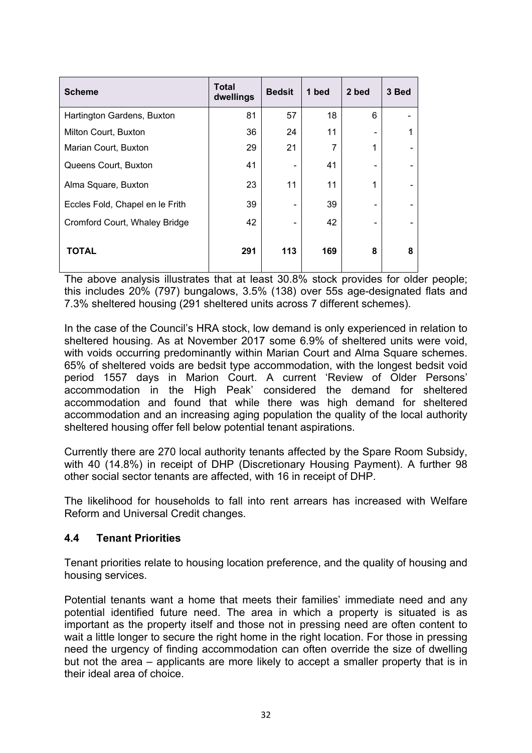| <b>Scheme</b>                   | <b>Total</b><br>dwellings | <b>Bedsit</b> | 1 bed | 2 bed | 3 Bed |
|---------------------------------|---------------------------|---------------|-------|-------|-------|
| Hartington Gardens, Buxton      | 81                        | 57            | 18    | 6     |       |
| Milton Court, Buxton            | 36                        | 24            | 11    |       |       |
| Marian Court, Buxton            | 29                        | 21            | 7     | и     |       |
| Queens Court, Buxton            | 41                        |               | 41    |       |       |
| Alma Square, Buxton             | 23                        | 11            | 11    | 1     |       |
| Eccles Fold, Chapel en le Frith | 39                        |               | 39    |       |       |
| Cromford Court, Whaley Bridge   | 42                        |               | 42    |       |       |
| TOTAL                           | 291                       | 113           | 169   | 8     | 8     |

The above analysis illustrates that at least 30.8% stock provides for older people; this includes 20% (797) bungalows, 3.5% (138) over 55s age-designated flats and 7.3% sheltered housing (291 sheltered units across 7 different schemes).

In the case of the Council's HRA stock, low demand is only experienced in relation to sheltered housing. As at November 2017 some 6.9% of sheltered units were void, with voids occurring predominantly within Marian Court and Alma Square schemes. 65% of sheltered voids are bedsit type accommodation, with the longest bedsit void period 1557 days in Marion Court. A current 'Review of Older Persons' accommodation in the High Peak' considered the demand for sheltered accommodation and found that while there was high demand for sheltered accommodation and an increasing aging population the quality of the local authority sheltered housing offer fell below potential tenant aspirations.

Currently there are 270 local authority tenants affected by the Spare Room Subsidy, with 40 (14.8%) in receipt of DHP (Discretionary Housing Payment). A further 98 other social sector tenants are affected, with 16 in receipt of DHP.

The likelihood for households to fall into rent arrears has increased with Welfare Reform and Universal Credit changes.

## **4.4 Tenant Priorities**

Tenant priorities relate to housing location preference, and the quality of housing and housing services.

Potential tenants want a home that meets their families' immediate need and any potential identified future need. The area in which a property is situated is as important as the property itself and those not in pressing need are often content to wait a little longer to secure the right home in the right location. For those in pressing need the urgency of finding accommodation can often override the size of dwelling but not the area – applicants are more likely to accept a smaller property that is in their ideal area of choice.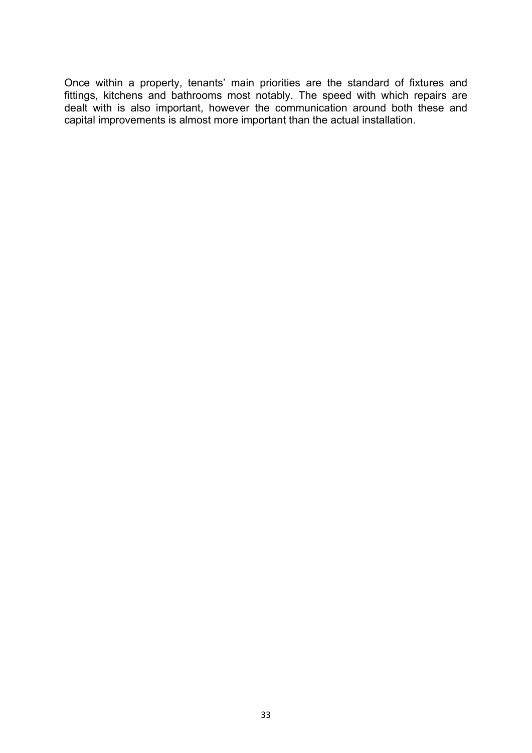Once within a property, tenants' main priorities are the standard of fixtures and fittings, kitchens and bathrooms most notably. The speed with which repairs are dealt with is also important, however the communication around both these and capital improvements is almost more important than the actual installation.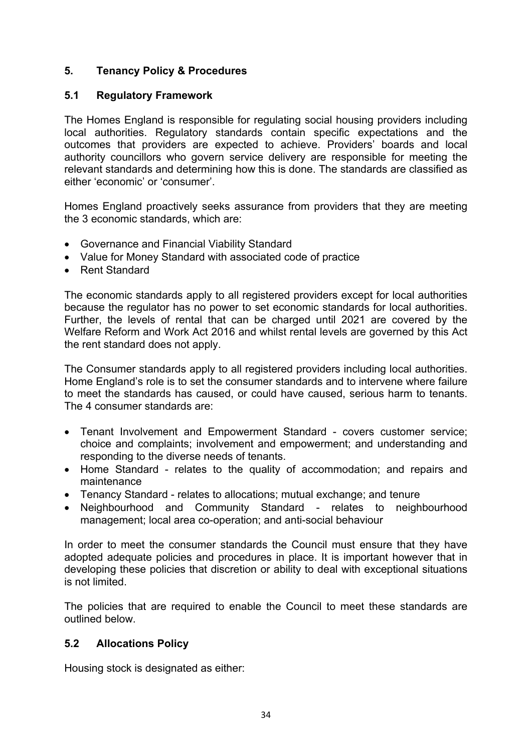## **5. Tenancy Policy & Procedures**

## **5.1 Regulatory Framework**

The Homes England is responsible for regulating social housing providers including local authorities. Regulatory standards contain specific expectations and the outcomes that providers are expected to achieve. Providers' boards and local authority councillors who govern service delivery are responsible for meeting the relevant standards and determining how this is done. The standards are classified as either 'economic' or 'consumer'.

Homes England proactively seeks assurance from providers that they are meeting the 3 economic standards, which are:

- Governance and Financial Viability Standard
- Value for Money Standard with associated code of practice
- Rent Standard

The economic standards apply to all registered providers except for local authorities because the regulator has no power to set economic standards for local authorities. Further, the levels of rental that can be charged until 2021 are covered by the Welfare Reform and Work Act 2016 and whilst rental levels are governed by this Act the rent standard does not apply.

The Consumer standards apply to all registered providers including local authorities. Home England's role is to set the consumer standards and to intervene where failure to meet the standards has caused, or could have caused, serious harm to tenants. The 4 consumer standards are:

- Tenant Involvement and Empowerment Standard covers customer service; choice and complaints; involvement and empowerment; and understanding and responding to the diverse needs of tenants.
- Home Standard relates to the quality of accommodation; and repairs and maintenance
- Tenancy Standard relates to allocations; mutual exchange; and tenure
- Neighbourhood and Community Standard relates to neighbourhood management; local area co-operation; and anti-social behaviour

In order to meet the consumer standards the Council must ensure that they have adopted adequate policies and procedures in place. It is important however that in developing these policies that discretion or ability to deal with exceptional situations is not limited.

The policies that are required to enable the Council to meet these standards are outlined below.

#### **5.2 Allocations Policy**

Housing stock is designated as either: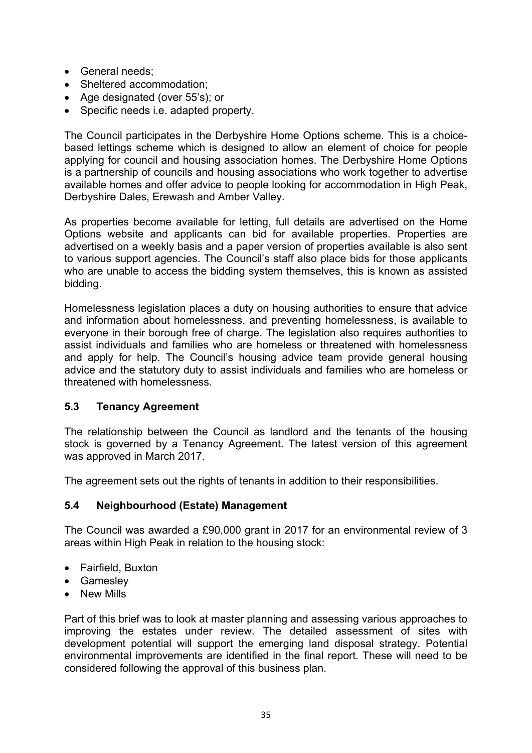- General needs;
- Sheltered accommodation;
- Age designated (over 55's); or
- Specific needs i.e. adapted property.

The Council participates in the Derbyshire Home Options scheme. This is a choicebased lettings scheme which is designed to allow an element of choice for people applying for council and housing association homes. The Derbyshire Home Options is a partnership of councils and housing associations who work together to advertise available homes and offer advice to people looking for accommodation in High Peak, Derbyshire Dales, Erewash and Amber Valley.

As properties become available for letting, full details are advertised on the Home Options website and applicants can bid for available properties. Properties are advertised on a weekly basis and a paper version of properties available is also sent to various support agencies. The Council's staff also place bids for those applicants who are unable to access the bidding system themselves, this is known as assisted bidding.

Homelessness legislation places a duty on housing authorities to ensure that advice and information about homelessness, and preventing homelessness, is available to everyone in their borough free of charge. The legislation also requires authorities to assist individuals and families who are homeless or threatened with homelessness and apply for help. The Council's housing advice team provide general housing advice and the statutory duty to assist individuals and families who are homeless or threatened with homelessness.

## **5.3 Tenancy Agreement**

The relationship between the Council as landlord and the tenants of the housing stock is governed by a Tenancy Agreement. The latest version of this agreement was approved in March 2017.

The agreement sets out the rights of tenants in addition to their responsibilities.

## **5.4 Neighbourhood (Estate) Management**

The Council was awarded a £90,000 grant in 2017 for an environmental review of 3 areas within High Peak in relation to the housing stock:

- Fairfield, Buxton
- Gamesley
- New Mills

Part of this brief was to look at master planning and assessing various approaches to improving the estates under review. The detailed assessment of sites with development potential will support the emerging land disposal strategy. Potential environmental improvements are identified in the final report. These will need to be considered following the approval of this business plan.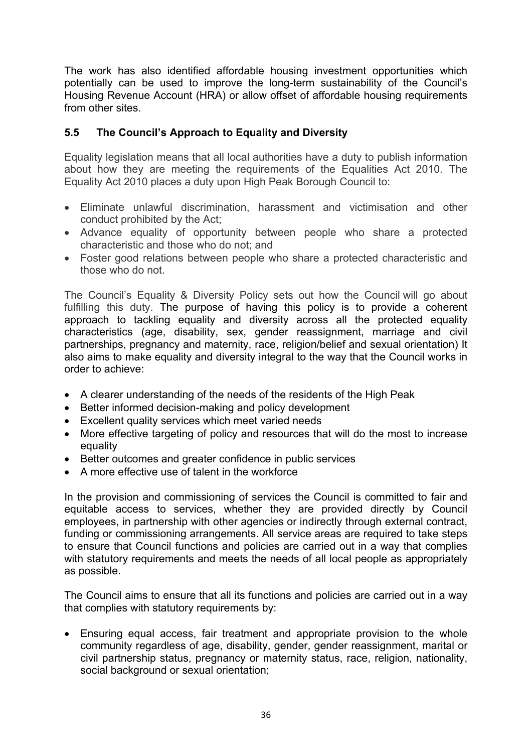The work has also identified affordable housing investment opportunities which potentially can be used to improve the long-term sustainability of the Council's Housing Revenue Account (HRA) or allow offset of affordable housing requirements from other sites.

## **5.5 The Council's Approach to Equality and Diversity**

Equality legislation means that all local authorities have a duty to publish information about how they are meeting the requirements of the Equalities Act 2010. The Equality Act 2010 places a duty upon High Peak Borough Council to:

- Eliminate unlawful discrimination, harassment and victimisation and other conduct prohibited by the Act;
- Advance equality of opportunity between people who share a protected characteristic and those who do not; and
- Foster good relations between people who share a protected characteristic and those who do not.

The Council's Equality & Diversity Policy sets out how the Council will go about fulfilling this duty. The purpose of having this policy is to provide a coherent approach to tackling equality and diversity across all the protected equality characteristics (age, disability, sex, gender reassignment, marriage and civil partnerships, pregnancy and maternity, race, religion/belief and sexual orientation) It also aims to make equality and diversity integral to the way that the Council works in order to achieve:

- A clearer understanding of the needs of the residents of the High Peak
- Better informed decision-making and policy development
- Excellent quality services which meet varied needs
- More effective targeting of policy and resources that will do the most to increase equality
- Better outcomes and greater confidence in public services
- A more effective use of talent in the workforce

In the provision and commissioning of services the Council is committed to fair and equitable access to services, whether they are provided directly by Council employees, in partnership with other agencies or indirectly through external contract, funding or commissioning arrangements. All service areas are required to take steps to ensure that Council functions and policies are carried out in a way that complies with statutory requirements and meets the needs of all local people as appropriately as possible.

The Council aims to ensure that all its functions and policies are carried out in a way that complies with statutory requirements by:

 Ensuring equal access, fair treatment and appropriate provision to the whole community regardless of age, disability, gender, gender reassignment, marital or civil partnership status, pregnancy or maternity status, race, religion, nationality, social background or sexual orientation;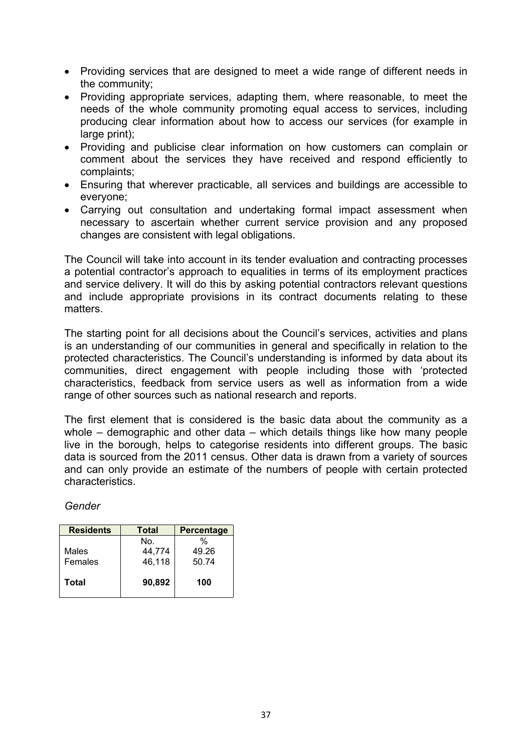- Providing services that are designed to meet a wide range of different needs in the community;
- Providing appropriate services, adapting them, where reasonable, to meet the needs of the whole community promoting equal access to services, including producing clear information about how to access our services (for example in large print);
- Providing and publicise clear information on how customers can complain or comment about the services they have received and respond efficiently to complaints;
- Ensuring that wherever practicable, all services and buildings are accessible to everyone;
- Carrying out consultation and undertaking formal impact assessment when necessary to ascertain whether current service provision and any proposed changes are consistent with legal obligations.

The Council will take into account in its tender evaluation and contracting processes a potential contractor's approach to equalities in terms of its employment practices and service delivery. It will do this by asking potential contractors relevant questions and include appropriate provisions in its contract documents relating to these matters.

The starting point for all decisions about the Council's services, activities and plans is an understanding of our communities in general and specifically in relation to the protected characteristics. The Council's understanding is informed by data about its communities, direct engagement with people including those with 'protected characteristics, feedback from service users as well as information from a wide range of other sources such as national research and reports.

The first element that is considered is the basic data about the community as a whole – demographic and other data – which details things like how many people live in the borough, helps to categorise residents into different groups. The basic data is sourced from the 2011 census. Other data is drawn from a variety of sources and can only provide an estimate of the numbers of people with certain protected characteristics.

*Gender*

| <b>Residents</b> | Total  |       |  |
|------------------|--------|-------|--|
|                  | No.    | %     |  |
| Males            | 44.774 | 49.26 |  |
| Females          | 46,118 | 50.74 |  |
| Total            | 90,892 | 100   |  |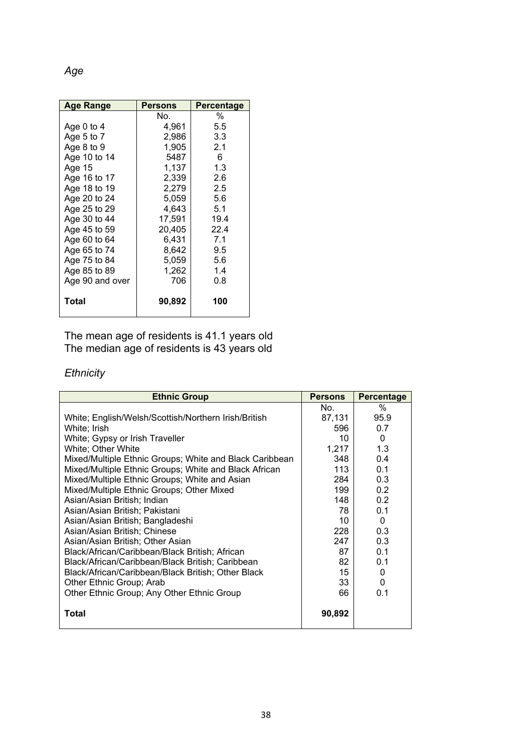*Age*

| <b>Age Range</b> | Persons | <b>Percentage</b> |
|------------------|---------|-------------------|
|                  | No.     | %                 |
| Age 0 to 4       | 4,961   | $5.5^{\circ}$     |
| Age 5 to $7$     | 2,986   | 3.3 <sub>1</sub>  |
| Age 8 to 9       | 1.905   | 2.1               |
| Age 10 to 14     | 5487    | 6                 |
| Age 15           | 1,137   | 1.3               |
| Age 16 to 17     | 2,339   | 2.6               |
| Age 18 to 19     | 2,279   | $2.5^{\circ}$     |
| Age 20 to 24     | 5,059   | 5.6               |
| Age 25 to 29     | 4,643   | 5.1               |
| Age 30 to 44     | 17,591  | 19.4              |
| Age 45 to 59     | 20,405  | 22.4              |
| Age 60 to 64     | 6,431   | 7.1               |
| Age 65 to 74     | 8,642   | 9.5               |
| Age 75 to 84     | 5,059   | 5.6               |
| Age 85 to 89     | 1,262   | 1.4               |
| Age 90 and over  | 706     | 0.8               |
| <b>Total</b>     | 90,892  | 100               |

The mean age of residents is 41.1 years old The median age of residents is 43 years old

# *Ethnicity*

| <b>Ethnic Group</b>                                     | <b>Persons</b> | <b>Percentage</b> |
|---------------------------------------------------------|----------------|-------------------|
|                                                         | No.            | ℅                 |
| White; English/Welsh/Scottish/Northern Irish/British    | 87,131         | 95.9              |
| White; Irish                                            | 596            | 0.7               |
| White; Gypsy or Irish Traveller                         | 10             | $\Omega$          |
| White; Other White                                      | 1,217          | 1.3               |
| Mixed/Multiple Ethnic Groups; White and Black Caribbean | 348            | 0.4               |
| Mixed/Multiple Ethnic Groups; White and Black African   | 113            | 0.1               |
| Mixed/Multiple Ethnic Groups; White and Asian           | 284            | 0.3               |
| Mixed/Multiple Ethnic Groups; Other Mixed               | 199            | 0.2               |
| Asian/Asian British; Indian                             | 148            | 0.2               |
| Asian/Asian British; Pakistani                          | 78             | 0.1               |
| Asian/Asian British; Bangladeshi                        | 10             | $\Omega$          |
| Asian/Asian British; Chinese                            | 228            | 0.3               |
| Asian/Asian British; Other Asian                        | 247            | 0.3               |
| Black/African/Caribbean/Black British; African          | 87             | 0.1               |
| Black/African/Caribbean/Black British; Caribbean        | 82             | 0.1               |
| Black/African/Caribbean/Black British; Other Black      | 15             | $\Omega$          |
| Other Ethnic Group; Arab                                | 33             | 0                 |
| Other Ethnic Group; Any Other Ethnic Group              | 66             | 0.1               |
| Total                                                   | 90,892         |                   |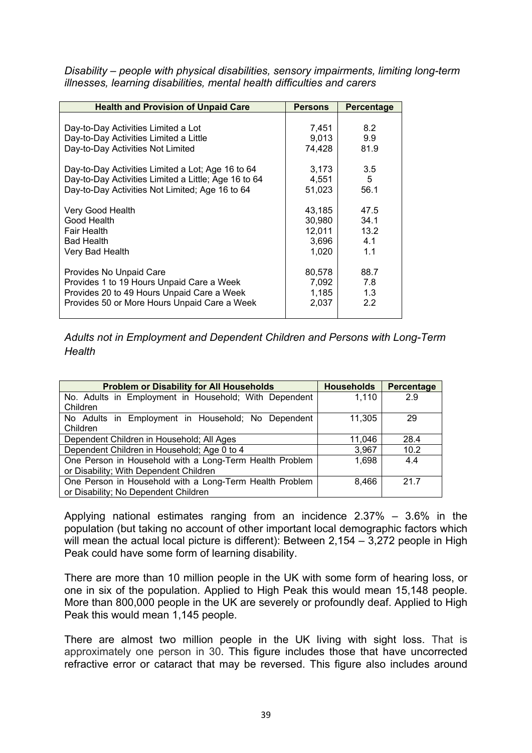*Disability – people with physical disabilities, sensory impairments, limiting long-term illnesses, learning disabilities, mental health difficulties and carers*

| <b>Health and Provision of Unpaid Care</b>           | <b>Persons</b> | Percentage |
|------------------------------------------------------|----------------|------------|
|                                                      |                |            |
| Day-to-Day Activities Limited a Lot                  | 7,451          | 8.2        |
| Day-to-Day Activities Limited a Little               | 9,013          | 9.9        |
| Day-to-Day Activities Not Limited                    | 74.428         | 81.9       |
|                                                      |                |            |
| Day-to-Day Activities Limited a Lot; Age 16 to 64    | 3,173          | 3.5        |
| Day-to-Day Activities Limited a Little; Age 16 to 64 | 4,551          | 5          |
| Day-to-Day Activities Not Limited; Age 16 to 64      | 51,023         | 56.1       |
|                                                      |                |            |
| Very Good Health                                     | 43,185         | 47.5       |
| Good Health                                          | 30,980         | 34.1       |
| <b>Fair Health</b>                                   | 12,011         | 13.2       |
| <b>Bad Health</b>                                    | 3,696          | 4.1        |
| Very Bad Health                                      | 1,020          | 1.1        |
|                                                      |                |            |
| Provides No Unpaid Care                              | 80,578         | 88.7       |
| Provides 1 to 19 Hours Unpaid Care a Week            | 7,092          | 7.8        |
| Provides 20 to 49 Hours Unpaid Care a Week           | 1,185          | 1.3        |
| Provides 50 or More Hours Unpaid Care a Week         | 2,037          | 2.2        |
|                                                      |                |            |

*Adults not in Employment and Dependent Children and Persons with Long-Term Health*

| <b>Problem or Disability for All Households</b>         | <b>Households</b> | <b>Percentage</b> |  |  |  |  |  |
|---------------------------------------------------------|-------------------|-------------------|--|--|--|--|--|
| No. Adults in Employment in Household; With Dependent   | 1,110             | 2.9               |  |  |  |  |  |
| Children                                                |                   |                   |  |  |  |  |  |
| No Adults in Employment in Household; No Dependent      | 11.305            | 29                |  |  |  |  |  |
| Children                                                |                   |                   |  |  |  |  |  |
| Dependent Children in Household; All Ages               | 11,046            | 28.4              |  |  |  |  |  |
| Dependent Children in Household; Age 0 to 4             | 3,967             | 10.2              |  |  |  |  |  |
| One Person in Household with a Long-Term Health Problem | 1,698             | 4.4               |  |  |  |  |  |
| or Disability; With Dependent Children                  |                   |                   |  |  |  |  |  |
| One Person in Household with a Long-Term Health Problem | 8,466             | 217               |  |  |  |  |  |
| or Disability; No Dependent Children                    |                   |                   |  |  |  |  |  |

Applying national estimates ranging from an incidence 2.37% – 3.6% in the population (but taking no account of other important local demographic factors which will mean the actual local picture is different): Between 2,154 – 3,272 people in High Peak could have some form of learning disability.

There are more than 10 million people in the UK with some form of hearing loss, or one in six of the population. Applied to High Peak this would mean 15,148 people. More than 800,000 people in the UK are severely or profoundly deaf. Applied to High Peak this would mean 1,145 people.

There are almost two million people in the UK living with sight loss. That is approximately one person in 30. This figure includes those that have uncorrected refractive error or cataract that may be reversed. This figure also includes around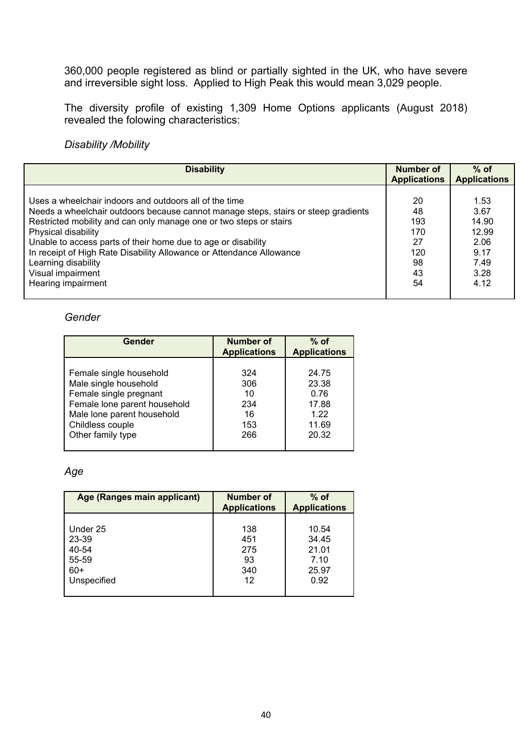360,000 people registered as blind or partially sighted in the UK, who have severe and irreversible sight loss. Applied to High Peak this would mean 3,029 people.

The diversity profile of existing 1,309 Home Options applicants (August 2018) revealed the folowing characteristics:

*Disability /Mobility*

| <b>Disability</b>                                                                                                                                                                                                                                                                                                                                                                                                              | Number of<br><b>Applications</b>                | $%$ of<br><b>Applications</b>                                  |
|--------------------------------------------------------------------------------------------------------------------------------------------------------------------------------------------------------------------------------------------------------------------------------------------------------------------------------------------------------------------------------------------------------------------------------|-------------------------------------------------|----------------------------------------------------------------|
| Uses a wheelchair indoors and outdoors all of the time<br>Needs a wheelchair outdoors because cannot manage steps, stairs or steep gradients<br>Restricted mobility and can only manage one or two steps or stairs<br>Physical disability<br>Unable to access parts of their home due to age or disability<br>In receipt of High Rate Disability Allowance or Attendance Allowance<br>Learning disability<br>Visual impairment | 20<br>48<br>193<br>170<br>27<br>120<br>98<br>43 | 1.53<br>3.67<br>14.90<br>12.99<br>2.06<br>9.17<br>7.49<br>3.28 |
| Hearing impairment                                                                                                                                                                                                                                                                                                                                                                                                             | 54                                              | 4.12                                                           |

#### *Gender*

| Gender                       | Number of<br><b>Applications</b> | $%$ of<br><b>Applications</b> |
|------------------------------|----------------------------------|-------------------------------|
| Female single household      | 324                              | 24.75                         |
| Male single household        | 306                              | 23.38                         |
| Female single pregnant       | 10                               | 0.76                          |
| Female lone parent household | 234                              | 17.88                         |
| Male lone parent household   | 16                               | 1.22                          |
| Childless couple             | 153                              | 11.69                         |
| Other family type            | 266                              | 20.32                         |

## *Age*

| Age (Ranges main applicant) | Number of<br><b>Applications</b> | $%$ of<br><b>Applications</b> |
|-----------------------------|----------------------------------|-------------------------------|
| Under 25                    | 138                              | 10.54                         |
| 23-39                       | 451                              | 34.45                         |
| 40-54                       | 275                              | 21.01                         |
| 55-59                       | 93                               | 7.10                          |
| $60+$                       | 340                              | 25.97                         |
| Unspecified                 | 12                               | 0.92                          |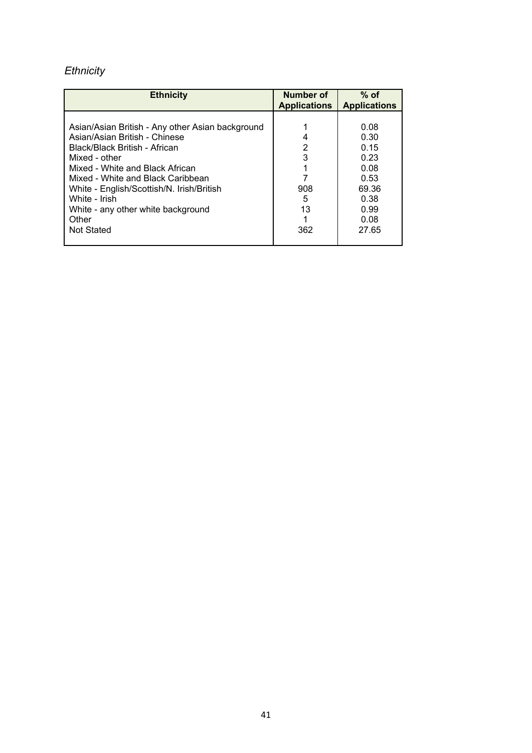# *Ethnicity*

| <b>Ethnicity</b>                                                                                                                                                                                                                                         | Number of<br><b>Applications</b> | $%$ of<br><b>Applications</b>                         |
|----------------------------------------------------------------------------------------------------------------------------------------------------------------------------------------------------------------------------------------------------------|----------------------------------|-------------------------------------------------------|
| Asian/Asian British - Any other Asian background<br>Asian/Asian British - Chinese<br>Black/Black British - African<br>Mixed - other<br>Mixed - White and Black African<br>Mixed - White and Black Caribbean<br>White - English/Scottish/N. Irish/British | 4<br>2<br>3<br>908               | 0.08<br>0.30<br>0.15<br>0.23<br>0.08<br>0.53<br>69.36 |
| White - Irish<br>White - any other white background<br>Other<br><b>Not Stated</b>                                                                                                                                                                        | 5<br>13<br>362                   | 0.38<br>0.99<br>0.08<br>27.65                         |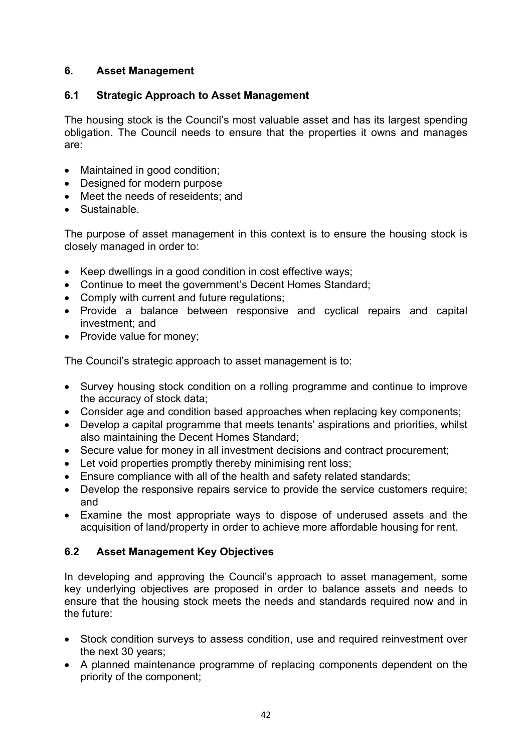# **6. Asset Management**

# **6.1 Strategic Approach to Asset Management**

The housing stock is the Council's most valuable asset and has its largest spending obligation. The Council needs to ensure that the properties it owns and manages are:

- Maintained in good condition;
- Designed for modern purpose
- Meet the needs of reseidents; and
- Sustainable.

The purpose of asset management in this context is to ensure the housing stock is closely managed in order to:

- Keep dwellings in a good condition in cost effective ways;
- Continue to meet the government's Decent Homes Standard;
- Comply with current and future regulations;
- Provide a balance between responsive and cyclical repairs and capital investment; and
- Provide value for money:

The Council's strategic approach to asset management is to:

- Survey housing stock condition on a rolling programme and continue to improve the accuracy of stock data;
- Consider age and condition based approaches when replacing key components;
- Develop a capital programme that meets tenants' aspirations and priorities, whilst also maintaining the Decent Homes Standard;
- Secure value for money in all investment decisions and contract procurement;
- Let void properties promptly thereby minimising rent loss;
- Ensure compliance with all of the health and safety related standards;
- Develop the responsive repairs service to provide the service customers require; and
- Examine the most appropriate ways to dispose of underused assets and the acquisition of land/property in order to achieve more affordable housing for rent.

# **6.2 Asset Management Key Objectives**

In developing and approving the Council's approach to asset management, some key underlying objectives are proposed in order to balance assets and needs to ensure that the housing stock meets the needs and standards required now and in the future:

- Stock condition surveys to assess condition, use and required reinvestment over the next 30 years;
- A planned maintenance programme of replacing components dependent on the priority of the component;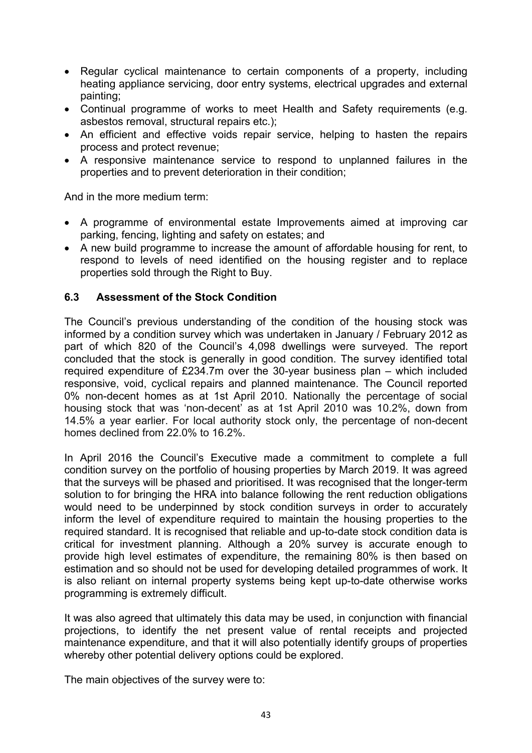- Regular cyclical maintenance to certain components of a property, including heating appliance servicing, door entry systems, electrical upgrades and external painting;
- Continual programme of works to meet Health and Safety requirements (e.g. asbestos removal, structural repairs etc.);
- An efficient and effective voids repair service, helping to hasten the repairs process and protect revenue;
- A responsive maintenance service to respond to unplanned failures in the properties and to prevent deterioration in their condition;

And in the more medium term:

- A programme of environmental estate Improvements aimed at improving car parking, fencing, lighting and safety on estates; and
- A new build programme to increase the amount of affordable housing for rent, to respond to levels of need identified on the housing register and to replace properties sold through the Right to Buy.

#### **6.3 Assessment of the Stock Condition**

The Council's previous understanding of the condition of the housing stock was informed by a condition survey which was undertaken in January / February 2012 as part of which 820 of the Council's 4,098 dwellings were surveyed. The report concluded that the stock is generally in good condition. The survey identified total required expenditure of £234.7m over the 30-year business plan – which included responsive, void, cyclical repairs and planned maintenance. The Council reported 0% non-decent homes as at 1st April 2010. Nationally the percentage of social housing stock that was 'non-decent' as at 1st April 2010 was 10.2%, down from 14.5% a year earlier. For local authority stock only, the percentage of non-decent homes declined from 22.0% to 16.2%.

In April 2016 the Council's Executive made a commitment to complete a full condition survey on the portfolio of housing properties by March 2019. It was agreed that the surveys will be phased and prioritised. It was recognised that the longer-term solution to for bringing the HRA into balance following the rent reduction obligations would need to be underpinned by stock condition surveys in order to accurately inform the level of expenditure required to maintain the housing properties to the required standard. It is recognised that reliable and up-to-date stock condition data is critical for investment planning. Although a 20% survey is accurate enough to provide high level estimates of expenditure, the remaining 80% is then based on estimation and so should not be used for developing detailed programmes of work. It is also reliant on internal property systems being kept up-to-date otherwise works programming is extremely difficult.

It was also agreed that ultimately this data may be used, in conjunction with financial projections, to identify the net present value of rental receipts and projected maintenance expenditure, and that it will also potentially identify groups of properties whereby other potential delivery options could be explored.

The main objectives of the survey were to: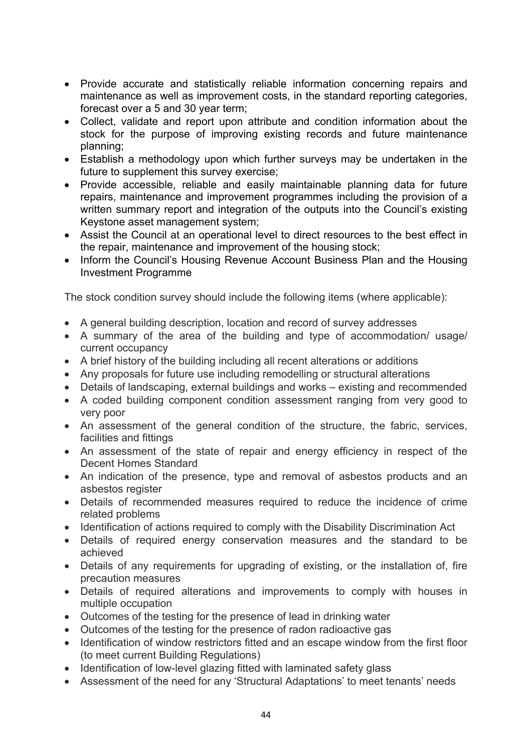- Provide accurate and statistically reliable information concerning repairs and maintenance as well as improvement costs, in the standard reporting categories, forecast over a 5 and 30 year term;
- Collect, validate and report upon attribute and condition information about the stock for the purpose of improving existing records and future maintenance planning;
- Establish a methodology upon which further surveys may be undertaken in the future to supplement this survey exercise;
- Provide accessible, reliable and easily maintainable planning data for future repairs, maintenance and improvement programmes including the provision of a written summary report and integration of the outputs into the Council's existing Keystone asset management system;
- Assist the Council at an operational level to direct resources to the best effect in the repair, maintenance and improvement of the housing stock;
- Inform the Council's Housing Revenue Account Business Plan and the Housing Investment Programme

The stock condition survey should include the following items (where applicable):

- A general building description, location and record of survey addresses
- A summary of the area of the building and type of accommodation/ usage/ current occupancy
- A brief history of the building including all recent alterations or additions
- Any proposals for future use including remodelling or structural alterations
- Details of landscaping, external buildings and works existing and recommended
- A coded building component condition assessment ranging from very good to very poor
- An assessment of the general condition of the structure, the fabric, services, facilities and fittings
- An assessment of the state of repair and energy efficiency in respect of the Decent Homes Standard
- An indication of the presence, type and removal of asbestos products and an asbestos register
- Details of recommended measures required to reduce the incidence of crime related problems
- Identification of actions required to comply with the Disability Discrimination Act
- Details of required energy conservation measures and the standard to be achieved
- Details of any requirements for upgrading of existing, or the installation of, fire precaution measures
- Details of required alterations and improvements to comply with houses in multiple occupation
- Outcomes of the testing for the presence of lead in drinking water
- Outcomes of the testing for the presence of radon radioactive gas
- Identification of window restrictors fitted and an escape window from the first floor (to meet current Building Regulations)
- Identification of low-level glazing fitted with laminated safety glass
- Assessment of the need for any 'Structural Adaptations' to meet tenants' needs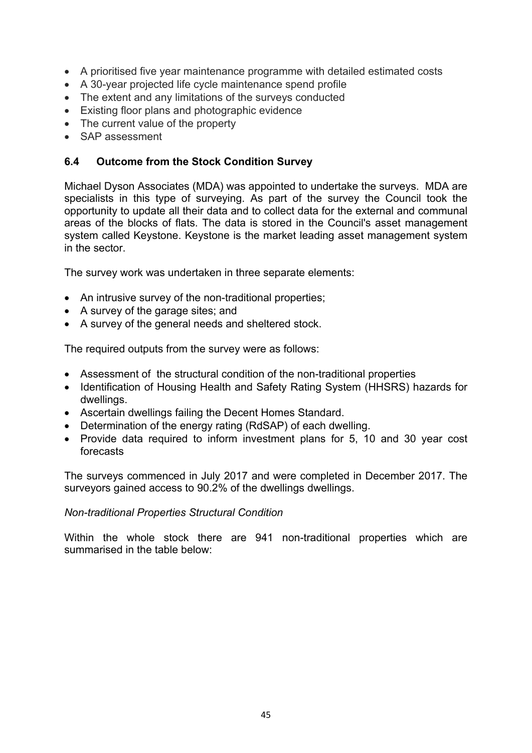- A prioritised five year maintenance programme with detailed estimated costs
- A 30-year projected life cycle maintenance spend profile
- The extent and any limitations of the surveys conducted
- Existing floor plans and photographic evidence
- The current value of the property
- SAP assessment

## **6.4 Outcome from the Stock Condition Survey**

Michael Dyson Associates (MDA) was appointed to undertake the surveys. MDA are specialists in this type of surveying. As part of the survey the Council took the opportunity to update all their data and to collect data for the external and communal areas of the blocks of flats. The data is stored in the Council's asset management system called Keystone. Keystone is the market leading asset management system in the sector.

The survey work was undertaken in three separate elements:

- An intrusive survey of the non-traditional properties;
- A survey of the garage sites; and
- A survey of the general needs and sheltered stock.

The required outputs from the survey were as follows:

- Assessment of the structural condition of the non-traditional properties
- Identification of Housing Health and Safety Rating System (HHSRS) hazards for dwellings.
- Ascertain dwellings failing the Decent Homes Standard.
- Determination of the energy rating (RdSAP) of each dwelling.
- Provide data required to inform investment plans for 5, 10 and 30 year cost forecasts

The surveys commenced in July 2017 and were completed in December 2017. The surveyors gained access to 90.2% of the dwellings dwellings.

#### *Non-traditional Properties Structural Condition*

Within the whole stock there are 941 non-traditional properties which are summarised in the table below: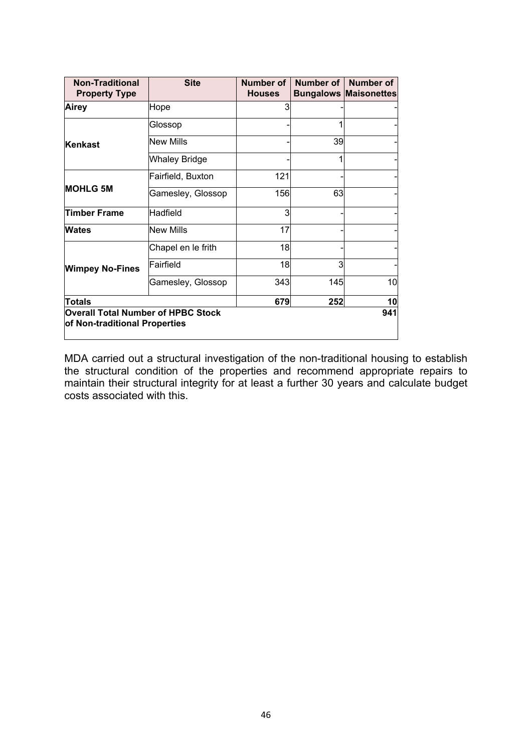| <b>Non-Traditional</b><br><b>Property Type</b>                             | <b>Site</b>          | Number of<br><b>Houses</b> | Number of | Number of<br><b>Bungalows Maisonettes</b> |
|----------------------------------------------------------------------------|----------------------|----------------------------|-----------|-------------------------------------------|
| Airey                                                                      | Hope                 | 3                          |           |                                           |
|                                                                            | Glossop              |                            | 1         |                                           |
| Kenkast                                                                    | <b>New Mills</b>     |                            | 39        |                                           |
|                                                                            | <b>Whaley Bridge</b> |                            | 1         |                                           |
|                                                                            | Fairfield, Buxton    | 121                        |           |                                           |
| <b>MOHLG 5M</b>                                                            | Gamesley, Glossop    | 156                        | 63        |                                           |
| <b>Timber Frame</b>                                                        | Hadfield             | 3                          |           |                                           |
| Wates                                                                      | New Mills            | 17                         |           |                                           |
|                                                                            | Chapel en le frith   | 18                         |           |                                           |
| <b>Wimpey No-Fines</b>                                                     | Fairfield            | 18                         | 3         |                                           |
|                                                                            | Gamesley, Glossop    | 343                        | 145       | 10                                        |
| Totals                                                                     |                      | 679                        | 252       | 10                                        |
| <b>Overall Total Number of HPBC Stock</b><br>of Non-traditional Properties |                      |                            |           | 941                                       |

MDA carried out a structural investigation of the non-traditional housing to establish the structural condition of the properties and recommend appropriate repairs to maintain their structural integrity for at least a further 30 years and calculate budget costs associated with this.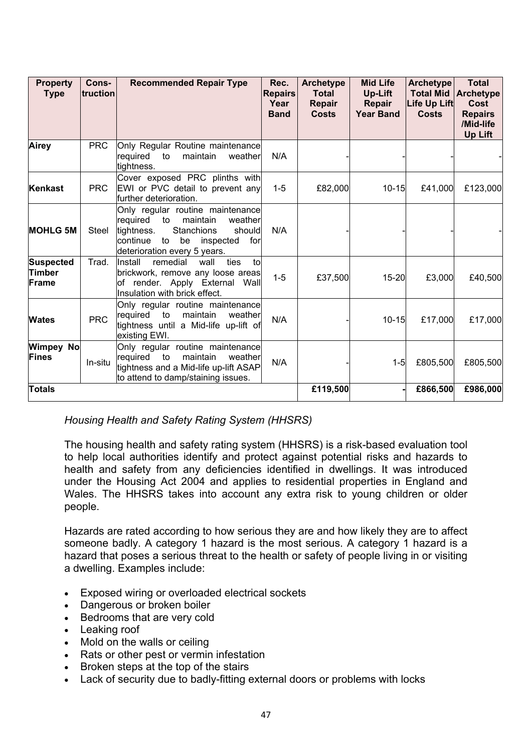| <b>Property</b><br><b>Type</b>      | Cons-<br>truction | <b>Recommended Repair Type</b>                                                                                                                                                              | Rec.<br><b>Repairs</b><br>Year<br><b>Band</b> | <b>Archetype</b><br><b>Total</b><br>Repair<br><b>Costs</b> | <b>Mid Life</b><br>Up-Lift<br><b>Repair</b><br><b>Year Band</b> | <b>Archetype</b><br><b>Total Mid</b><br>Life Up Lift<br><b>Costs</b> | <b>Total</b><br><b>Archetype</b><br><b>Cost</b><br><b>Repairs</b><br>/Mid-life<br>Up Lift |
|-------------------------------------|-------------------|---------------------------------------------------------------------------------------------------------------------------------------------------------------------------------------------|-----------------------------------------------|------------------------------------------------------------|-----------------------------------------------------------------|----------------------------------------------------------------------|-------------------------------------------------------------------------------------------|
| <b>Airey</b>                        | <b>PRC</b>        | Only Regular Routine maintenance<br>required<br>maintain<br>weather<br>to<br>tightness.                                                                                                     | N/A                                           |                                                            |                                                                 |                                                                      |                                                                                           |
| Kenkast                             | <b>PRC</b>        | Cover exposed PRC plinths with<br>EWI or PVC detail to prevent any<br>further deterioration.                                                                                                | $1 - 5$                                       | £82,000                                                    | $10 - 15$                                                       | £41,000                                                              | £123,000                                                                                  |
| <b>MOHLG 5M</b>                     | Steel             | Only regular routine maintenance<br>required<br>to<br>maintain<br>weather<br>Stanchions<br>tightness.<br>should<br>continue<br>to<br>be<br>for<br>inspected<br>deterioration every 5 years. | N/A                                           |                                                            |                                                                 |                                                                      |                                                                                           |
| <b>Suspected</b><br>Timber<br>Frame | Trad.             | remedial<br>Install<br>ties<br>tol<br>wall<br>brickwork, remove any loose areas<br>of render. Apply External Wall<br>Insulation with brick effect.                                          | $1 - 5$                                       | £37,500                                                    | $15 - 20$                                                       | £3,000                                                               | £40,500                                                                                   |
| <b>Wates</b>                        | <b>PRC</b>        | Only regular routine maintenance<br>required to<br>maintain<br>weather<br>tightness until a Mid-life up-lift of<br>existing EWI.                                                            | N/A                                           |                                                            | $10 - 15$                                                       | £17,000                                                              | £17,000                                                                                   |
| Wimpey No<br>Fines                  | In-situ           | Only regular routine maintenance<br>required<br>to<br>maintain<br>weather<br>tightness and a Mid-life up-lift ASAP<br>to attend to damp/staining issues.                                    | N/A                                           |                                                            | $1-5$                                                           | £805,500                                                             | £805,500                                                                                  |
| Totals                              |                   |                                                                                                                                                                                             |                                               | £119,500                                                   |                                                                 | £866,500                                                             | £986,000                                                                                  |

*Housing Health and Safety Rating System (HHSRS)*

The housing health and safety rating system (HHSRS) is a risk-based evaluation tool to help local authorities identify and protect against potential risks and hazards to health and safety from any deficiencies identified in dwellings. It was introduced under the Housing Act 2004 and applies to residential properties in England and Wales. The HHSRS takes into account any extra risk to young children or older people.

Hazards are rated according to how serious they are and how likely they are to affect someone badly. A category 1 hazard is the most serious. A category 1 hazard is a hazard that poses a serious threat to the health or safety of people living in or visiting a dwelling. Examples include:

- Exposed wiring or overloaded electrical sockets
- Dangerous or broken boiler
- Bedrooms that are very cold
- Leaking roof
- Mold on the walls or ceiling
- Rats or other pest or vermin infestation
- Broken steps at the top of the stairs
- Lack of security due to badly-fitting external doors or problems with locks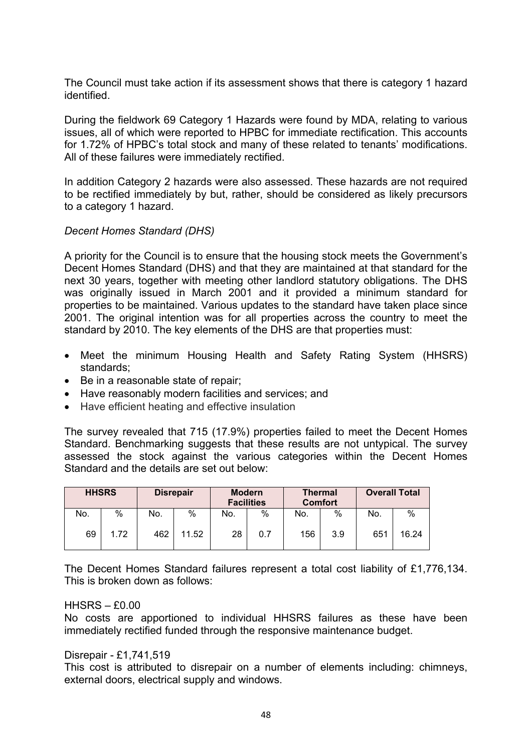The Council must take action if its assessment shows that there is category 1 hazard identified.

During the fieldwork 69 Category 1 Hazards were found by MDA, relating to various issues, all of which were reported to HPBC for immediate rectification. This accounts for 1.72% of HPBC's total stock and many of these related to tenants' modifications. All of these failures were immediately rectified.

In addition Category 2 hazards were also assessed. These hazards are not required to be rectified immediately by but, rather, should be considered as likely precursors to a category 1 hazard.

#### *Decent Homes Standard (DHS)*

A priority for the Council is to ensure that the housing stock meets the Government's Decent Homes Standard (DHS) and that they are maintained at that standard for the next 30 years, together with meeting other landlord statutory obligations. The DHS was originally issued in March 2001 and it provided a minimum standard for properties to be maintained. Various updates to the standard have taken place since 2001. The original intention was for all properties across the country to meet the standard by 2010. The key elements of the DHS are that properties must:

- Meet the minimum Housing Health and Safety Rating System (HHSRS) standards;
- Be in a reasonable state of repair;
- Have reasonably modern facilities and services; and
- Have efficient heating and effective insulation

The survey revealed that 715 (17.9%) properties failed to meet the Decent Homes Standard. Benchmarking suggests that these results are not untypical. The survey assessed the stock against the various categories within the Decent Homes Standard and the details are set out below:

| <b>HHSRS</b> |      | <b>Disrepair</b> |       | <b>Modern</b><br><b>Facilities</b> |     | <b>Thermal</b><br><b>Comfort</b> |     | <b>Overall Total</b> |       |
|--------------|------|------------------|-------|------------------------------------|-----|----------------------------------|-----|----------------------|-------|
| No.          | %    | No.              | $\%$  | No.                                | %   | No.                              | %   | No.                  | %     |
| 69           | 1.72 | 462              | 11.52 | 28                                 | 0.7 | 156                              | 3.9 | 651                  | 16.24 |

The Decent Homes Standard failures represent a total cost liability of £1,776,134. This is broken down as follows:

#### $HHSRS - f0.00$

No costs are apportioned to individual HHSRS failures as these have been immediately rectified funded through the responsive maintenance budget.

#### Disrepair - £1,741,519

This cost is attributed to disrepair on a number of elements including: chimneys, external doors, electrical supply and windows.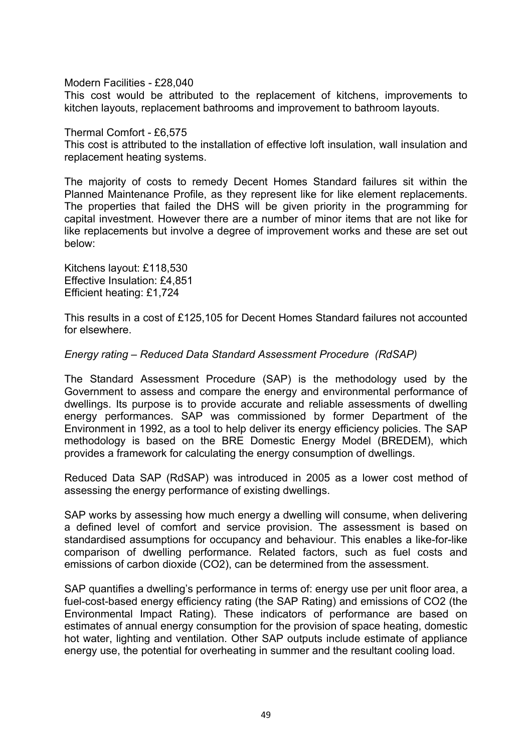Modern Facilities - £28,040

This cost would be attributed to the replacement of kitchens, improvements to kitchen layouts, replacement bathrooms and improvement to bathroom layouts.

Thermal Comfort - £6,575

This cost is attributed to the installation of effective loft insulation, wall insulation and replacement heating systems.

The majority of costs to remedy Decent Homes Standard failures sit within the Planned Maintenance Profile, as they represent like for like element replacements. The properties that failed the DHS will be given priority in the programming for capital investment. However there are a number of minor items that are not like for like replacements but involve a degree of improvement works and these are set out below:

Kitchens layout: £118,530 Effective Insulation: £4,851 Efficient heating: £1,724

This results in a cost of £125,105 for Decent Homes Standard failures not accounted for elsewhere.

*Energy rating – Reduced Data Standard Assessment Procedure (RdSAP)*

The Standard Assessment Procedure (SAP) is the methodology used by the Government to assess and compare the energy and environmental performance of dwellings. Its purpose is to provide accurate and reliable assessments of dwelling energy performances. SAP was commissioned by former Department of the Environment in 1992, as a tool to help deliver its energy efficiency policies. The SAP methodology is based on the BRE Domestic Energy Model (BREDEM), which provides a framework for calculating the energy consumption of dwellings.

Reduced Data SAP (RdSAP) was introduced in 2005 as a lower cost method of assessing the energy performance of existing dwellings.

SAP works by assessing how much energy a dwelling will consume, when delivering a defined level of comfort and service provision. The assessment is based on standardised assumptions for occupancy and behaviour. This enables a like-for-like comparison of dwelling performance. Related factors, such as fuel costs and emissions of carbon dioxide (CO2), can be determined from the assessment.

SAP quantifies a dwelling's performance in terms of: energy use per unit floor area, a fuel-cost-based energy efficiency rating (the SAP Rating) and emissions of CO2 (the Environmental Impact Rating). These indicators of performance are based on estimates of annual energy consumption for the provision of space heating, domestic hot water, lighting and ventilation. Other SAP outputs include estimate of appliance energy use, the potential for overheating in summer and the resultant cooling load.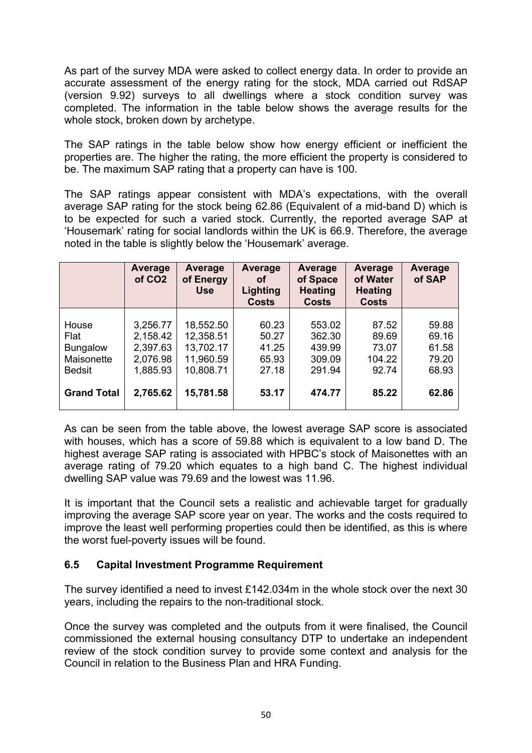As part of the survey MDA were asked to collect energy data. In order to provide an accurate assessment of the energy rating for the stock, MDA carried out RdSAP (version 9.92) surveys to all dwellings where a stock condition survey was completed. The information in the table below shows the average results for the whole stock, broken down by archetype.

The SAP ratings in the table below show how energy efficient or inefficient the properties are. The higher the rating, the more efficient the property is considered to be. The maximum SAP rating that a property can have is 100.

The SAP ratings appear consistent with MDA's expectations, with the overall average SAP rating for the stock being 62.86 (Equivalent of a mid-band D) which is to be expected for such a varied stock. Currently, the reported average SAP at 'Housemark' rating for social landlords within the UK is 66.9. Therefore, the average noted in the table is slightly below the 'Housemark' average.

|                                                                 | Average<br>of CO <sub>2</sub>                            | Average<br>of Energy<br><b>Use</b>                            | Average<br>οf<br>Lighting<br><b>Costs</b> | Average<br>of Space<br><b>Heating</b><br><b>Costs</b> | Average<br>of Water<br><b>Heating</b><br><b>Costs</b> | Average<br>of SAP                         |
|-----------------------------------------------------------------|----------------------------------------------------------|---------------------------------------------------------------|-------------------------------------------|-------------------------------------------------------|-------------------------------------------------------|-------------------------------------------|
| House<br>Flat<br><b>Bungalow</b><br>Maisonette<br><b>Bedsit</b> | 3,256.77<br>2,158.42<br>2,397.63<br>2,076.98<br>1,885.93 | 18,552.50<br>12,358.51<br>13,702.17<br>11,960.59<br>10,808.71 | 60.23<br>50.27<br>41.25<br>65.93<br>27.18 | 553.02<br>362.30<br>439.99<br>309.09<br>291.94        | 87.52<br>89.69<br>73.07<br>104.22<br>92.74            | 59.88<br>69.16<br>61.58<br>79.20<br>68.93 |
| <b>Grand Total</b>                                              | 2,765.62                                                 | 15,781.58                                                     | 53.17                                     | 474.77                                                | 85.22                                                 | 62.86                                     |

As can be seen from the table above, the lowest average SAP score is associated with houses, which has a score of 59.88 which is equivalent to a low band D. The highest average SAP rating is associated with HPBC's stock of Maisonettes with an average rating of 79.20 which equates to a high band C. The highest individual dwelling SAP value was 79.69 and the lowest was 11.96.

It is important that the Council sets a realistic and achievable target for gradually improving the average SAP score year on year. The works and the costs required to improve the least well performing properties could then be identified, as this is where the worst fuel-poverty issues will be found.

# **6.5 Capital Investment Programme Requirement**

The survey identified a need to invest £142.034m in the whole stock over the next 30 years, including the repairs to the non-traditional stock.

Once the survey was completed and the outputs from it were finalised, the Council commissioned the external housing consultancy DTP to undertake an independent review of the stock condition survey to provide some context and analysis for the Council in relation to the Business Plan and HRA Funding.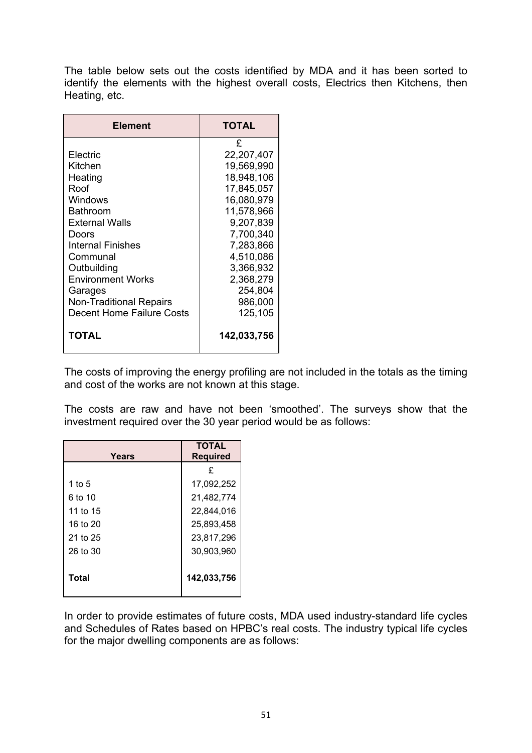The table below sets out the costs identified by MDA and it has been sorted to identify the elements with the highest overall costs, Electrics then Kitchens, then Heating, etc.

| <b>Element</b>                                                                                                                                                                                                                                                      | TOTAL                                                                                                                                                                                                |  |
|---------------------------------------------------------------------------------------------------------------------------------------------------------------------------------------------------------------------------------------------------------------------|------------------------------------------------------------------------------------------------------------------------------------------------------------------------------------------------------|--|
| Electric<br>Kitchen<br>Heating<br>Roof<br>Windows<br><b>Bathroom</b><br><b>External Walls</b><br>Doors<br>Internal Finishes<br>Communal<br>Outbuilding<br><b>Environment Works</b><br>Garages<br><b>Non-Traditional Repairs</b><br><b>Decent Home Failure Costs</b> | £<br>22,207,407<br>19,569,990<br>18,948,106<br>17,845,057<br>16,080,979<br>11,578,966<br>9,207,839<br>7,700,340<br>7,283,866<br>4,510,086<br>3,366,932<br>2,368,279<br>254,804<br>986,000<br>125,105 |  |
| ΤΟΤΑL                                                                                                                                                                                                                                                               | 142,033,756                                                                                                                                                                                          |  |

The costs of improving the energy profiling are not included in the totals as the timing and cost of the works are not known at this stage.

The costs are raw and have not been 'smoothed'. The surveys show that the investment required over the 30 year period would be as follows:

| Years    | <b>TOTAL</b><br><b>Required</b> |  |
|----------|---------------------------------|--|
|          | £                               |  |
| 1 to $5$ | 17,092,252                      |  |
| 6 to 10  | 21,482,774                      |  |
| 11 to 15 | 22,844,016                      |  |
| 16 to 20 | 25,893,458                      |  |
| 21 to 25 | 23,817,296                      |  |
| 26 to 30 | 30,903,960                      |  |
| Total    | 142,033,756                     |  |

In order to provide estimates of future costs, MDA used industry-standard life cycles and Schedules of Rates based on HPBC's real costs. The industry typical life cycles for the major dwelling components are as follows: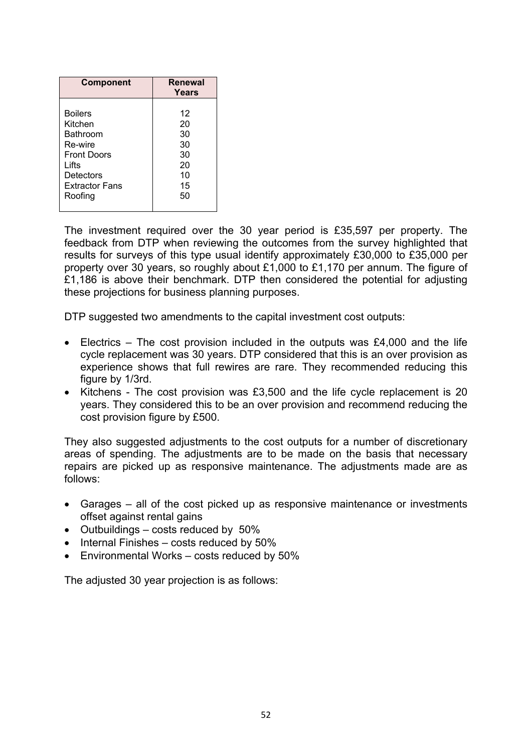| <b>Component</b>                                                                                                      | Renewal<br>Years                             |
|-----------------------------------------------------------------------------------------------------------------------|----------------------------------------------|
| <b>Boilers</b><br>Kitchen<br>Bathroom<br>Re-wire<br><b>Front Doors</b><br>Lifts<br>Detectors<br><b>Extractor Fans</b> | 12<br>20<br>30<br>30<br>30<br>20<br>10<br>15 |
| Roofing                                                                                                               | 50                                           |

The investment required over the 30 year period is £35,597 per property. The feedback from DTP when reviewing the outcomes from the survey highlighted that results for surveys of this type usual identify approximately £30,000 to £35,000 per property over 30 years, so roughly about £1,000 to £1,170 per annum. The figure of £1,186 is above their benchmark. DTP then considered the potential for adjusting these projections for business planning purposes.

DTP suggested two amendments to the capital investment cost outputs:

- Electrics The cost provision included in the outputs was £4,000 and the life cycle replacement was 30 years. DTP considered that this is an over provision as experience shows that full rewires are rare. They recommended reducing this figure by 1/3rd.
- Kitchens The cost provision was £3,500 and the life cycle replacement is 20 years. They considered this to be an over provision and recommend reducing the cost provision figure by £500.

They also suggested adjustments to the cost outputs for a number of discretionary areas of spending. The adjustments are to be made on the basis that necessary repairs are picked up as responsive maintenance. The adjustments made are as follows:

- Garages all of the cost picked up as responsive maintenance or investments offset against rental gains
- Outbuildings costs reduced by 50%
- $\bullet$  Internal Finishes costs reduced by 50%
- Environmental Works costs reduced by 50%

The adjusted 30 year projection is as follows: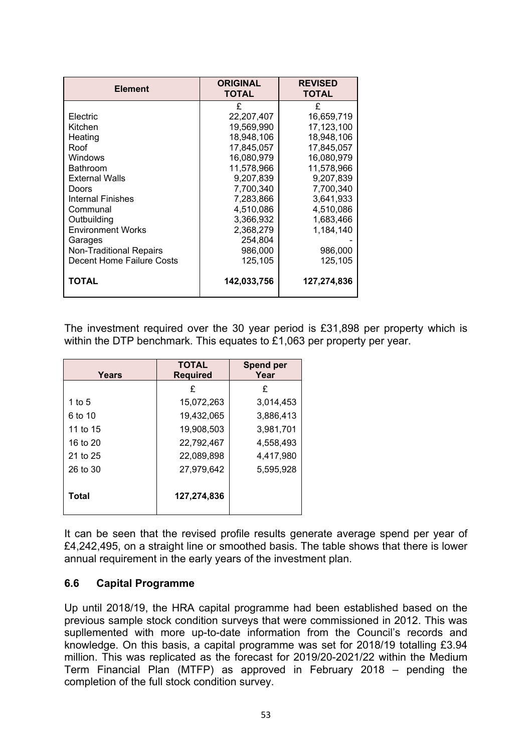| <b>Element</b>                 | <b>ORIGINAL</b><br><b>TOTAL</b> | <b>REVISED</b><br><b>TOTAL</b> |
|--------------------------------|---------------------------------|--------------------------------|
|                                | £                               | £                              |
| Electric                       | 22,207,407                      | 16,659,719                     |
| Kitchen                        | 19,569,990                      | 17,123,100                     |
| Heating                        | 18.948.106                      | 18.948.106                     |
| Roof                           | 17,845,057                      | 17,845,057                     |
| <b>Windows</b>                 | 16,080,979                      | 16,080,979                     |
| Bathroom                       | 11,578,966                      | 11,578,966                     |
| <b>External Walls</b>          | 9,207,839                       | 9,207,839                      |
| Doors                          | 7,700,340                       | 7,700,340                      |
| Internal Finishes              | 7,283,866                       | 3,641,933                      |
| Communal                       | 4,510,086                       | 4,510,086                      |
| Outbuilding                    | 3,366,932                       | 1,683,466                      |
| <b>Environment Works</b>       | 2,368,279                       | 1,184,140                      |
| Garages                        | 254,804                         |                                |
| <b>Non-Traditional Repairs</b> | 986,000                         | 986,000                        |
| Decent Home Failure Costs      | 125,105                         | 125,105                        |
| TOTAL                          | 142,033,756                     | 127,274,836                    |

The investment required over the 30 year period is £31,898 per property which is within the DTP benchmark. This equates to £1,063 per property per year.

| Years    | <b>TOTAL</b><br><b>Required</b> | <b>Spend per</b><br>Year |  |
|----------|---------------------------------|--------------------------|--|
|          | £                               | £                        |  |
| 1 to $5$ | 15,072,263                      | 3,014,453                |  |
| 6 to 10  | 19,432,065                      | 3,886,413                |  |
| 11 to 15 | 19,908,503                      | 3,981,701                |  |
| 16 to 20 | 22,792,467                      | 4,558,493                |  |
| 21 to 25 | 22,089,898                      | 4,417,980                |  |
| 26 to 30 | 27,979,642                      | 5,595,928                |  |
| Total    | 127,274,836                     |                          |  |

It can be seen that the revised profile results generate average spend per year of £4,242,495, on a straight line or smoothed basis. The table shows that there is lower annual requirement in the early years of the investment plan.

#### **6.6 Capital Programme**

Up until 2018/19, the HRA capital programme had been established based on the previous sample stock condition surveys that were commissioned in 2012. This was supllemented with more up-to-date information from the Council's records and knowledge. On this basis, a capital programme was set for 2018/19 totalling £3.94 million. This was replicated as the forecast for 2019/20-2021/22 within the Medium Term Financial Plan (MTFP) as approved in February 2018 – pending the completion of the full stock condition survey.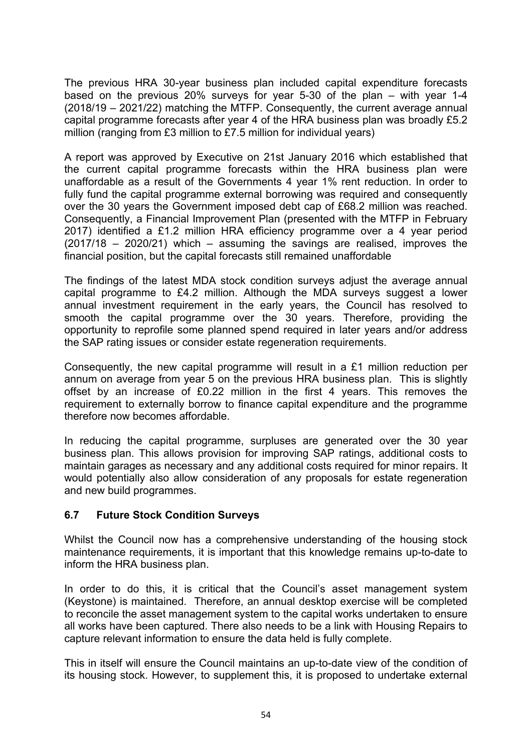The previous HRA 30-year business plan included capital expenditure forecasts based on the previous 20% surveys for year 5-30 of the plan – with year 1-4 (2018/19 – 2021/22) matching the MTFP. Consequently, the current average annual capital programme forecasts after year 4 of the HRA business plan was broadly £5.2 million (ranging from £3 million to £7.5 million for individual years)

A report was approved by Executive on 21st January 2016 which established that the current capital programme forecasts within the HRA business plan were unaffordable as a result of the Governments 4 year 1% rent reduction. In order to fully fund the capital programme external borrowing was required and consequently over the 30 years the Government imposed debt cap of £68.2 million was reached. Consequently, a Financial Improvement Plan (presented with the MTFP in February 2017) identified a £1.2 million HRA efficiency programme over a 4 year period (2017/18 – 2020/21) which – assuming the savings are realised, improves the financial position, but the capital forecasts still remained unaffordable

The findings of the latest MDA stock condition surveys adjust the average annual capital programme to £4.2 million. Although the MDA surveys suggest a lower annual investment requirement in the early years, the Council has resolved to smooth the capital programme over the 30 years. Therefore, providing the opportunity to reprofile some planned spend required in later years and/or address the SAP rating issues or consider estate regeneration requirements.

Consequently, the new capital programme will result in a £1 million reduction per annum on average from year 5 on the previous HRA business plan. This is slightly offset by an increase of £0.22 million in the first 4 years. This removes the requirement to externally borrow to finance capital expenditure and the programme therefore now becomes affordable.

In reducing the capital programme, surpluses are generated over the 30 year business plan. This allows provision for improving SAP ratings, additional costs to maintain garages as necessary and any additional costs required for minor repairs. It would potentially also allow consideration of any proposals for estate regeneration and new build programmes.

# **6.7 Future Stock Condition Surveys**

Whilst the Council now has a comprehensive understanding of the housing stock maintenance requirements, it is important that this knowledge remains up-to-date to inform the HRA business plan.

In order to do this, it is critical that the Council's asset management system (Keystone) is maintained. Therefore, an annual desktop exercise will be completed to reconcile the asset management system to the capital works undertaken to ensure all works have been captured. There also needs to be a link with Housing Repairs to capture relevant information to ensure the data held is fully complete.

This in itself will ensure the Council maintains an up-to-date view of the condition of its housing stock. However, to supplement this, it is proposed to undertake external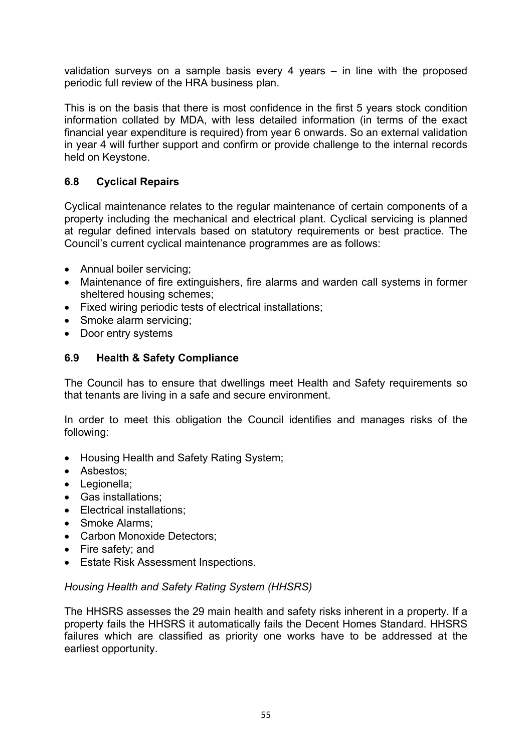validation surveys on a sample basis every 4 years – in line with the proposed periodic full review of the HRA business plan.

This is on the basis that there is most confidence in the first 5 years stock condition information collated by MDA, with less detailed information (in terms of the exact financial year expenditure is required) from year 6 onwards. So an external validation in year 4 will further support and confirm or provide challenge to the internal records held on Keystone.

# **6.8 Cyclical Repairs**

Cyclical maintenance relates to the regular maintenance of certain components of a property including the mechanical and electrical plant. Cyclical servicing is planned at regular defined intervals based on statutory requirements or best practice. The Council's current cyclical maintenance programmes are as follows:

- Annual boiler servicing;
- Maintenance of fire extinguishers, fire alarms and warden call systems in former sheltered housing schemes;
- Fixed wiring periodic tests of electrical installations;
- Smoke alarm servicing:
- Door entry systems

## **6.9 Health & Safety Compliance**

The Council has to ensure that dwellings meet Health and Safety requirements so that tenants are living in a safe and secure environment.

In order to meet this obligation the Council identifies and manages risks of the following:

- Housing Health and Safety Rating System;
- Asbestos;
- Legionella;
- Gas installations;
- Electrical installations:
- Smoke Alarms:
- Carbon Monoxide Detectors;
- Fire safety; and
- Estate Risk Assessment Inspections.

#### *Housing Health and Safety Rating System (HHSRS)*

The HHSRS assesses the 29 main health and safety risks inherent in a property. If a property fails the HHSRS it automatically fails the Decent Homes Standard. HHSRS failures which are classified as priority one works have to be addressed at the earliest opportunity.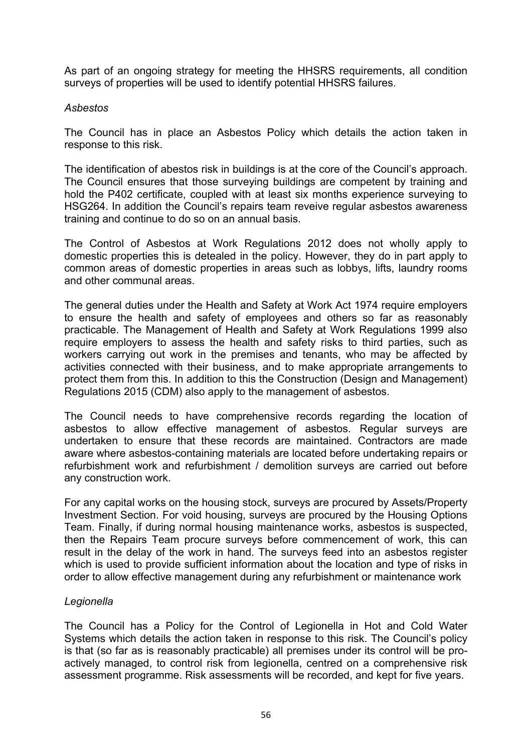As part of an ongoing strategy for meeting the HHSRS requirements, all condition surveys of properties will be used to identify potential HHSRS failures.

#### *Asbestos*

The Council has in place an Asbestos Policy which details the action taken in response to this risk.

The identification of abestos risk in buildings is at the core of the Council's approach. The Council ensures that those surveying buildings are competent by training and hold the P402 certificate, coupled with at least six months experience surveying to HSG264. In addition the Council's repairs team reveive regular asbestos awareness training and continue to do so on an annual basis.

The Control of Asbestos at Work Regulations 2012 does not wholly apply to domestic properties this is detealed in the policy. However, they do in part apply to common areas of domestic properties in areas such as lobbys, lifts, laundry rooms and other communal areas.

The general duties under the Health and Safety at Work Act 1974 require employers to ensure the health and safety of employees and others so far as reasonably practicable. The Management of Health and Safety at Work Regulations 1999 also require employers to assess the health and safety risks to third parties, such as workers carrying out work in the premises and tenants, who may be affected by activities connected with their business, and to make appropriate arrangements to protect them from this. In addition to this the Construction (Design and Management) Regulations 2015 (CDM) also apply to the management of asbestos.

The Council needs to have comprehensive records regarding the location of asbestos to allow effective management of asbestos. Regular surveys are undertaken to ensure that these records are maintained. Contractors are made aware where asbestos-containing materials are located before undertaking repairs or refurbishment work and refurbishment / demolition surveys are carried out before any construction work.

For any capital works on the housing stock, surveys are procured by Assets/Property Investment Section. For void housing, surveys are procured by the Housing Options Team. Finally, if during normal housing maintenance works, asbestos is suspected, then the Repairs Team procure surveys before commencement of work, this can result in the delay of the work in hand. The surveys feed into an asbestos register which is used to provide sufficient information about the location and type of risks in order to allow effective management during any refurbishment or maintenance work

# *Legionella*

The Council has a Policy for the Control of Legionella in Hot and Cold Water Systems which details the action taken in response to this risk. The Council's policy is that (so far as is reasonably practicable) all premises under its control will be proactively managed, to control risk from legionella, centred on a comprehensive risk assessment programme. Risk assessments will be recorded, and kept for five years.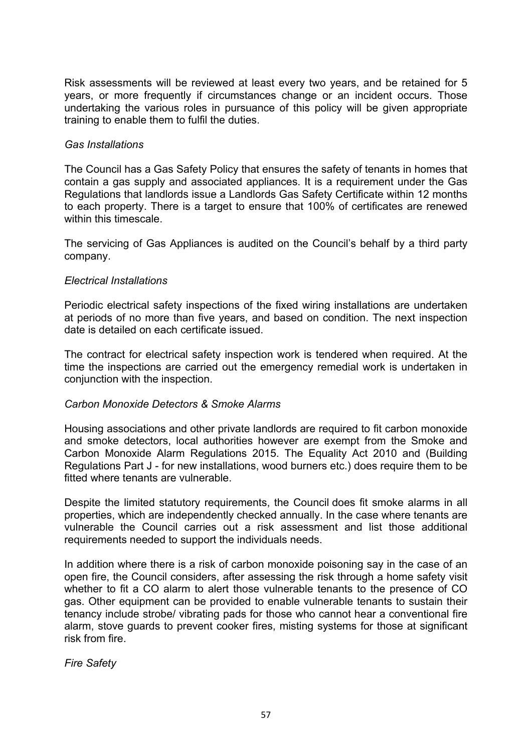Risk assessments will be reviewed at least every two years, and be retained for 5 years, or more frequently if circumstances change or an incident occurs. Those undertaking the various roles in pursuance of this policy will be given appropriate training to enable them to fulfil the duties.

#### *Gas Installations*

The Council has a Gas Safety Policy that ensures the safety of tenants in homes that contain a gas supply and associated appliances. It is a requirement under the Gas Regulations that landlords issue a Landlords Gas Safety Certificate within 12 months to each property. There is a target to ensure that 100% of certificates are renewed within this timescale.

The servicing of Gas Appliances is audited on the Council's behalf by a third party company.

#### *Electrical Installations*

Periodic electrical safety inspections of the fixed wiring installations are undertaken at periods of no more than five years, and based on condition. The next inspection date is detailed on each certificate issued.

The contract for electrical safety inspection work is tendered when required. At the time the inspections are carried out the emergency remedial work is undertaken in conjunction with the inspection.

#### *Carbon Monoxide Detectors & Smoke Alarms*

Housing associations and other private landlords are required to fit carbon monoxide and smoke detectors, local authorities however are exempt from the Smoke and Carbon Monoxide Alarm Regulations 2015. The Equality Act 2010 and (Building Regulations Part J - for new installations, wood burners etc.) does require them to be fitted where tenants are vulnerable.

Despite the limited statutory requirements, the Council does fit smoke alarms in all properties, which are independently checked annually. In the case where tenants are vulnerable the Council carries out a risk assessment and list those additional requirements needed to support the individuals needs.

In addition where there is a risk of carbon monoxide poisoning say in the case of an open fire, the Council considers, after assessing the risk through a home safety visit whether to fit a CO alarm to alert those vulnerable tenants to the presence of CO gas. Other equipment can be provided to enable vulnerable tenants to sustain their tenancy include strobe/ vibrating pads for those who cannot hear a conventional fire alarm, stove guards to prevent cooker fires, misting systems for those at significant risk from fire.

*Fire Safety*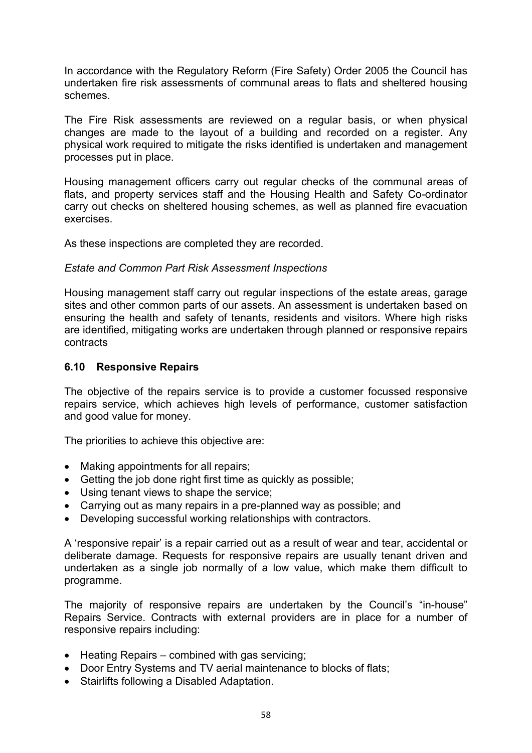In accordance with the Regulatory Reform (Fire Safety) Order 2005 the Council has undertaken fire risk assessments of communal areas to flats and sheltered housing schemes.

The Fire Risk assessments are reviewed on a regular basis, or when physical changes are made to the layout of a building and recorded on a register. Any physical work required to mitigate the risks identified is undertaken and management processes put in place.

Housing management officers carry out regular checks of the communal areas of flats, and property services staff and the Housing Health and Safety Co-ordinator carry out checks on sheltered housing schemes, as well as planned fire evacuation exercises.

As these inspections are completed they are recorded.

#### *Estate and Common Part Risk Assessment Inspections*

Housing management staff carry out regular inspections of the estate areas, garage sites and other common parts of our assets. An assessment is undertaken based on ensuring the health and safety of tenants, residents and visitors. Where high risks are identified, mitigating works are undertaken through planned or responsive repairs contracts

#### **6.10 Responsive Repairs**

The objective of the repairs service is to provide a customer focussed responsive repairs service, which achieves high levels of performance, customer satisfaction and good value for money.

The priorities to achieve this objective are:

- Making appointments for all repairs;
- Getting the job done right first time as quickly as possible;
- Using tenant views to shape the service;
- Carrying out as many repairs in a pre-planned way as possible; and
- Developing successful working relationships with contractors.

A 'responsive repair' is a repair carried out as a result of wear and tear, accidental or deliberate damage. Requests for responsive repairs are usually tenant driven and undertaken as a single job normally of a low value, which make them difficult to programme.

The majority of responsive repairs are undertaken by the Council's "in-house" Repairs Service. Contracts with external providers are in place for a number of responsive repairs including:

- Heating Repairs combined with gas servicing;
- Door Entry Systems and TV aerial maintenance to blocks of flats;
- Stairlifts following a Disabled Adaptation.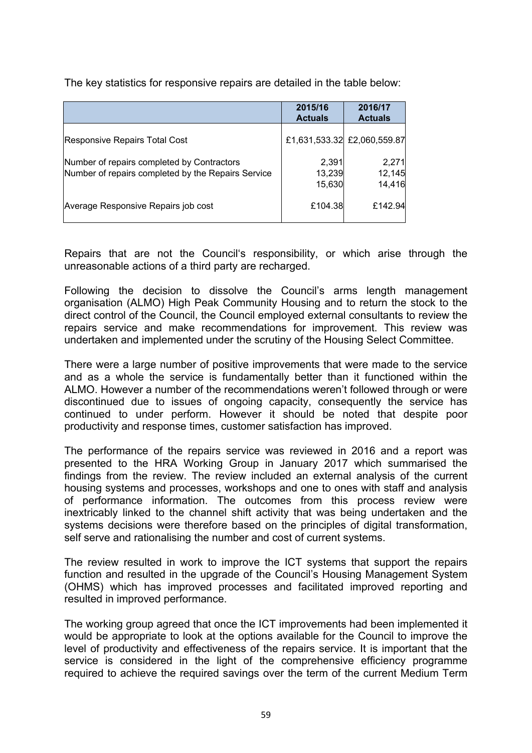The key statistics for responsive repairs are detailed in the table below:

|                                                                                                  | 2015/16<br><b>Actuals</b> | 2016/17<br><b>Actuals</b>   |
|--------------------------------------------------------------------------------------------------|---------------------------|-----------------------------|
| Responsive Repairs Total Cost                                                                    |                           | £1,631,533.32 £2,060,559.87 |
| Number of repairs completed by Contractors<br>Number of repairs completed by the Repairs Service | 2,391<br>13,239<br>15,630 | 2,271<br>12,145<br>14,416   |
| Average Responsive Repairs job cost                                                              | £104.38                   | £142.94                     |

Repairs that are not the Council's responsibility, or which arise through the unreasonable actions of a third party are recharged.

Following the decision to dissolve the Council's arms length management organisation (ALMO) High Peak Community Housing and to return the stock to the direct control of the Council, the Council employed external consultants to review the repairs service and make recommendations for improvement. This review was undertaken and implemented under the scrutiny of the Housing Select Committee.

There were a large number of positive improvements that were made to the service and as a whole the service is fundamentally better than it functioned within the ALMO. However a number of the recommendations weren't followed through or were discontinued due to issues of ongoing capacity, consequently the service has continued to under perform. However it should be noted that despite poor productivity and response times, customer satisfaction has improved.

The performance of the repairs service was reviewed in 2016 and a report was presented to the HRA Working Group in January 2017 which summarised the findings from the review. The review included an external analysis of the current housing systems and processes, workshops and one to ones with staff and analysis of performance information. The outcomes from this process review were inextricably linked to the channel shift activity that was being undertaken and the systems decisions were therefore based on the principles of digital transformation, self serve and rationalising the number and cost of current systems.

The review resulted in work to improve the ICT systems that support the repairs function and resulted in the upgrade of the Council's Housing Management System (OHMS) which has improved processes and facilitated improved reporting and resulted in improved performance.

The working group agreed that once the ICT improvements had been implemented it would be appropriate to look at the options available for the Council to improve the level of productivity and effectiveness of the repairs service. It is important that the service is considered in the light of the comprehensive efficiency programme required to achieve the required savings over the term of the current Medium Term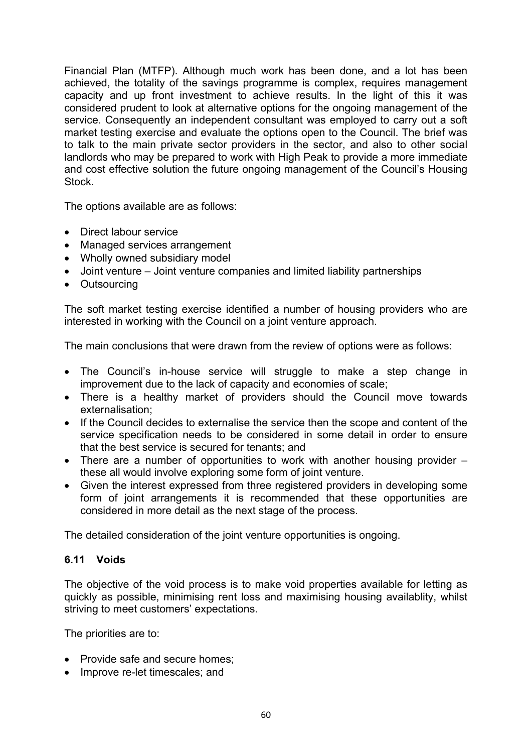Financial Plan (MTFP). Although much work has been done, and a lot has been achieved, the totality of the savings programme is complex, requires management capacity and up front investment to achieve results. In the light of this it was considered prudent to look at alternative options for the ongoing management of the service. Consequently an independent consultant was employed to carry out a soft market testing exercise and evaluate the options open to the Council. The brief was to talk to the main private sector providers in the sector, and also to other social landlords who may be prepared to work with High Peak to provide a more immediate and cost effective solution the future ongoing management of the Council's Housing Stock.

The options available are as follows:

- Direct labour service
- Managed services arrangement
- Wholly owned subsidiary model
- Joint venture Joint venture companies and limited liability partnerships
- Outsourcing

The soft market testing exercise identified a number of housing providers who are interested in working with the Council on a joint venture approach.

The main conclusions that were drawn from the review of options were as follows:

- The Council's in-house service will struggle to make a step change in improvement due to the lack of capacity and economies of scale;
- There is a healthy market of providers should the Council move towards externalisation;
- If the Council decides to externalise the service then the scope and content of the service specification needs to be considered in some detail in order to ensure that the best service is secured for tenants; and
- There are a number of opportunities to work with another housing provider these all would involve exploring some form of joint venture.
- Given the interest expressed from three registered providers in developing some form of joint arrangements it is recommended that these opportunities are considered in more detail as the next stage of the process.

The detailed consideration of the joint venture opportunities is ongoing.

#### **6.11 Voids**

The objective of the void process is to make void properties available for letting as quickly as possible, minimising rent loss and maximising housing availablity, whilst striving to meet customers' expectations.

The priorities are to:

- Provide safe and secure homes;
- Improve re-let timescales; and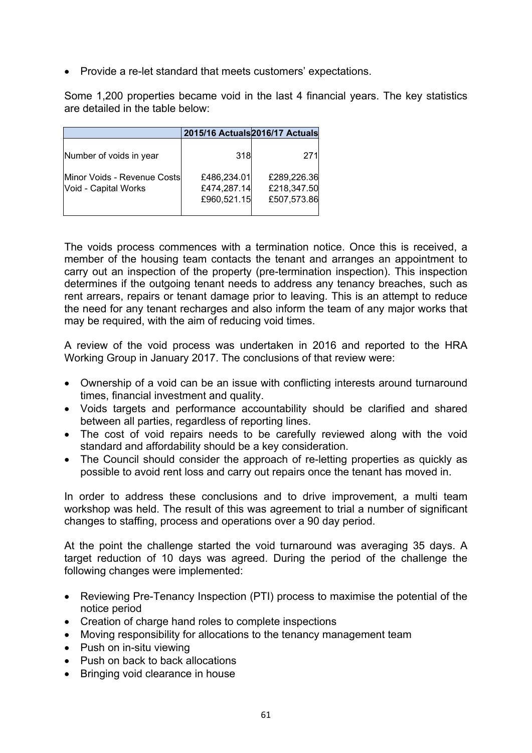• Provide a re-let standard that meets customers' expectations.

Some 1,200 properties became void in the last 4 financial years. The key statistics are detailed in the table below:

|                                                      |                                           | 2015/16 Actuals 2016/17 Actuals           |
|------------------------------------------------------|-------------------------------------------|-------------------------------------------|
| Number of voids in year                              | 318                                       | 271                                       |
| Minor Voids - Revenue Costsl<br>Void - Capital Works | £486,234.01<br>£474,287.14<br>£960,521.15 | £289,226.36<br>£218,347.50<br>£507,573.86 |

The voids process commences with a termination notice. Once this is received, a member of the housing team contacts the tenant and arranges an appointment to carry out an inspection of the property (pre-termination inspection). This inspection determines if the outgoing tenant needs to address any tenancy breaches, such as rent arrears, repairs or tenant damage prior to leaving. This is an attempt to reduce the need for any tenant recharges and also inform the team of any major works that may be required, with the aim of reducing void times.

A review of the void process was undertaken in 2016 and reported to the HRA Working Group in January 2017. The conclusions of that review were:

- Ownership of a void can be an issue with conflicting interests around turnaround times, financial investment and quality.
- Voids targets and performance accountability should be clarified and shared between all parties, regardless of reporting lines.
- The cost of void repairs needs to be carefully reviewed along with the void standard and affordability should be a key consideration.
- The Council should consider the approach of re-letting properties as quickly as possible to avoid rent loss and carry out repairs once the tenant has moved in.

In order to address these conclusions and to drive improvement, a multi team workshop was held. The result of this was agreement to trial a number of significant changes to staffing, process and operations over a 90 day period.

At the point the challenge started the void turnaround was averaging 35 days. A target reduction of 10 days was agreed. During the period of the challenge the following changes were implemented:

- Reviewing Pre-Tenancy Inspection (PTI) process to maximise the potential of the notice period
- Creation of charge hand roles to complete inspections
- Moving responsibility for allocations to the tenancy management team
- Push on in-situ viewing
- Push on back to back allocations
- Bringing void clearance in house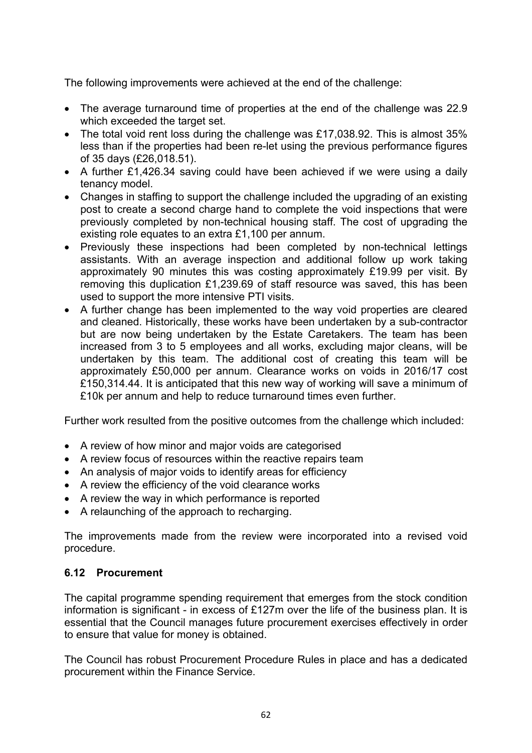The following improvements were achieved at the end of the challenge:

- The average turnaround time of properties at the end of the challenge was 22.9 which exceeded the target set.
- The total void rent loss during the challenge was £17,038.92. This is almost 35% less than if the properties had been re-let using the previous performance figures of 35 days (£26,018.51).
- A further £1,426.34 saving could have been achieved if we were using a daily tenancy model.
- Changes in staffing to support the challenge included the upgrading of an existing post to create a second charge hand to complete the void inspections that were previously completed by non-technical housing staff. The cost of upgrading the existing role equates to an extra £1,100 per annum.
- Previously these inspections had been completed by non-technical lettings assistants. With an average inspection and additional follow up work taking approximately 90 minutes this was costing approximately £19.99 per visit. By removing this duplication £1,239.69 of staff resource was saved, this has been used to support the more intensive PTI visits.
- A further change has been implemented to the way void properties are cleared and cleaned. Historically, these works have been undertaken by a sub-contractor but are now being undertaken by the Estate Caretakers. The team has been increased from 3 to 5 employees and all works, excluding major cleans, will be undertaken by this team. The additional cost of creating this team will be approximately £50,000 per annum. Clearance works on voids in 2016/17 cost £150,314.44. It is anticipated that this new way of working will save a minimum of £10k per annum and help to reduce turnaround times even further.

Further work resulted from the positive outcomes from the challenge which included:

- A review of how minor and major voids are categorised
- A review focus of resources within the reactive repairs team
- An analysis of major voids to identify areas for efficiency
- A review the efficiency of the void clearance works
- A review the way in which performance is reported
- A relaunching of the approach to recharging.

The improvements made from the review were incorporated into a revised void procedure.

#### **6.12 Procurement**

The capital programme spending requirement that emerges from the stock condition information is significant - in excess of £127m over the life of the business plan. It is essential that the Council manages future procurement exercises effectively in order to ensure that value for money is obtained.

The Council has robust Procurement Procedure Rules in place and has a dedicated procurement within the Finance Service.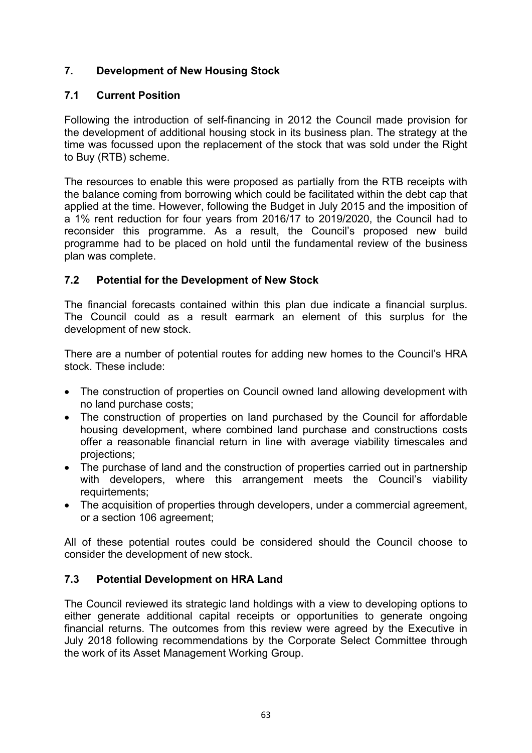# **7. Development of New Housing Stock**

# **7.1 Current Position**

Following the introduction of self-financing in 2012 the Council made provision for the development of additional housing stock in its business plan. The strategy at the time was focussed upon the replacement of the stock that was sold under the Right to Buy (RTB) scheme.

The resources to enable this were proposed as partially from the RTB receipts with the balance coming from borrowing which could be facilitated within the debt cap that applied at the time. However, following the Budget in July 2015 and the imposition of a 1% rent reduction for four years from 2016/17 to 2019/2020, the Council had to reconsider this programme. As a result, the Council's proposed new build programme had to be placed on hold until the fundamental review of the business plan was complete.

# **7.2 Potential for the Development of New Stock**

The financial forecasts contained within this plan due indicate a financial surplus. The Council could as a result earmark an element of this surplus for the development of new stock.

There are a number of potential routes for adding new homes to the Council's HRA stock. These include:

- The construction of properties on Council owned land allowing development with no land purchase costs;
- The construction of properties on land purchased by the Council for affordable housing development, where combined land purchase and constructions costs offer a reasonable financial return in line with average viability timescales and projections;
- The purchase of land and the construction of properties carried out in partnership with developers, where this arrangement meets the Council's viability requirtements;
- The acquisition of properties through developers, under a commercial agreement, or a section 106 agreement;

All of these potential routes could be considered should the Council choose to consider the development of new stock.

# **7.3 Potential Development on HRA Land**

The Council reviewed its strategic land holdings with a view to developing options to either generate additional capital receipts or opportunities to generate ongoing financial returns. The outcomes from this review were agreed by the Executive in July 2018 following recommendations by the Corporate Select Committee through the work of its Asset Management Working Group.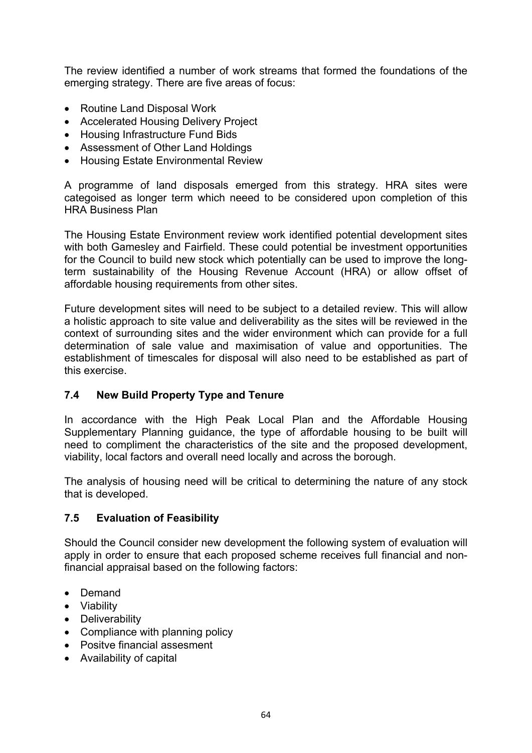The review identified a number of work streams that formed the foundations of the emerging strategy. There are five areas of focus:

- Routine Land Disposal Work
- Accelerated Housing Delivery Project
- Housing Infrastructure Fund Bids
- Assessment of Other Land Holdings
- Housing Estate Environmental Review

A programme of land disposals emerged from this strategy. HRA sites were categoised as longer term which neeed to be considered upon completion of this HRA Business Plan

The Housing Estate Environment review work identified potential development sites with both Gamesley and Fairfield. These could potential be investment opportunities for the Council to build new stock which potentially can be used to improve the longterm sustainability of the Housing Revenue Account (HRA) or allow offset of affordable housing requirements from other sites.

Future development sites will need to be subject to a detailed review. This will allow a holistic approach to site value and deliverability as the sites will be reviewed in the context of surrounding sites and the wider environment which can provide for a full determination of sale value and maximisation of value and opportunities. The establishment of timescales for disposal will also need to be established as part of this exercise.

# **7.4 New Build Property Type and Tenure**

In accordance with the High Peak Local Plan and the Affordable Housing Supplementary Planning guidance, the type of affordable housing to be built will need to compliment the characteristics of the site and the proposed development, viability, local factors and overall need locally and across the borough.

The analysis of housing need will be critical to determining the nature of any stock that is developed.

#### **7.5 Evaluation of Feasibility**

Should the Council consider new development the following system of evaluation will apply in order to ensure that each proposed scheme receives full financial and nonfinancial appraisal based on the following factors:

- Demand
- Viability
- Deliverability
- Compliance with planning policy
- Positve financial assesment
- Availability of capital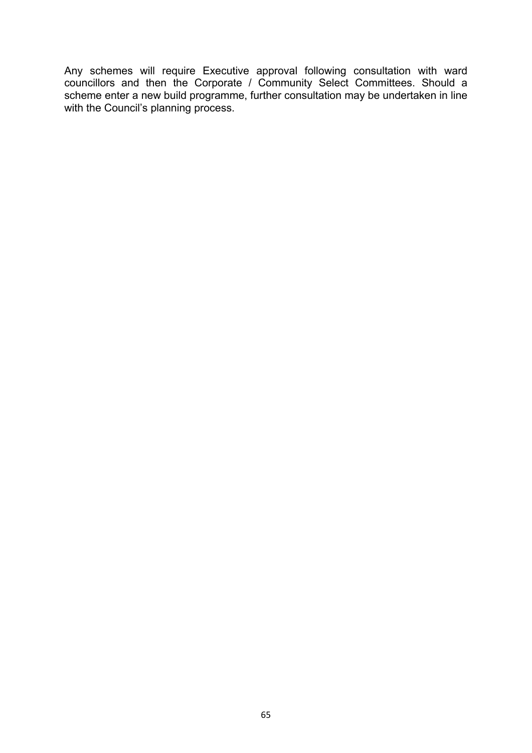Any schemes will require Executive approval following consultation with ward councillors and then the Corporate / Community Select Committees. Should a scheme enter a new build programme, further consultation may be undertaken in line with the Council's planning process.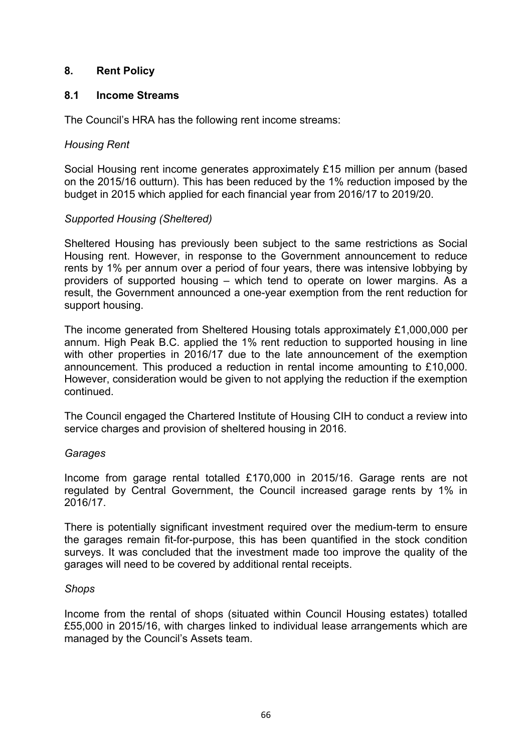## **8. Rent Policy**

#### **8.1 Income Streams**

The Council's HRA has the following rent income streams:

#### *Housing Rent*

Social Housing rent income generates approximately £15 million per annum (based on the 2015/16 outturn). This has been reduced by the 1% reduction imposed by the budget in 2015 which applied for each financial year from 2016/17 to 2019/20.

## *Supported Housing (Sheltered)*

Sheltered Housing has previously been subject to the same restrictions as Social Housing rent. However, in response to the Government announcement to reduce rents by 1% per annum over a period of four years, there was intensive lobbying by providers of supported housing – which tend to operate on lower margins. As a result, the Government announced a one-year exemption from the rent reduction for support housing.

The income generated from Sheltered Housing totals approximately £1,000,000 per annum. High Peak B.C. applied the 1% rent reduction to supported housing in line with other properties in 2016/17 due to the late announcement of the exemption announcement. This produced a reduction in rental income amounting to £10,000. However, consideration would be given to not applying the reduction if the exemption continued.

The Council engaged the Chartered Institute of Housing CIH to conduct a review into service charges and provision of sheltered housing in 2016.

#### *Garages*

Income from garage rental totalled £170,000 in 2015/16. Garage rents are not regulated by Central Government, the Council increased garage rents by 1% in 2016/17.

There is potentially significant investment required over the medium-term to ensure the garages remain fit-for-purpose, this has been quantified in the stock condition surveys. It was concluded that the investment made too improve the quality of the garages will need to be covered by additional rental receipts.

#### *Shops*

Income from the rental of shops (situated within Council Housing estates) totalled £55,000 in 2015/16, with charges linked to individual lease arrangements which are managed by the Council's Assets team.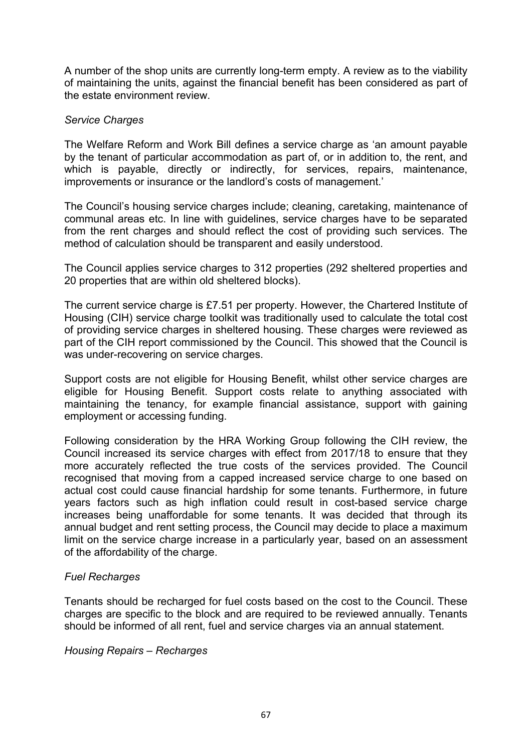A number of the shop units are currently long-term empty. A review as to the viability of maintaining the units, against the financial benefit has been considered as part of the estate environment review.

## *Service Charges*

The Welfare Reform and Work Bill defines a service charge as 'an amount payable by the tenant of particular accommodation as part of, or in addition to, the rent, and which is payable, directly or indirectly, for services, repairs, maintenance, improvements or insurance or the landlord's costs of management.'

The Council's housing service charges include; cleaning, caretaking, maintenance of communal areas etc. In line with guidelines, service charges have to be separated from the rent charges and should reflect the cost of providing such services. The method of calculation should be transparent and easily understood.

The Council applies service charges to 312 properties (292 sheltered properties and 20 properties that are within old sheltered blocks).

The current service charge is £7.51 per property. However, the Chartered Institute of Housing (CIH) service charge toolkit was traditionally used to calculate the total cost of providing service charges in sheltered housing. These charges were reviewed as part of the CIH report commissioned by the Council. This showed that the Council is was under-recovering on service charges.

Support costs are not eligible for Housing Benefit, whilst other service charges are eligible for Housing Benefit. Support costs relate to anything associated with maintaining the tenancy, for example financial assistance, support with gaining employment or accessing funding.

Following consideration by the HRA Working Group following the CIH review, the Council increased its service charges with effect from 2017/18 to ensure that they more accurately reflected the true costs of the services provided. The Council recognised that moving from a capped increased service charge to one based on actual cost could cause financial hardship for some tenants. Furthermore, in future years factors such as high inflation could result in cost-based service charge increases being unaffordable for some tenants. It was decided that through its annual budget and rent setting process, the Council may decide to place a maximum limit on the service charge increase in a particularly year, based on an assessment of the affordability of the charge.

#### *Fuel Recharges*

Tenants should be recharged for fuel costs based on the cost to the Council. These charges are specific to the block and are required to be reviewed annually. Tenants should be informed of all rent, fuel and service charges via an annual statement.

*Housing Repairs – Recharges*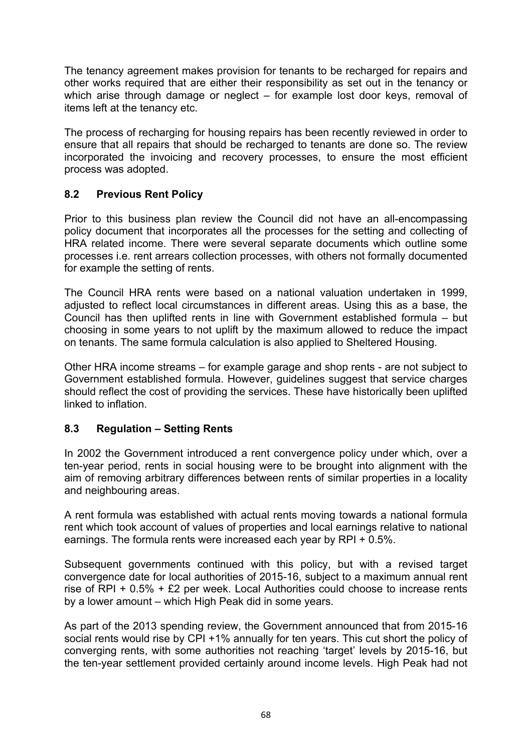The tenancy agreement makes provision for tenants to be recharged for repairs and other works required that are either their responsibility as set out in the tenancy or which arise through damage or neglect – for example lost door keys, removal of items left at the tenancy etc.

The process of recharging for housing repairs has been recently reviewed in order to ensure that all repairs that should be recharged to tenants are done so. The review incorporated the invoicing and recovery processes, to ensure the most efficient process was adopted.

# **8.2 Previous Rent Policy**

Prior to this business plan review the Council did not have an all-encompassing policy document that incorporates all the processes for the setting and collecting of HRA related income. There were several separate documents which outline some processes i.e. rent arrears collection processes, with others not formally documented for example the setting of rents.

The Council HRA rents were based on a national valuation undertaken in 1999, adjusted to reflect local circumstances in different areas. Using this as a base, the Council has then uplifted rents in line with Government established formula – but choosing in some years to not uplift by the maximum allowed to reduce the impact on tenants. The same formula calculation is also applied to Sheltered Housing.

Other HRA income streams – for example garage and shop rents - are not subject to Government established formula. However, guidelines suggest that service charges should reflect the cost of providing the services. These have historically been uplifted linked to inflation.

# **8.3 Regulation – Setting Rents**

In 2002 the Government introduced a rent convergence policy under which, over a ten-year period, rents in social housing were to be brought into alignment with the aim of removing arbitrary differences between rents of similar properties in a locality and neighbouring areas.

A rent formula was established with actual rents moving towards a national formula rent which took account of values of properties and local earnings relative to national earnings. The formula rents were increased each year by RPI + 0.5%.

Subsequent governments continued with this policy, but with a revised target convergence date for local authorities of 2015-16, subject to a maximum annual rent rise of RPI + 0.5% + £2 per week. Local Authorities could choose to increase rents by a lower amount – which High Peak did in some years.

As part of the 2013 spending review, the Government announced that from 2015-16 social rents would rise by CPI +1% annually for ten years. This cut short the policy of converging rents, with some authorities not reaching 'target' levels by 2015-16, but the ten-year settlement provided certainly around income levels. High Peak had not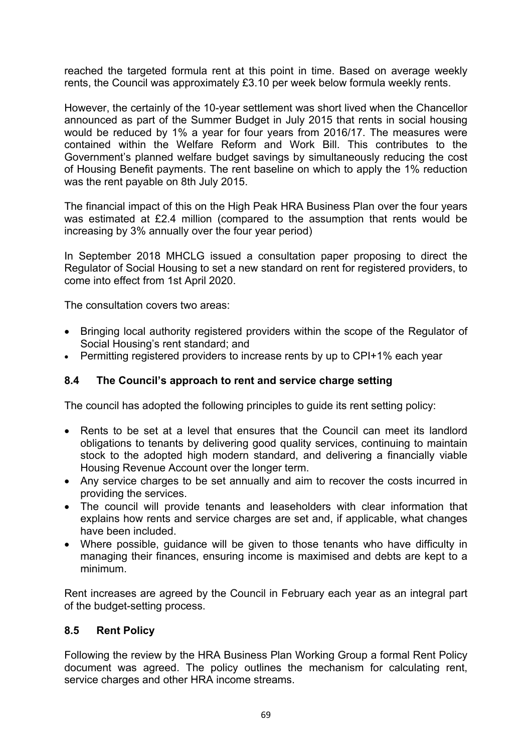reached the targeted formula rent at this point in time. Based on average weekly rents, the Council was approximately £3.10 per week below formula weekly rents.

However, the certainly of the 10-year settlement was short lived when the Chancellor announced as part of the Summer Budget in July 2015 that rents in social housing would be reduced by 1% a year for four years from 2016/17. The measures were contained within the Welfare Reform and Work Bill. This contributes to the Government's planned welfare budget savings by simultaneously reducing the cost of Housing Benefit payments. The rent baseline on which to apply the 1% reduction was the rent payable on 8th July 2015.

The financial impact of this on the High Peak HRA Business Plan over the four years was estimated at £2.4 million (compared to the assumption that rents would be increasing by 3% annually over the four year period)

In September 2018 MHCLG issued a consultation paper proposing to direct the Regulator of Social Housing to set a new standard on rent for registered providers, to come into effect from 1st April 2020.

The consultation covers two areas:

- Bringing local authority registered providers within the scope of the Regulator of Social Housing's rent standard; and
- Permitting registered providers to increase rents by up to CPI+1% each year

# **8.4 The Council's approach to rent and service charge setting**

The council has adopted the following principles to guide its rent setting policy:

- Rents to be set at a level that ensures that the Council can meet its landlord obligations to tenants by delivering good quality services, continuing to maintain stock to the adopted high modern standard, and delivering a financially viable Housing Revenue Account over the longer term.
- Any service charges to be set annually and aim to recover the costs incurred in providing the services.
- The council will provide tenants and leaseholders with clear information that explains how rents and service charges are set and, if applicable, what changes have been included.
- Where possible, guidance will be given to those tenants who have difficulty in managing their finances, ensuring income is maximised and debts are kept to a minimum.

Rent increases are agreed by the Council in February each year as an integral part of the budget-setting process.

#### **8.5 Rent Policy**

Following the review by the HRA Business Plan Working Group a formal Rent Policy document was agreed. The policy outlines the mechanism for calculating rent, service charges and other HRA income streams.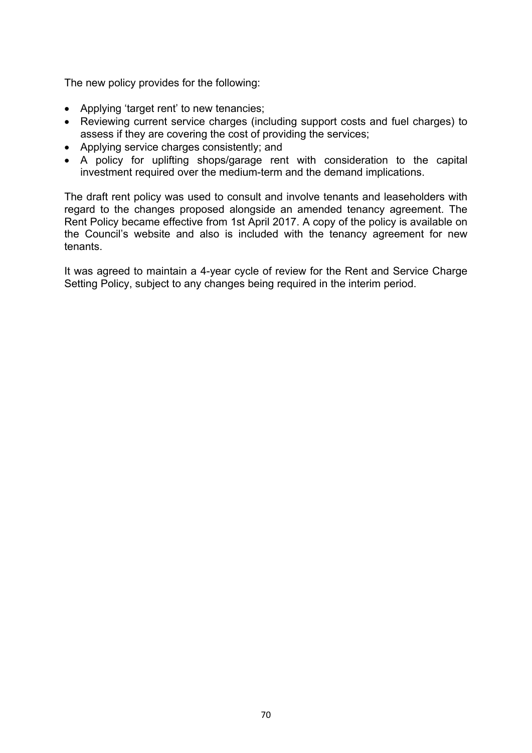The new policy provides for the following:

- Applying 'target rent' to new tenancies;
- Reviewing current service charges (including support costs and fuel charges) to assess if they are covering the cost of providing the services;
- Applying service charges consistently; and
- A policy for uplifting shops/garage rent with consideration to the capital investment required over the medium-term and the demand implications.

The draft rent policy was used to consult and involve tenants and leaseholders with regard to the changes proposed alongside an amended tenancy agreement. The Rent Policy became effective from 1st April 2017. A copy of the policy is available on the Council's website and also is included with the tenancy agreement for new tenants.

It was agreed to maintain a 4-year cycle of review for the Rent and Service Charge Setting Policy, subject to any changes being required in the interim period.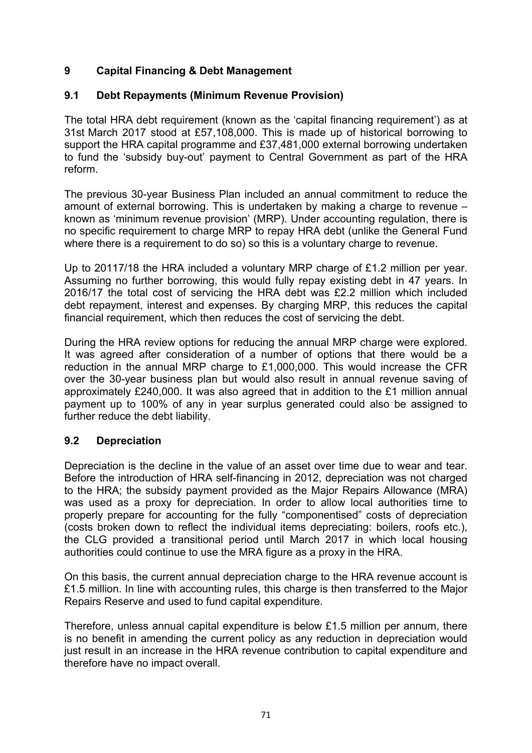# **9 Capital Financing & Debt Management**

# **9.1 Debt Repayments (Minimum Revenue Provision)**

The total HRA debt requirement (known as the 'capital financing requirement') as at 31st March 2017 stood at £57,108,000. This is made up of historical borrowing to support the HRA capital programme and £37,481,000 external borrowing undertaken to fund the 'subsidy buy-out' payment to Central Government as part of the HRA reform.

The previous 30-year Business Plan included an annual commitment to reduce the amount of external borrowing. This is undertaken by making a charge to revenue – known as 'minimum revenue provision' (MRP). Under accounting regulation, there is no specific requirement to charge MRP to repay HRA debt (unlike the General Fund where there is a requirement to do so) so this is a voluntary charge to revenue.

Up to 20117/18 the HRA included a voluntary MRP charge of £1.2 million per year. Assuming no further borrowing, this would fully repay existing debt in 47 years. In 2016/17 the total cost of servicing the HRA debt was £2.2 million which included debt repayment, interest and expenses. By charging MRP, this reduces the capital financial requirement, which then reduces the cost of servicing the debt.

During the HRA review options for reducing the annual MRP charge were explored. It was agreed after consideration of a number of options that there would be a reduction in the annual MRP charge to £1,000,000. This would increase the CFR over the 30-year business plan but would also result in annual revenue saving of approximately £240,000. It was also agreed that in addition to the £1 million annual payment up to 100% of any in year surplus generated could also be assigned to further reduce the debt liability.

# **9.2 Depreciation**

Depreciation is the decline in the value of an asset over time due to wear and tear. Before the introduction of HRA self-financing in 2012, depreciation was not charged to the HRA; the subsidy payment provided as the Major Repairs Allowance (MRA) was used as a proxy for depreciation. In order to allow local authorities time to properly prepare for accounting for the fully "componentised" costs of depreciation (costs broken down to reflect the individual items depreciating: boilers, roofs etc.), the CLG provided a transitional period until March 2017 in which local housing authorities could continue to use the MRA figure as a proxy in the HRA.

On this basis, the current annual depreciation charge to the HRA revenue account is £1.5 million. In line with accounting rules, this charge is then transferred to the Major Repairs Reserve and used to fund capital expenditure.

Therefore, unless annual capital expenditure is below  $£1.5$  million per annum, there is no benefit in amending the current policy as any reduction in depreciation would just result in an increase in the HRA revenue contribution to capital expenditure and therefore have no impact overall.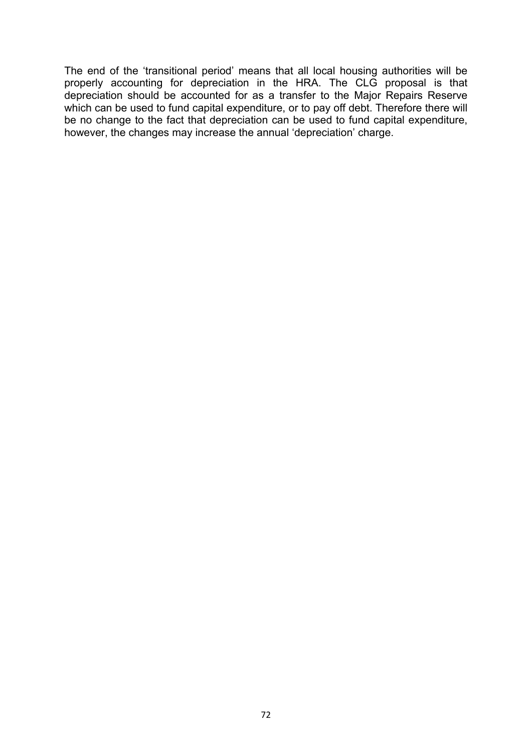The end of the 'transitional period' means that all local housing authorities will be properly accounting for depreciation in the HRA. The CLG proposal is that depreciation should be accounted for as a transfer to the Major Repairs Reserve which can be used to fund capital expenditure, or to pay off debt. Therefore there will be no change to the fact that depreciation can be used to fund capital expenditure, however, the changes may increase the annual 'depreciation' charge.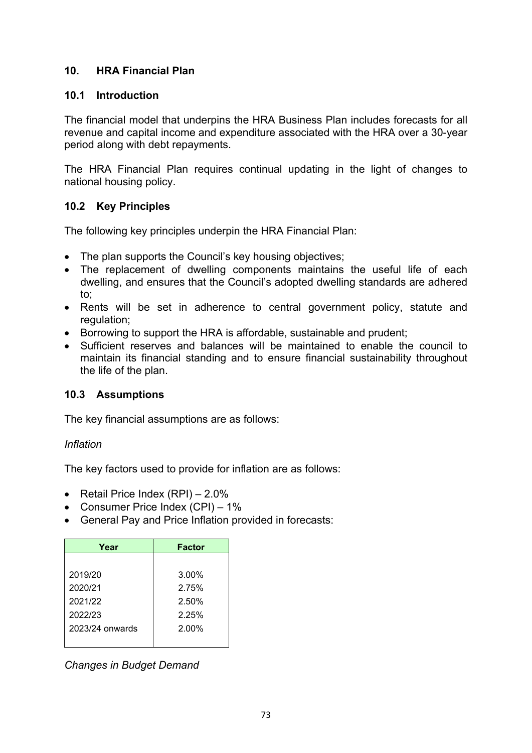## **10. HRA Financial Plan**

### **10.1 Introduction**

The financial model that underpins the HRA Business Plan includes forecasts for all revenue and capital income and expenditure associated with the HRA over a 30-year period along with debt repayments.

The HRA Financial Plan requires continual updating in the light of changes to national housing policy.

## **10.2 Key Principles**

The following key principles underpin the HRA Financial Plan:

- The plan supports the Council's key housing objectives;
- The replacement of dwelling components maintains the useful life of each dwelling, and ensures that the Council's adopted dwelling standards are adhered to;
- Rents will be set in adherence to central government policy, statute and regulation:
- Borrowing to support the HRA is affordable, sustainable and prudent;
- Sufficient reserves and balances will be maintained to enable the council to maintain its financial standing and to ensure financial sustainability throughout the life of the plan.

## **10.3 Assumptions**

The key financial assumptions are as follows:

#### *Inflation*

The key factors used to provide for inflation are as follows:

- Retail Price Index  $(RPI) 2.0\%$
- Consumer Price Index (CPI) 1%
- General Pay and Price Inflation provided in forecasts:

| Year            | <b>Factor</b> |
|-----------------|---------------|
|                 |               |
| 2019/20         | $3.00\%$      |
| 2020/21         | 2.75%         |
| 2021/22         | 2.50%         |
| 2022/23         | 2.25%         |
| 2023/24 onwards | 2.00%         |
|                 |               |

*Changes in Budget Demand*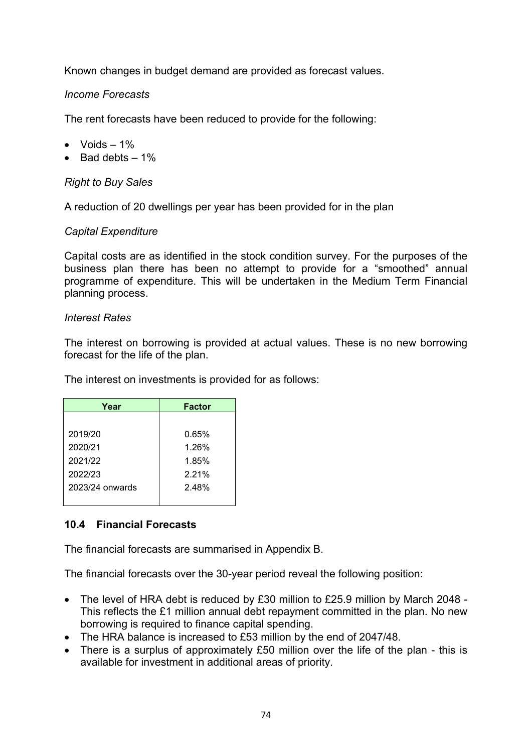Known changes in budget demand are provided as forecast values.

### *Income Forecasts*

The rent forecasts have been reduced to provide for the following:

- $\bullet$  Voids  $-1\%$
- $\bullet$  Bad debts  $-1\%$

*Right to Buy Sales*

A reduction of 20 dwellings per year has been provided for in the plan

#### *Capital Expenditure*

Capital costs are as identified in the stock condition survey. For the purposes of the business plan there has been no attempt to provide for a "smoothed" annual programme of expenditure. This will be undertaken in the Medium Term Financial planning process.

#### *Interest Rates*

The interest on borrowing is provided at actual values. These is no new borrowing forecast for the life of the plan.

The interest on investments is provided for as follows:

| Year            | <b>Factor</b> |
|-----------------|---------------|
|                 |               |
| 2019/20         | 0.65%         |
| 2020/21         | 1.26%         |
| 2021/22         | 1.85%         |
| 2022/23         | 2.21%         |
| 2023/24 onwards | 2.48%         |
|                 |               |

## **10.4 Financial Forecasts**

The financial forecasts are summarised in Appendix B.

The financial forecasts over the 30-year period reveal the following position:

- The level of HRA debt is reduced by £30 million to £25.9 million by March 2048 This reflects the £1 million annual debt repayment committed in the plan. No new borrowing is required to finance capital spending.
- The HRA balance is increased to £53 million by the end of 2047/48.
- There is a surplus of approximately £50 million over the life of the plan this is available for investment in additional areas of priority.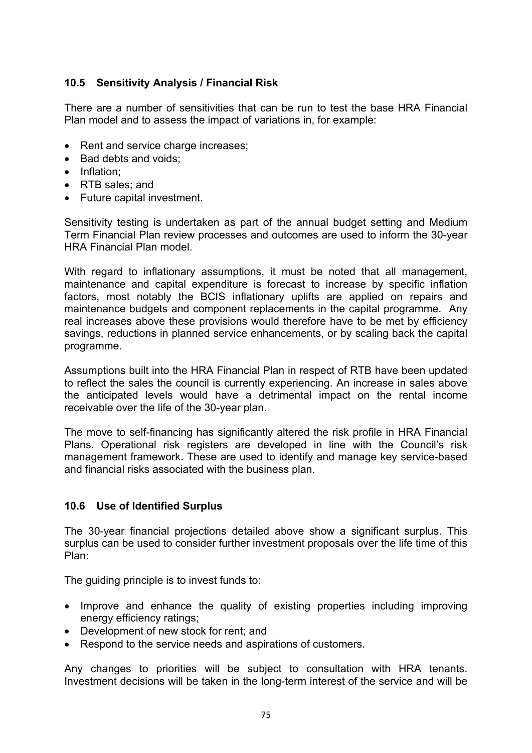## **10.5 Sensitivity Analysis / Financial Risk**

There are a number of sensitivities that can be run to test the base HRA Financial Plan model and to assess the impact of variations in, for example:

- Rent and service charge increases;
- Bad debts and voids:
- Inflation;
- RTB sales: and
- Future capital investment.

Sensitivity testing is undertaken as part of the annual budget setting and Medium Term Financial Plan review processes and outcomes are used to inform the 30-year HRA Financial Plan model.

With regard to inflationary assumptions, it must be noted that all management, maintenance and capital expenditure is forecast to increase by specific inflation factors, most notably the BCIS inflationary uplifts are applied on repairs and maintenance budgets and component replacements in the capital programme. Any real increases above these provisions would therefore have to be met by efficiency savings, reductions in planned service enhancements, or by scaling back the capital programme.

Assumptions built into the HRA Financial Plan in respect of RTB have been updated to reflect the sales the council is currently experiencing. An increase in sales above the anticipated levels would have a detrimental impact on the rental income receivable over the life of the 30-year plan.

The move to self-financing has significantly altered the risk profile in HRA Financial Plans. Operational risk registers are developed in line with the Council's risk management framework. These are used to identify and manage key service-based and financial risks associated with the business plan.

#### **10.6 Use of Identified Surplus**

The 30-year financial projections detailed above show a significant surplus. This surplus can be used to consider further investment proposals over the life time of this Plan:

The guiding principle is to invest funds to:

- Improve and enhance the quality of existing properties including improving energy efficiency ratings;
- Development of new stock for rent; and
- Respond to the service needs and aspirations of customers.

Any changes to priorities will be subject to consultation with HRA tenants. Investment decisions will be taken in the long-term interest of the service and will be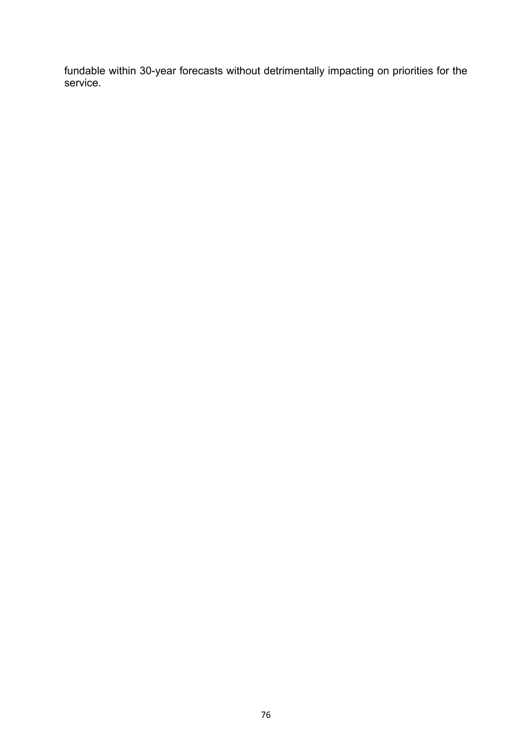fundable within 30-year forecasts without detrimentally impacting on priorities for the service.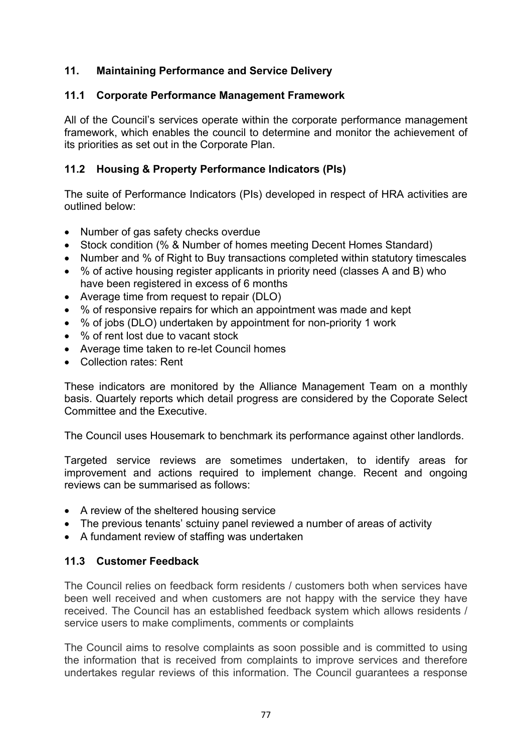## **11. Maintaining Performance and Service Delivery**

### **11.1 Corporate Performance Management Framework**

All of the Council's services operate within the corporate performance management framework, which enables the council to determine and monitor the achievement of its priorities as set out in the Corporate Plan.

## **11.2 Housing & Property Performance Indicators (PIs)**

The suite of Performance Indicators (PIs) developed in respect of HRA activities are outlined below:

- Number of gas safety checks overdue
- Stock condition (% & Number of homes meeting Decent Homes Standard)
- Number and % of Right to Buy transactions completed within statutory timescales
- % of active housing register applicants in priority need (classes A and B) who have been registered in excess of 6 months
- Average time from request to repair (DLO)
- % of responsive repairs for which an appointment was made and kept
- % of jobs (DLO) undertaken by appointment for non-priority 1 work
- % of rent lost due to vacant stock
- Average time taken to re-let Council homes
- Collection rates: Rent

These indicators are monitored by the Alliance Management Team on a monthly basis. Quartely reports which detail progress are considered by the Coporate Select Committee and the Executive.

The Council uses Housemark to benchmark its performance against other landlords.

Targeted service reviews are sometimes undertaken, to identify areas for improvement and actions required to implement change. Recent and ongoing reviews can be summarised as follows:

- A review of the sheltered housing service
- The previous tenants' sctuiny panel reviewed a number of areas of activity
- A fundament review of staffing was undertaken

## **11.3 Customer Feedback**

The Council relies on feedback form residents / customers both when services have been well received and when customers are not happy with the service they have received. The Council has an established feedback system which allows residents / service users to make compliments, comments or complaints

The Council aims to resolve complaints as soon possible and is committed to using the information that is received from complaints to improve services and therefore undertakes regular reviews of this information. The Council guarantees a response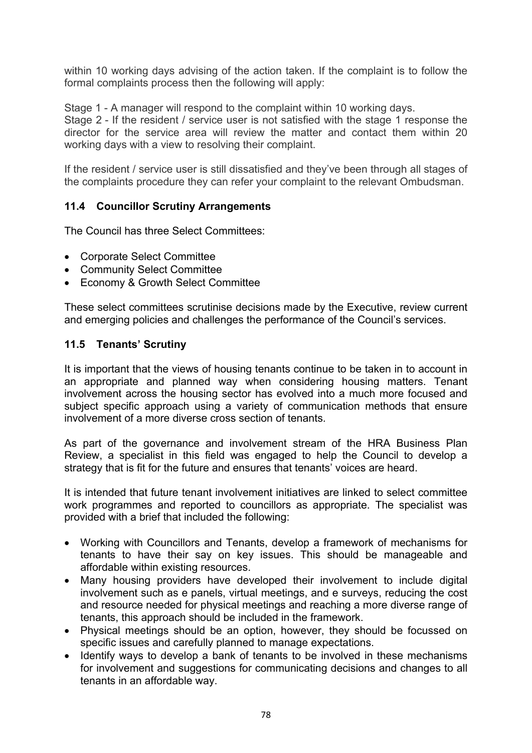within 10 working days advising of the action taken. If the complaint is to follow the formal complaints process then the following will apply:

Stage 1 - A manager will respond to the complaint within 10 working days.

Stage 2 - If the resident / service user is not satisfied with the stage 1 response the director for the service area will review the matter and contact them within 20 working days with a view to resolving their complaint.

If the resident / service user is still dissatisfied and they've been through all stages of the complaints procedure they can refer your complaint to the relevant Ombudsman.

## **11.4 Councillor Scrutiny Arrangements**

The Council has three Select Committees:

- Corporate Select Committee
- Community Select Committee
- Economy & Growth Select Committee

These select committees scrutinise decisions made by the Executive, review current and emerging policies and challenges the performance of the Council's services.

### **11.5 Tenants' Scrutiny**

It is important that the views of housing tenants continue to be taken in to account in an appropriate and planned way when considering housing matters. Tenant involvement across the housing sector has evolved into a much more focused and subject specific approach using a variety of communication methods that ensure involvement of a more diverse cross section of tenants.

As part of the governance and involvement stream of the HRA Business Plan Review, a specialist in this field was engaged to help the Council to develop a strategy that is fit for the future and ensures that tenants' voices are heard.

It is intended that future tenant involvement initiatives are linked to select committee work programmes and reported to councillors as appropriate. The specialist was provided with a brief that included the following:

- Working with Councillors and Tenants, develop a framework of mechanisms for tenants to have their say on key issues. This should be manageable and affordable within existing resources.
- Many housing providers have developed their involvement to include digital involvement such as e panels, virtual meetings, and e surveys, reducing the cost and resource needed for physical meetings and reaching a more diverse range of tenants, this approach should be included in the framework.
- Physical meetings should be an option, however, they should be focussed on specific issues and carefully planned to manage expectations.
- Identify ways to develop a bank of tenants to be involved in these mechanisms for involvement and suggestions for communicating decisions and changes to all tenants in an affordable way.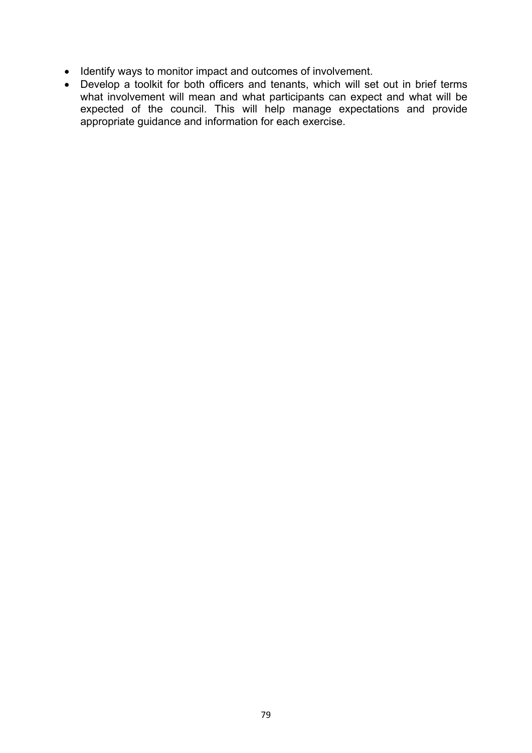- Identify ways to monitor impact and outcomes of involvement.
- Develop a toolkit for both officers and tenants, which will set out in brief terms what involvement will mean and what participants can expect and what will be expected of the council. This will help manage expectations and provide appropriate guidance and information for each exercise.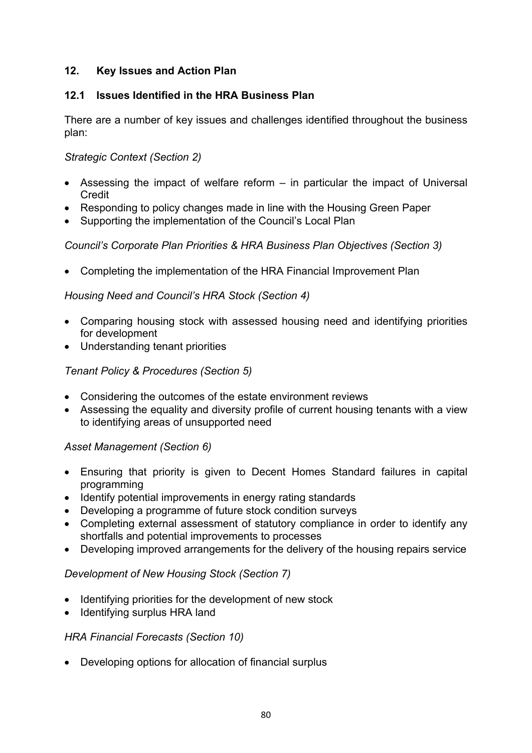## **12. Key Issues and Action Plan**

## **12.1 Issues Identified in the HRA Business Plan**

There are a number of key issues and challenges identified throughout the business plan:

*Strategic Context (Section 2)*

- Assessing the impact of welfare reform in particular the impact of Universal **Credit**
- Responding to policy changes made in line with the Housing Green Paper
- Supporting the implementation of the Council's Local Plan

## *Council's Corporate Plan Priorities & HRA Business Plan Objectives (Section 3)*

Completing the implementation of the HRA Financial Improvement Plan

## *Housing Need and Council's HRA Stock (Section 4)*

- Comparing housing stock with assessed housing need and identifying priorities for development
- Understanding tenant priorities

## *Tenant Policy & Procedures (Section 5)*

- Considering the outcomes of the estate environment reviews
- Assessing the equality and diversity profile of current housing tenants with a view to identifying areas of unsupported need

## *Asset Management (Section 6)*

- Ensuring that priority is given to Decent Homes Standard failures in capital programming
- Identify potential improvements in energy rating standards
- Developing a programme of future stock condition surveys
- Completing external assessment of statutory compliance in order to identify any shortfalls and potential improvements to processes
- Developing improved arrangements for the delivery of the housing repairs service

## *Development of New Housing Stock (Section 7)*

- Identifying priorities for the development of new stock
- Identifying surplus HRA land

## *HRA Financial Forecasts (Section 10)*

Developing options for allocation of financial surplus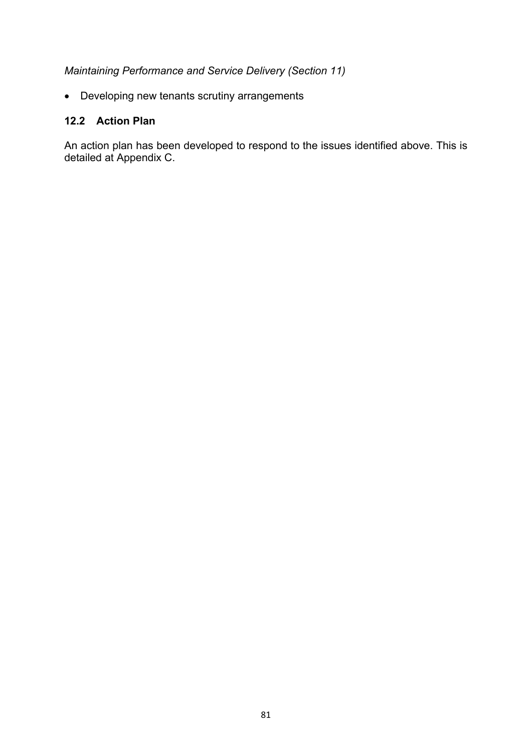## *Maintaining Performance and Service Delivery (Section 11)*

Developing new tenants scrutiny arrangements

## **12.2 Action Plan**

An action plan has been developed to respond to the issues identified above. This is detailed at Appendix C.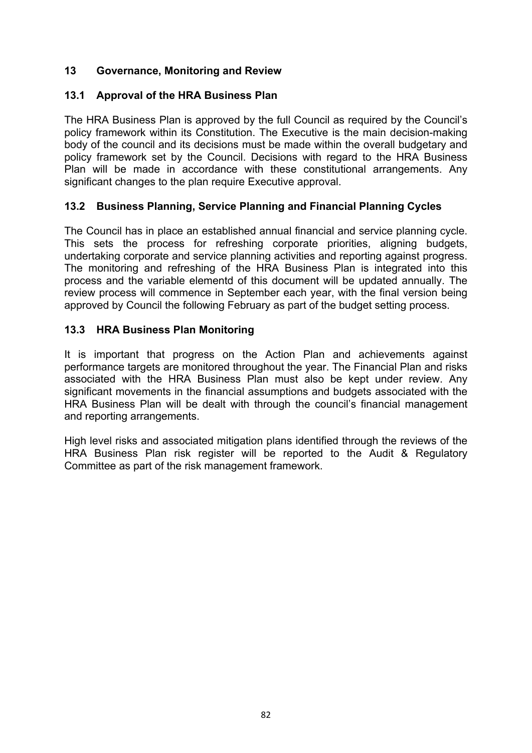## **13 Governance, Monitoring and Review**

## **13.1 Approval of the HRA Business Plan**

The HRA Business Plan is approved by the full Council as required by the Council's policy framework within its Constitution. The Executive is the main decision-making body of the council and its decisions must be made within the overall budgetary and policy framework set by the Council. Decisions with regard to the HRA Business Plan will be made in accordance with these constitutional arrangements. Any significant changes to the plan require Executive approval.

## **13.2 Business Planning, Service Planning and Financial Planning Cycles**

The Council has in place an established annual financial and service planning cycle. This sets the process for refreshing corporate priorities, aligning budgets, undertaking corporate and service planning activities and reporting against progress. The monitoring and refreshing of the HRA Business Plan is integrated into this process and the variable elementd of this document will be updated annually. The review process will commence in September each year, with the final version being approved by Council the following February as part of the budget setting process.

## **13.3 HRA Business Plan Monitoring**

It is important that progress on the Action Plan and achievements against performance targets are monitored throughout the year. The Financial Plan and risks associated with the HRA Business Plan must also be kept under review. Any significant movements in the financial assumptions and budgets associated with the HRA Business Plan will be dealt with through the council's financial management and reporting arrangements.

High level risks and associated mitigation plans identified through the reviews of the HRA Business Plan risk register will be reported to the Audit & Regulatory Committee as part of the risk management framework.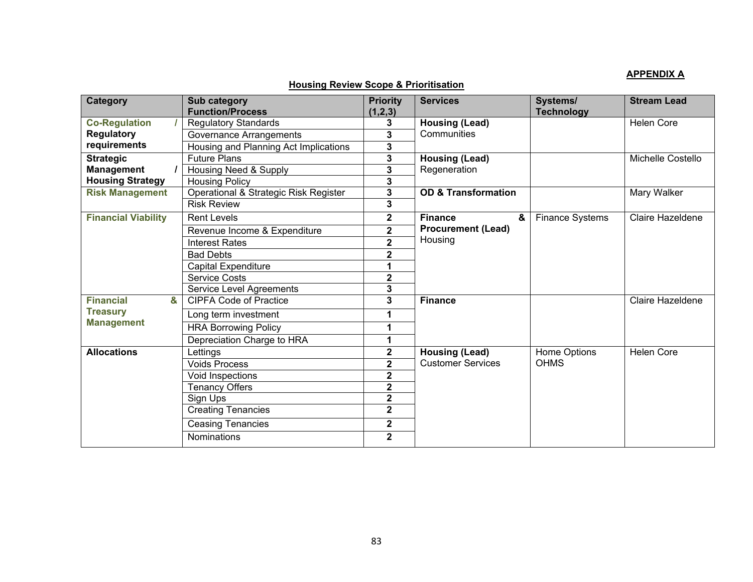#### **APPENDIX A**

### **Housing Review Scope & Prioritisation**

| <b>Category</b>            | Sub category                          | <b>Priority</b>         | <b>Services</b>                | Systems/                    | <b>Stream Lead</b> |
|----------------------------|---------------------------------------|-------------------------|--------------------------------|-----------------------------|--------------------|
|                            | <b>Function/Process</b>               | (1,2,3)                 |                                | <b>Technology</b>           |                    |
| <b>Co-Regulation</b>       | <b>Regulatory Standards</b>           | 3                       | <b>Housing (Lead)</b>          |                             | <b>Helen Core</b>  |
| <b>Regulatory</b>          | Governance Arrangements               | 3                       | Communities                    |                             |                    |
| requirements               | Housing and Planning Act Implications | 3                       |                                |                             |                    |
| <b>Strategic</b>           | <b>Future Plans</b>                   | 3                       | <b>Housing (Lead)</b>          |                             | Michelle Costello  |
| <b>Management</b>          | Housing Need & Supply                 | 3                       | Regeneration                   |                             |                    |
| <b>Housing Strategy</b>    | <b>Housing Policy</b>                 | 3                       |                                |                             |                    |
| <b>Risk Management</b>     | Operational & Strategic Risk Register | 3                       | <b>OD &amp; Transformation</b> |                             | Mary Walker        |
|                            | <b>Risk Review</b>                    | 3                       |                                |                             |                    |
| <b>Financial Viability</b> | <b>Rent Levels</b>                    | $\mathbf 2$             | <b>Finance</b><br>&            | <b>Finance Systems</b>      | Claire Hazeldene   |
|                            | Revenue Income & Expenditure          | $\overline{\mathbf{2}}$ | <b>Procurement (Lead)</b>      |                             |                    |
|                            | <b>Interest Rates</b>                 | $\overline{2}$          | Housing                        |                             |                    |
|                            | <b>Bad Debts</b>                      | $\mathbf 2$             |                                |                             |                    |
|                            | Capital Expenditure                   | 1                       |                                |                             |                    |
|                            | <b>Service Costs</b>                  | $\overline{\mathbf{2}}$ |                                |                             |                    |
|                            | <b>Service Level Agreements</b>       | 3                       |                                |                             |                    |
| <b>Financial</b><br>&      | <b>CIPFA Code of Practice</b>         | 3                       | <b>Finance</b>                 |                             | Claire Hazeldene   |
| <b>Treasury</b>            | Long term investment                  | 1                       |                                |                             |                    |
| <b>Management</b>          | <b>HRA Borrowing Policy</b>           | 1                       |                                |                             |                    |
|                            | Depreciation Charge to HRA            | 1                       |                                |                             |                    |
| <b>Allocations</b>         | Lettings                              | $\mathbf 2$             | <b>Housing (Lead)</b>          | Home Options<br><b>OHMS</b> | <b>Helen Core</b>  |
|                            | <b>Voids Process</b>                  | $\overline{2}$          | <b>Customer Services</b>       |                             |                    |
|                            | Void Inspections                      | $\overline{\mathbf{2}}$ |                                |                             |                    |
|                            | <b>Tenancy Offers</b>                 | $\overline{\mathbf{2}}$ |                                |                             |                    |
|                            | Sign Ups                              | $\overline{\mathbf{2}}$ |                                |                             |                    |
|                            | <b>Creating Tenancies</b>             | $\overline{\mathbf{2}}$ |                                |                             |                    |
|                            | <b>Ceasing Tenancies</b>              | $\mathbf 2$             |                                |                             |                    |
|                            | <b>Nominations</b>                    | $\mathbf{2}$            |                                |                             |                    |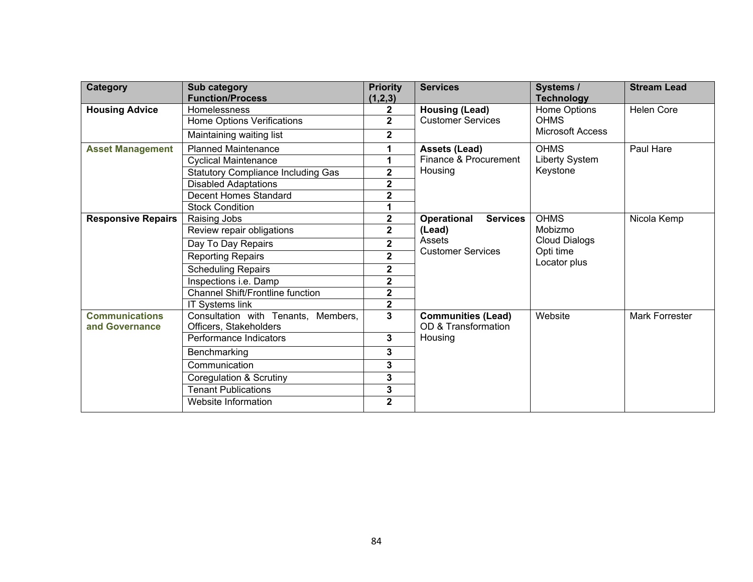| <b>Category</b>                         | Sub category<br><b>Function/Process</b>                       | <b>Priority</b><br>(1,2,3) | <b>Services</b>                                  | Systems /<br><b>Technology</b> | <b>Stream Lead</b> |
|-----------------------------------------|---------------------------------------------------------------|----------------------------|--------------------------------------------------|--------------------------------|--------------------|
| <b>Housing Advice</b>                   | Homelessness                                                  | $\mathbf{2}$               | <b>Housing (Lead)</b>                            | Home Options                   | <b>Helen Core</b>  |
|                                         | Home Options Verifications                                    | $\overline{2}$             | <b>Customer Services</b>                         | <b>OHMS</b>                    |                    |
|                                         | Maintaining waiting list                                      | $\overline{\mathbf{2}}$    |                                                  | Microsoft Access               |                    |
| <b>Asset Management</b>                 | <b>Planned Maintenance</b>                                    | 1                          | <b>Assets (Lead)</b>                             | <b>OHMS</b>                    | Paul Hare          |
|                                         | <b>Cyclical Maintenance</b>                                   | 1                          | Finance & Procurement                            | Liberty System                 |                    |
|                                         | <b>Statutory Compliance Including Gas</b>                     | $\overline{2}$             | Housing                                          | Keystone                       |                    |
|                                         | <b>Disabled Adaptations</b>                                   | $\overline{2}$             |                                                  |                                |                    |
|                                         | Decent Homes Standard                                         | 2                          |                                                  |                                |                    |
|                                         | <b>Stock Condition</b>                                        | 1                          |                                                  |                                |                    |
| <b>Responsive Repairs</b>               | Raising Jobs                                                  | $\mathbf 2$                | Operational<br><b>Services</b>                   | <b>OHMS</b>                    | Nicola Kemp        |
|                                         | Review repair obligations                                     | $\overline{\mathbf{2}}$    | (Lead)                                           | Mobizmo                        |                    |
|                                         | Day To Day Repairs                                            | $\overline{\mathbf{2}}$    | Assets                                           | <b>Cloud Dialogs</b>           |                    |
|                                         | <b>Reporting Repairs</b>                                      | $\overline{\mathbf{2}}$    | <b>Customer Services</b>                         | Opti time<br>Locator plus      |                    |
|                                         | <b>Scheduling Repairs</b>                                     | 2                          |                                                  |                                |                    |
|                                         | Inspections i.e. Damp                                         | $\overline{\mathbf{c}}$    |                                                  |                                |                    |
|                                         | <b>Channel Shift/Frontline function</b>                       | $\overline{2}$             |                                                  |                                |                    |
|                                         | <b>IT Systems link</b>                                        | $\overline{\mathbf{2}}$    |                                                  |                                |                    |
| <b>Communications</b><br>and Governance | Consultation with Tenants, Members,<br>Officers, Stakeholders | $\overline{3}$             | <b>Communities (Lead)</b><br>OD & Transformation | Website                        | Mark Forrester     |
|                                         | Performance Indicators                                        | 3                          | Housing                                          |                                |                    |
|                                         | Benchmarking                                                  | 3                          |                                                  |                                |                    |
|                                         | Communication                                                 | 3                          |                                                  |                                |                    |
|                                         | <b>Coregulation &amp; Scrutiny</b>                            | 3                          |                                                  |                                |                    |
|                                         | <b>Tenant Publications</b>                                    | 3                          |                                                  |                                |                    |
|                                         | Website Information                                           | $\mathbf{2}$               |                                                  |                                |                    |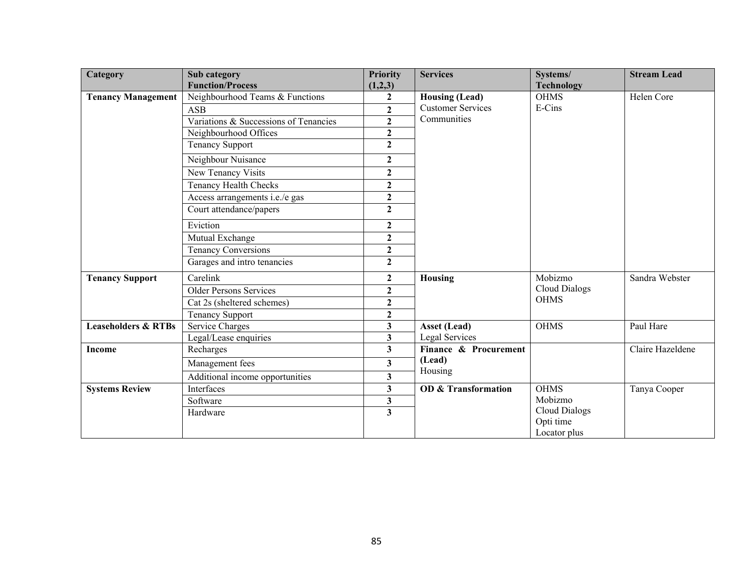| Category                       | Sub category                          | <b>Priority</b>         | <b>Services</b>                | Systems/             | <b>Stream Lead</b> |
|--------------------------------|---------------------------------------|-------------------------|--------------------------------|----------------------|--------------------|
|                                | <b>Function/Process</b>               | (1,2,3)                 |                                | <b>Technology</b>    |                    |
| <b>Tenancy Management</b>      | Neighbourhood Teams & Functions       | $\mathbf{2}$            | <b>Housing (Lead)</b>          | <b>OHMS</b>          | Helen Core         |
|                                | <b>ASB</b>                            | $\overline{2}$          | <b>Customer Services</b>       | E-Cins               |                    |
|                                | Variations & Successions of Tenancies | $\mathbf{2}$            | Communities                    |                      |                    |
|                                | Neighbourhood Offices                 | $\overline{2}$          |                                |                      |                    |
|                                | <b>Tenancy Support</b>                | $\overline{2}$          |                                |                      |                    |
|                                | Neighbour Nuisance                    | $\overline{2}$          |                                |                      |                    |
|                                | New Tenancy Visits                    | $\overline{2}$          |                                |                      |                    |
|                                | <b>Tenancy Health Checks</b>          | $\overline{2}$          |                                |                      |                    |
|                                | Access arrangements i.e./e gas        | $\overline{2}$          |                                |                      |                    |
|                                | Court attendance/papers               | $\overline{2}$          |                                |                      |                    |
|                                | Eviction                              | $\mathbf{2}$            |                                |                      |                    |
|                                | Mutual Exchange                       | $\boldsymbol{2}$        |                                |                      |                    |
|                                | <b>Tenancy Conversions</b>            | $\mathbf{2}$            |                                |                      |                    |
|                                | Garages and intro tenancies           | $\mathbf{2}$            |                                |                      |                    |
| <b>Tenancy Support</b>         | Carelink                              | $\mathbf{2}$            | Housing                        | Mobizmo              | Sandra Webster     |
|                                | <b>Older Persons Services</b>         | $\overline{2}$          |                                | Cloud Dialogs        |                    |
|                                | Cat 2s (sheltered schemes)            | $\mathbf{2}$            |                                | <b>OHMS</b>          |                    |
|                                | <b>Tenancy Support</b>                | $\mathbf{2}$            |                                |                      |                    |
| <b>Leaseholders &amp; RTBs</b> | <b>Service Charges</b>                | $\overline{\mathbf{3}}$ | <b>Asset (Lead)</b>            | <b>OHMS</b>          | Paul Hare          |
|                                | Legal/Lease enquiries                 | $\overline{\mathbf{3}}$ | Legal Services                 |                      |                    |
| Income                         | Recharges                             | $\overline{\mathbf{3}}$ | Finance & Procurement          |                      | Claire Hazeldene   |
|                                | Management fees                       | $\overline{\mathbf{3}}$ | (Lead)<br>Housing              |                      |                    |
|                                | Additional income opportunities       | 3                       |                                |                      |                    |
| <b>Systems Review</b>          | Interfaces                            | $\overline{\mathbf{3}}$ | <b>OD &amp; Transformation</b> | <b>OHMS</b>          | Tanya Cooper       |
|                                | Software                              | 3                       |                                | Mobizmo              |                    |
|                                | Hardware                              | $\overline{\mathbf{3}}$ |                                | <b>Cloud Dialogs</b> |                    |
|                                |                                       |                         |                                | Opti time            |                    |
|                                |                                       |                         |                                | Locator plus         |                    |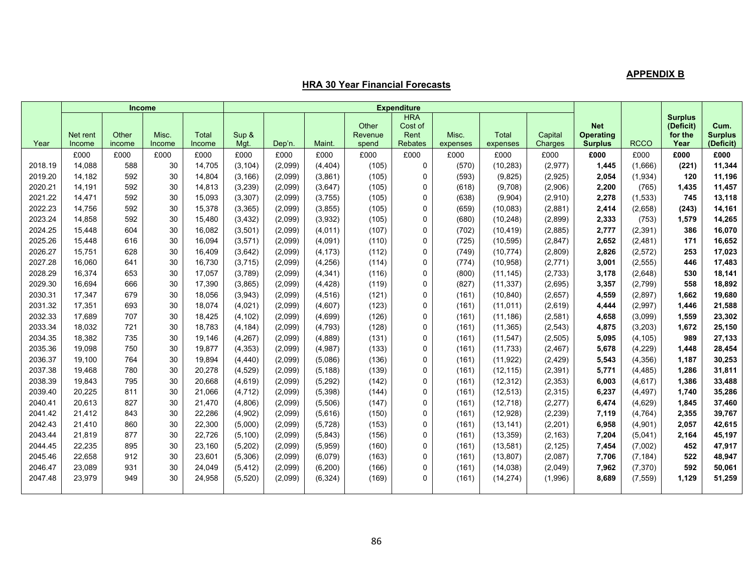#### **APPENDIX B**

#### **HRA 30 Year Financial Forecasts**

|         | <b>Income</b>      |                 |                 |                        | <b>Expenditure</b> |         |          |                           |                                                 |                   |                   |                    |                                                  |             |                                                |                                     |
|---------|--------------------|-----------------|-----------------|------------------------|--------------------|---------|----------|---------------------------|-------------------------------------------------|-------------------|-------------------|--------------------|--------------------------------------------------|-------------|------------------------------------------------|-------------------------------------|
| Year    | Net rent<br>Income | Other<br>income | Misc.<br>Income | <b>Total</b><br>Income | Sup &<br>Mqt.      | Dep'n.  | Maint.   | Other<br>Revenue<br>spend | <b>HRA</b><br>Cost of<br>Rent<br><b>Rebates</b> | Misc.<br>expenses | Total<br>expenses | Capital<br>Charges | <b>Net</b><br><b>Operating</b><br><b>Surplus</b> | <b>RCCO</b> | <b>Surplus</b><br>(Deficit)<br>for the<br>Year | Cum.<br><b>Surplus</b><br>(Deficit) |
|         | £000               | £000            | £000            | £000                   | £000               | £000    | £000     | £000                      | £000                                            | £000              | £000              | £000               | £000                                             | £000        | £000                                           | £000                                |
| 2018.19 | 14,088             | 588             | 30              | 14,705                 | (3, 104)           | (2,099) | (4, 404) | (105)                     | 0                                               | (570)             | (10, 283)         | (2,977)            | 1,445                                            | (1,666)     | (221)                                          | 11,344                              |
| 2019.20 | 14,182             | 592             | 30              | 14,804                 | (3, 166)           | (2,099) | (3,861)  | (105)                     | 0                                               | (593)             | (9,825)           | (2,925)            | 2,054                                            | (1,934)     | 120                                            | 11,196                              |
| 2020.21 | 14.191             | 592             | 30              | 14,813                 | (3,239)            | (2,099) | (3,647)  | (105)                     | 0                                               | (618)             | (9,708)           | (2,906)            | 2,200                                            | (765)       | 1,435                                          | 11,457                              |
| 2021.22 | 14,471             | 592             | 30              | 15,093                 | (3, 307)           | (2,099) | (3,755)  | (105)                     | 0                                               | (638)             | (9,904)           | (2,910)            | 2,278                                            | (1,533)     | 745                                            | 13,118                              |
| 2022.23 | 14,756             | 592             | 30              | 15,378                 | (3, 365)           | (2,099) | (3, 855) | (105)                     | 0                                               | (659)             | (10,083)          | (2,881)            | 2,414                                            | (2,658)     | (243)                                          | 14,161                              |
| 2023.24 | 14,858             | 592             | 30              | 15,480                 | (3, 432)           | (2,099) | (3,932)  | (105)                     | 0                                               | (680)             | (10, 248)         | (2,899)            | 2,333                                            | (753)       | 1,579                                          | 14,265                              |
| 2024.25 | 15,448             | 604             | 30              | 16,082                 | (3,501)            | (2,099) | (4,011)  | (107)                     | 0                                               | (702)             | (10, 419)         | (2,885)            | 2,777                                            | (2, 391)    | 386                                            | 16,070                              |
| 2025.26 | 15,448             | 616             | 30              | 16,094                 | (3, 571)           | (2,099) | (4,091)  | (110)                     | 0                                               | (725)             | (10, 595)         | (2, 847)           | 2,652                                            | (2, 481)    | 171                                            | 16,652                              |
| 2026.27 | 15,751             | 628             | 30              | 16,409                 | (3,642)            | (2,099) | (4, 173) | (112)                     | 0                                               | (749)             | (10, 774)         | (2,809)            | 2,826                                            | (2, 572)    | 253                                            | 17,023                              |
| 2027.28 | 16,060             | 641             | 30              | 16,730                 | (3,715)            | (2,099) | (4,256)  | (114)                     | 0                                               | (774)             | (10, 958)         | (2,771)            | 3,001                                            | (2,555)     | 446                                            | 17,483                              |
| 2028.29 | 16,374             | 653             | 30              | 17,057                 | (3,789)            | (2,099) | (4, 341) | (116)                     | 0                                               | (800)             | (11, 145)         | (2,733)            | 3,178                                            | (2,648)     | 530                                            | 18,141                              |
| 2029.30 | 16,694             | 666             | 30              | 17,390                 | (3,865)            | (2,099) | (4, 428) | (119)                     | 0                                               | (827)             | (11, 337)         | (2,695)            | 3,357                                            | (2,799)     | 558                                            | 18,892                              |
| 2030.31 | 17,347             | 679             | 30              | 18,056                 | (3,943)            | (2,099) | (4,516)  | (121)                     | 0                                               | (161)             | (10, 840)         | (2,657)            | 4,559                                            | (2,897)     | 1,662                                          | 19,680                              |
| 2031.32 | 17,351             | 693             | 30              | 18,074                 | (4,021)            | (2,099) | (4,607)  | (123)                     | 0                                               | (161)             | (11, 011)         | (2,619)            | 4,444                                            | (2,997)     | 1,446                                          | 21,588                              |
| 2032.33 | 17,689             | 707             | 30              | 18,425                 | (4, 102)           | (2,099) | (4,699)  | (126)                     | 0                                               | (161)             | (11, 186)         | (2,581)            | 4,658                                            | (3,099)     | 1,559                                          | 23,302                              |
| 2033.34 | 18,032             | 721             | 30              | 18,783                 | (4, 184)           | (2,099) | (4,793)  | (128)                     | 0                                               | (161)             | (11, 365)         | (2, 543)           | 4,875                                            | (3,203)     | 1,672                                          | 25,150                              |
| 2034.35 | 18,382             | 735             | 30              | 19,146                 | (4,267)            | (2,099) | (4,889)  | (131)                     | 0                                               | (161)             | (11, 547)         | (2,505)            | 5,095                                            | (4, 105)    | 989                                            | 27,133                              |
| 2035.36 | 19,098             | 750             | 30              | 19,877                 | (4, 353)           | (2,099) | (4,987)  | (133)                     | 0                                               | (161)             | (11, 733)         | (2, 467)           | 5,678                                            | (4,229)     | 1,448                                          | 28,454                              |
| 2036.37 | 19,100             | 764             | 30              | 19,894                 | (4, 440)           | (2,099) | (5,086)  | (136)                     | 0                                               | (161)             | (11, 922)         | (2, 429)           | 5,543                                            | (4, 356)    | 1,187                                          | 30,253                              |
| 2037.38 | 19,468             | 780             | 30              | 20,278                 | (4,529)            | (2,099) | (5, 188) | (139)                     | 0                                               | (161)             | (12, 115)         | (2, 391)           | 5,771                                            | (4, 485)    | 1,286                                          | 31,811                              |
| 2038.39 | 19,843             | 795             | 30              | 20,668                 | (4,619)            | (2,099) | (5, 292) | (142)                     | 0                                               | (161)             | (12, 312)         | (2, 353)           | 6,003                                            | (4,617)     | 1,386                                          | 33,488                              |
| 2039.40 | 20,225             | 811             | 30              | 21,066                 | (4, 712)           | (2,099) | (5, 398) | (144)                     | 0                                               | (161)             | (12, 513)         | (2, 315)           | 6,237                                            | (4, 497)    | 1,740                                          | 35,286                              |
| 2040.41 | 20,613             | 827             | 30              | 21,470                 | (4,806)            | (2,099) | (5,506)  | (147)                     | 0                                               | (161)             | (12, 718)         | (2, 277)           | 6,474                                            | (4,629)     | 1,845                                          | 37,460                              |
| 2041.42 | 21.412             | 843             | 30              | 22,286                 | (4,902)            | (2,099) | (5,616)  | (150)                     | 0                                               | (161)             | (12, 928)         | (2, 239)           | 7,119                                            | (4, 764)    | 2,355                                          | 39,767                              |
| 2042.43 | 21,410             | 860             | 30              | 22,300                 | (5,000)            | (2,099) | (5, 728) | (153)                     | 0                                               | (161)             | (13, 141)         | (2,201)            | 6,958                                            | (4,901)     | 2,057                                          | 42,615                              |
| 2043.44 | 21,819             | 877             | 30              | 22,726                 | (5, 100)           | (2,099) | (5, 843) | (156)                     | 0                                               | (161)             | (13, 359)         | (2, 163)           | 7,204                                            | (5,041)     | 2,164                                          | 45,197                              |
| 2044.45 | 22,235             | 895             | 30              | 23,160                 | (5,202)            | (2,099) | (5,959)  | (160)                     | 0                                               | (161)             | (13,581)          | (2, 125)           | 7,454                                            | (7,002)     | 452                                            | 47,917                              |
| 2045.46 | 22,658             | 912             | 30              | 23,601                 | (5,306)            | (2,099) | (6,079)  | (163)                     | 0                                               | (161)             | (13, 807)         | (2,087)            | 7,706                                            | (7, 184)    | 522                                            | 48,947                              |
| 2046.47 | 23,089             | 931             | 30              | 24,049                 | (5, 412)           | (2,099) | (6, 200) | (166)                     | 0                                               | (161)             | (14, 038)         | (2,049)            | 7,962                                            | (7, 370)    | 592                                            | 50,061                              |
| 2047.48 | 23,979             | 949             | 30              | 24,958                 | (5,520)            | (2,099) | (6, 324) | (169)                     | 0                                               | (161)             | (14, 274)         | (1,996)            | 8,689                                            | (7, 559)    | 1,129                                          | 51,259                              |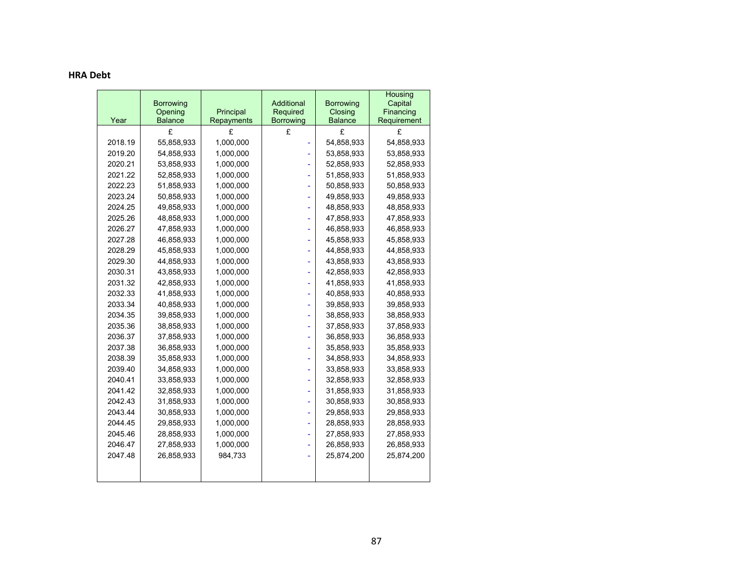#### **HRA Debt**

|         | <b>Borrowing</b>          |                         | Additional                   | <b>Borrowing</b>          | Housing<br>Capital       |
|---------|---------------------------|-------------------------|------------------------------|---------------------------|--------------------------|
| Year    | Opening<br><b>Balance</b> | Principal<br>Repayments | Required<br><b>Borrowing</b> | Closing<br><b>Balance</b> | Financing<br>Requirement |
|         | £                         | £                       | £                            | £                         | £                        |
| 2018.19 | 55,858,933                | 1,000,000               |                              | 54,858,933                | 54,858,933               |
| 2019.20 | 54,858,933                | 1,000,000               |                              | 53,858,933                | 53,858,933               |
| 2020.21 | 53,858,933                | 1,000,000               |                              | 52,858,933                | 52,858,933               |
| 2021.22 | 52,858,933                | 1,000,000               |                              | 51,858,933                | 51,858,933               |
| 2022.23 | 51,858,933                | 1,000,000               |                              | 50,858,933                | 50,858,933               |
| 2023.24 | 50,858,933                | 1,000,000               |                              | 49,858,933                | 49,858,933               |
| 2024.25 | 49,858,933                | 1,000,000               |                              | 48,858,933                | 48,858,933               |
| 2025.26 | 48,858,933                | 1,000,000               |                              | 47,858,933                | 47,858,933               |
| 2026.27 | 47,858,933                | 1,000,000               |                              | 46,858,933                | 46,858,933               |
| 2027.28 | 46,858,933                | 1,000,000               |                              | 45,858,933                | 45,858,933               |
| 2028.29 | 45,858,933                | 1,000,000               |                              | 44,858,933                | 44,858,933               |
| 2029.30 | 44,858,933                | 1,000,000               |                              | 43,858,933                | 43,858,933               |
| 2030.31 | 43,858,933                | 1,000,000               |                              | 42,858,933                | 42,858,933               |
| 2031.32 | 42,858,933                | 1,000,000               |                              | 41,858,933                | 41,858,933               |
| 2032.33 | 41,858,933                | 1,000,000               |                              | 40,858,933                | 40,858,933               |
| 2033.34 | 40,858,933                | 1,000,000               |                              | 39,858,933                | 39,858,933               |
| 2034.35 | 39,858,933                | 1,000,000               |                              | 38,858,933                | 38,858,933               |
| 2035.36 | 38,858,933                | 1,000,000               |                              | 37,858,933                | 37,858,933               |
| 2036.37 | 37,858,933                | 1,000,000               |                              | 36,858,933                | 36,858,933               |
| 2037.38 | 36,858,933                | 1,000,000               |                              | 35,858,933                | 35,858,933               |
| 2038.39 | 35,858,933                | 1,000,000               |                              | 34,858,933                | 34,858,933               |
| 2039.40 | 34,858,933                | 1,000,000               |                              | 33,858,933                | 33,858,933               |
| 2040.41 | 33,858,933                | 1,000,000               |                              | 32,858,933                | 32,858,933               |
| 2041.42 | 32,858,933                | 1,000,000               |                              | 31,858,933                | 31,858,933               |
| 2042.43 | 31,858,933                | 1,000,000               |                              | 30,858,933                | 30,858,933               |
| 2043.44 | 30,858,933                | 1,000,000               |                              | 29,858,933                | 29,858,933               |
| 2044.45 | 29,858,933                | 1,000,000               |                              | 28,858,933                | 28,858,933               |
| 2045.46 | 28,858,933                | 1,000,000               |                              | 27,858,933                | 27,858,933               |
| 2046.47 | 27,858,933                | 1,000,000               |                              | 26,858,933                | 26,858,933               |
| 2047.48 | 26,858,933                | 984,733                 |                              | 25,874,200                | 25,874,200               |
|         |                           |                         |                              |                           |                          |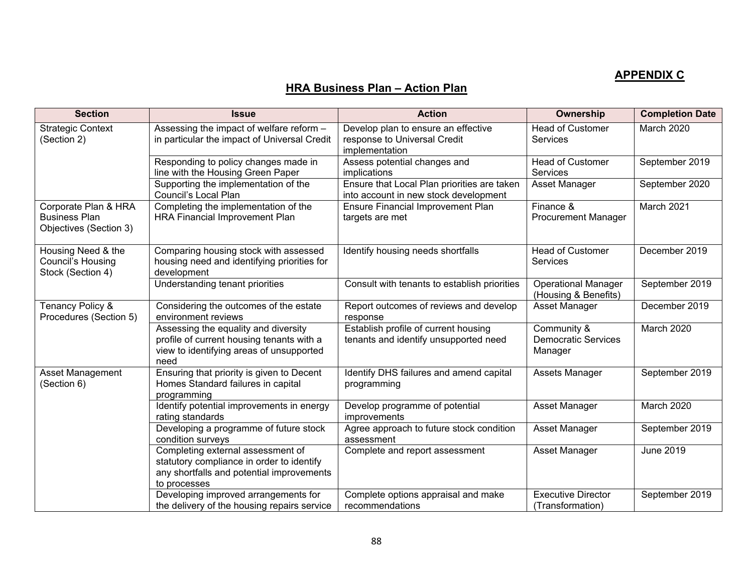# **APPENDIX C**

# **HRA Business Plan – Action Plan**

| <b>Section</b>                                                         | <b>Issue</b>                                                                                                                                | <b>Action</b>                                                                         | Ownership                                            | <b>Completion Date</b> |
|------------------------------------------------------------------------|---------------------------------------------------------------------------------------------------------------------------------------------|---------------------------------------------------------------------------------------|------------------------------------------------------|------------------------|
| <b>Strategic Context</b><br>(Section 2)                                | Assessing the impact of welfare reform -<br>in particular the impact of Universal Credit                                                    | Develop plan to ensure an effective<br>response to Universal Credit<br>implementation | <b>Head of Customer</b><br><b>Services</b>           | March 2020             |
|                                                                        | Responding to policy changes made in<br>line with the Housing Green Paper                                                                   | Assess potential changes and<br>implications                                          | <b>Head of Customer</b><br><b>Services</b>           | September 2019         |
|                                                                        | Supporting the implementation of the<br>Council's Local Plan                                                                                | Ensure that Local Plan priorities are taken<br>into account in new stock development  | Asset Manager                                        | September 2020         |
| Corporate Plan & HRA<br><b>Business Plan</b><br>Objectives (Section 3) | Completing the implementation of the<br>HRA Financial Improvement Plan                                                                      | <b>Ensure Financial Improvement Plan</b><br>targets are met                           | Finance &<br><b>Procurement Manager</b>              | March 2021             |
| Housing Need & the<br>Council's Housing<br>Stock (Section 4)           | Comparing housing stock with assessed<br>housing need and identifying priorities for<br>development                                         | Identify housing needs shortfalls                                                     | <b>Head of Customer</b><br>Services                  | December 2019          |
|                                                                        | Understanding tenant priorities                                                                                                             | Consult with tenants to establish priorities                                          | <b>Operational Manager</b><br>(Housing & Benefits)   | September 2019         |
| Tenancy Policy &<br>Procedures (Section 5)                             | Considering the outcomes of the estate<br>environment reviews                                                                               | Report outcomes of reviews and develop<br>response                                    | Asset Manager                                        | December 2019          |
|                                                                        | Assessing the equality and diversity<br>profile of current housing tenants with a<br>view to identifying areas of unsupported<br>need       | Establish profile of current housing<br>tenants and identify unsupported need         | Community &<br><b>Democratic Services</b><br>Manager | March 2020             |
| Asset Management<br>(Section 6)                                        | Ensuring that priority is given to Decent<br>Homes Standard failures in capital<br>programming                                              | Identify DHS failures and amend capital<br>programming                                | Assets Manager                                       | September 2019         |
|                                                                        | Identify potential improvements in energy<br>rating standards                                                                               | Develop programme of potential<br>improvements                                        | Asset Manager                                        | March 2020             |
|                                                                        | Developing a programme of future stock<br>condition surveys                                                                                 | Agree approach to future stock condition<br>assessment                                | Asset Manager                                        | September 2019         |
|                                                                        | Completing external assessment of<br>statutory compliance in order to identify<br>any shortfalls and potential improvements<br>to processes | Complete and report assessment                                                        | Asset Manager                                        | June 2019              |
|                                                                        | Developing improved arrangements for<br>the delivery of the housing repairs service                                                         | Complete options appraisal and make<br>recommendations                                | <b>Executive Director</b><br>(Transformation)        | September 2019         |